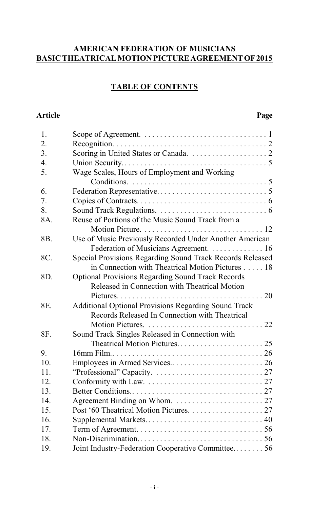#### **AMERICAN FEDERATION OF MUSICIANS BASIC THEATRICAL MOTION PICTURE AGREEMENTOF2015**

#### **TABLE OF CONTENTS**

# **Article Page**

| 1.  |                                                                                                 |
|-----|-------------------------------------------------------------------------------------------------|
| 2.  |                                                                                                 |
| 3.  |                                                                                                 |
| 4.  |                                                                                                 |
| 5.  | Wage Scales, Hours of Employment and Working                                                    |
|     |                                                                                                 |
| 6.  |                                                                                                 |
| 7.  |                                                                                                 |
| 8.  |                                                                                                 |
| 8A. | Reuse of Portions of the Music Sound Track from a                                               |
|     |                                                                                                 |
| 8B. | Use of Music Previously Recorded Under Another American                                         |
|     | Federation of Musicians Agreement. 16                                                           |
| 8C. | Special Provisions Regarding Sound Track Records Released                                       |
|     | in Connection with Theatrical Motion Pictures 18                                                |
| 8D. | <b>Optional Provisions Regarding Sound Track Records</b>                                        |
|     | Released in Connection with Theatrical Motion                                                   |
|     | 20<br>$Pictures. \ldots \ldots \ldots \ldots \ldots \ldots \ldots \ldots \ldots \ldots \ldots$  |
| 8E. | <b>Additional Optional Provisions Regarding Sound Track</b>                                     |
|     | Records Released In Connection with Theatrical                                                  |
|     |                                                                                                 |
| 8F. | Sound Track Singles Released in Connection with                                                 |
|     |                                                                                                 |
| 9.  |                                                                                                 |
| 10. |                                                                                                 |
| 11. |                                                                                                 |
| 12. |                                                                                                 |
| 13. |                                                                                                 |
| 14. |                                                                                                 |
| 15. |                                                                                                 |
| 16. |                                                                                                 |
| 17. | Term of Agreement. $\dots \dots \dots \dots \dots \dots \dots \dots \dots \dots \dots \dots 56$ |
| 18. |                                                                                                 |
| 19. | Joint Industry-Federation Cooperative Committee56                                               |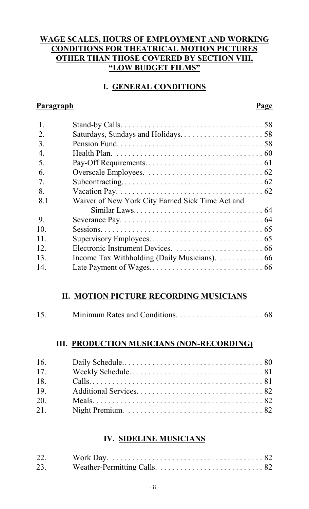## **WAGE SCALES, HOURS OF EMPLOYMENT AND WORKING CONDITIONS FOR THEATRICAL MOTION PICTURES OTHER THAN THOSE COVERED BY SECTION VIII, "LOW BUDGET FILMS"**

#### **I. GENERAL CONDITIONS**

#### **Paragraph Page**

| 1.               |                                                                              |
|------------------|------------------------------------------------------------------------------|
| 2.               |                                                                              |
| 3.               |                                                                              |
| $\overline{4}$ . |                                                                              |
| 5.               |                                                                              |
| 6.               |                                                                              |
| 7.               |                                                                              |
| 8.               |                                                                              |
| 8.1              | Waiver of New York City Earned Sick Time Act and                             |
|                  |                                                                              |
| 9.               |                                                                              |
| 10.              |                                                                              |
| 11.              |                                                                              |
| 12.              |                                                                              |
| 13.              | Income Tax Withholding (Daily Musicians). $\dots \dots \dots \dots \dots$ 66 |
| 14.              |                                                                              |
|                  |                                                                              |

#### **II. MOTION PICTURE RECORDING MUSICIANS**

| 15. |  |
|-----|--|
|     |  |

#### **III. PRODUCTION MUSICIANS (NON-RECORDING)**

| 16. |  |
|-----|--|
| 17. |  |
| 18. |  |
| 19  |  |
| 20. |  |
| 21. |  |

#### **IV. SIDELINE MUSICIANS**

| 23. |  |
|-----|--|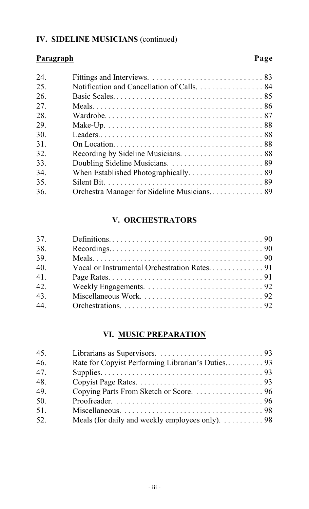# **IV. SIDELINE MUSICIANS** (continued)

# **Paragraph Page**

| 24. |                                            |
|-----|--------------------------------------------|
| 25. | Notification and Cancellation of Calls. 84 |
| 26. |                                            |
| 27. |                                            |
| 28. |                                            |
| 29. |                                            |
| 30. |                                            |
| 31. |                                            |
| 32. |                                            |
| 33. |                                            |
| 34. |                                            |
| 35. |                                            |
| 36. |                                            |

## **V. ORCHESTRATORS**

| 37. |  |
|-----|--|
| 38. |  |
| 39. |  |
| 40. |  |
| 41. |  |
| 42. |  |
| 43. |  |
| 44. |  |

# **VI. MUSIC PREPARATION**

| 45. |                                                 |  |
|-----|-------------------------------------------------|--|
| 46. |                                                 |  |
| 47. |                                                 |  |
| 48. |                                                 |  |
| 49. |                                                 |  |
| 50. |                                                 |  |
| 51. |                                                 |  |
| 52. | Meals (for daily and weekly employees only). 98 |  |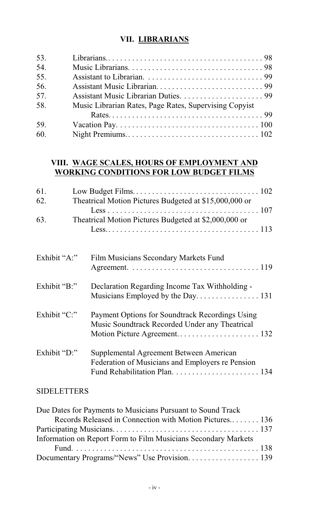## **VII. LIBRARIANS**

| 53. |                                                                                                         |  |
|-----|---------------------------------------------------------------------------------------------------------|--|
| 54. |                                                                                                         |  |
| 55. |                                                                                                         |  |
| 56. |                                                                                                         |  |
| 57. |                                                                                                         |  |
| 58. | Music Librarian Rates, Page Rates, Supervising Copyist                                                  |  |
|     |                                                                                                         |  |
| 59. | Vacation Pay. $\ldots \ldots \ldots \ldots \ldots \ldots \ldots \ldots \ldots \ldots \ldots \ldots 100$ |  |
| 60. |                                                                                                         |  |

#### **VIII. WAGE SCALES, HOURS OF EMPLOYMENT AND WORKING CONDITIONS FOR LOW BUDGET FILMS**

| 61.          |                                                                                                   |
|--------------|---------------------------------------------------------------------------------------------------|
| 62.          | Theatrical Motion Pictures Budgeted at \$15,000,000 or                                            |
|              |                                                                                                   |
| 63.          | Theatrical Motion Pictures Budgeted at \$2,000,000 or                                             |
|              |                                                                                                   |
| Exhibit "A:" | Film Musicians Secondary Markets Fund                                                             |
|              |                                                                                                   |
| Exhibit "B:" | Declaration Regarding Income Tax Withholding -                                                    |
| Exhibit "C:" | Payment Options for Soundtrack Recordings Using<br>Music Soundtrack Recorded Under any Theatrical |
| Exhibit "D:" | Supplemental Agreement Between American<br>Federation of Musicians and Employers re Pension       |

#### **SIDELETTERS**

| Due Dates for Payments to Musicians Pursuant to Sound Track    |  |
|----------------------------------------------------------------|--|
| Records Released in Connection with Motion Pictures 136        |  |
|                                                                |  |
| Information on Report Form to Film Musicians Secondary Markets |  |
|                                                                |  |
| Documentary Programs/"News" Use Provision. 139                 |  |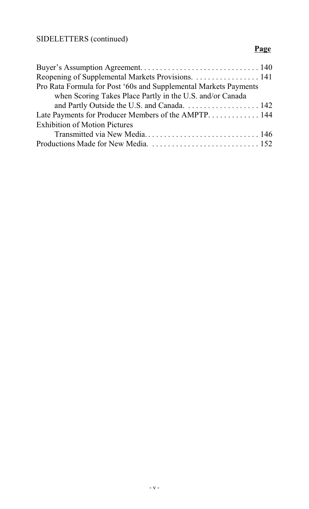# **Page**

| Reopening of Supplemental Markets Provisions. 141                |  |
|------------------------------------------------------------------|--|
| Pro Rata Formula for Post '60s and Supplemental Markets Payments |  |
| when Scoring Takes Place Partly in the U.S. and/or Canada        |  |
|                                                                  |  |
| Late Payments for Producer Members of the AMPTP 144              |  |
| <b>Exhibition of Motion Pictures</b>                             |  |
|                                                                  |  |
|                                                                  |  |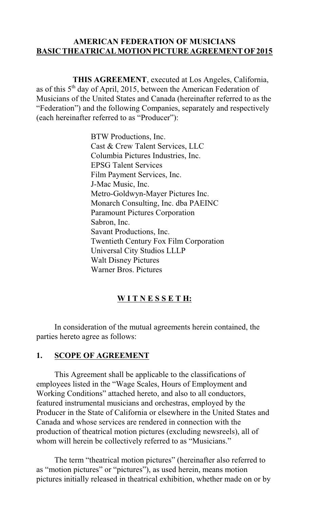#### **AMERICAN FEDERATION OF MUSICIANS BASIC THEATRICALMOTIONPICTURE AGREEMENT OF 2015**

**THIS AGREEMENT**, executed at Los Angeles, California, as of this 5<sup>th</sup> day of April, 2015, between the American Federation of Musicians of the United States and Canada (hereinafter referred to as the "Federation") and the following Companies, separately and respectively (each hereinafter referred to as "Producer"):

> BTW Productions, Inc. Cast & Crew Talent Services, LLC Columbia Pictures Industries, Inc. EPSG Talent Services Film Payment Services, Inc. J-Mac Music, Inc. Metro-Goldwyn-Mayer Pictures Inc. Monarch Consulting, Inc. dba PAEINC Paramount Pictures Corporation Sabron, Inc. Savant Productions, Inc. Twentieth Century Fox Film Corporation Universal City Studios LLLP Walt Disney Pictures Warner Bros. Pictures

#### **W I T N E S S E T H:**

In consideration of the mutual agreements herein contained, the parties hereto agree as follows:

#### **1. SCOPE OF AGREEMENT**

This Agreement shall be applicable to the classifications of employees listed in the "Wage Scales, Hours of Employment and Working Conditions" attached hereto, and also to all conductors, featured instrumental musicians and orchestras, employed by the Producer in the State of California or elsewhere in the United States and Canada and whose services are rendered in connection with the production of theatrical motion pictures (excluding newsreels), all of whom will herein be collectively referred to as "Musicians."

The term "theatrical motion pictures" (hereinafter also referred to as "motion pictures" or "pictures"), as used herein, means motion pictures initially released in theatrical exhibition, whether made on or by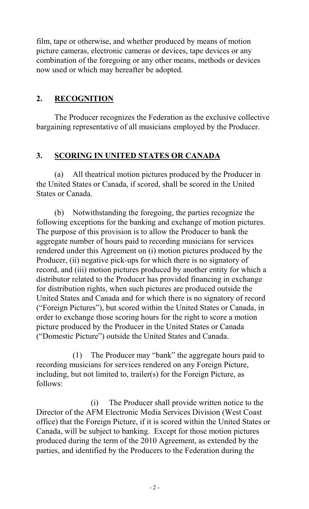film, tape or otherwise, and whether produced by means of motion picture cameras, electronic cameras or devices, tape devices or any combination of the foregoing or any other means, methods or devices now used or which may hereafter be adopted.

## **2. RECOGNITION**

The Producer recognizes the Federation as the exclusive collective bargaining representative of all musicians employed by the Producer.

## **3. SCORING IN UNITED STATES OR CANADA**

(a) All theatrical motion pictures produced by the Producer in the United States or Canada, if scored, shall be scored in the United States or Canada.

(b) Notwithstanding the foregoing, the parties recognize the following exceptions for the banking and exchange of motion pictures. The purpose of this provision is to allow the Producer to bank the aggregate number of hours paid to recording musicians for services rendered under this Agreement on (i) motion pictures produced by the Producer, (ii) negative pick-ups for which there is no signatory of record, and (iii) motion pictures produced by another entity for which a distributor related to the Producer has provided financing in exchange for distribution rights, when such pictures are produced outside the United States and Canada and for which there is no signatory of record ("Foreign Pictures"), but scored within the United States or Canada, in order to exchange those scoring hours for the right to score a motion picture produced by the Producer in the United States or Canada ("Domestic Picture") outside the United States and Canada.

(1) The Producer may "bank" the aggregate hours paid to recording musicians for services rendered on any Foreign Picture, including, but not limited to, trailer(s) for the Foreign Picture, as follows:

(i) The Producer shall provide written notice to the Director of the AFM Electronic Media Services Division (West Coast office) that the Foreign Picture, if it is scored within the United States or Canada, will be subject to banking. Except for those motion pictures produced during the term of the 2010 Agreement, as extended by the parties, and identified by the Producers to the Federation during the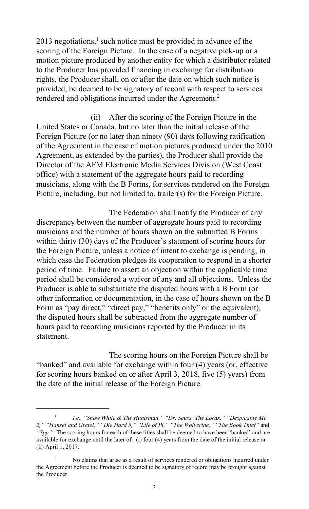2013 negotiations,<sup>1</sup> such notice must be provided in advance of the scoring of the Foreign Picture. In the case of a negative pick-up or a motion picture produced by another entity for which a distributor related to the Producer has provided financing in exchange for distribution rights, the Producer shall, on or after the date on which such notice is provided, be deemed to be signatory of record with respect to services rendered and obligations incurred under the Agreement.<sup>2</sup>

(ii) After the scoring of the Foreign Picture in the United States or Canada, but no later than the initial release of the Foreign Picture (or no later than ninety (90) days following ratification of the Agreement in the case of motion pictures produced under the 2010 Agreement, as extended by the parties), the Producer shall provide the Director of the AFM Electronic Media Services Division (West Coast office) with a statement of the aggregate hours paid to recording musicians, along with the B Forms, for services rendered on the Foreign Picture, including, but not limited to, trailer(s) for the Foreign Picture.

The Federation shall notify the Producer of any discrepancy between the number of aggregate hours paid to recording musicians and the number of hours shown on the submitted B Forms within thirty (30) days of the Producer's statement of scoring hours for the Foreign Picture, unless a notice of intent to exchange is pending, in which case the Federation pledges its cooperation to respond in a shorter period of time. Failure to assert an objection within the applicable time period shall be considered a waiver of any and all objections. Unless the Producer is able to substantiate the disputed hours with a B Form (or other information or documentation, in the case of hours shown on the B Form as "pay direct," "direct pay," "benefits only" or the equivalent), the disputed hours shall be subtracted from the aggregate number of hours paid to recording musicians reported by the Producer in its statement.

The scoring hours on the Foreign Picture shall be "banked" and available for exchange within four (4) years (or, effective for scoring hours banked on or after April 3, 2018, five (5) years) from the date of the initial release of the Foreign Picture.

<sup>1</sup> *I.e., "Snow White & The Huntsman," "Dr. Seuss' The Lorax," "Despicable Me 2," "Hansel and Gretel," "Die Hard 5," "Life of Pi," "The Wolverine," "The Book Thief"* and *"Spy."* The scoring hours for each of these titles shall be deemed to have been 'banked' and are available for exchange until the later of: (i) four (4) years from the date of the initial release or (ii) April 1, 2017.

<sup>2</sup> No claims that arise as a result of services rendered or obligations incurred under the Agreement before the Producer is deemed to be signatory of record may be brought against the Producer.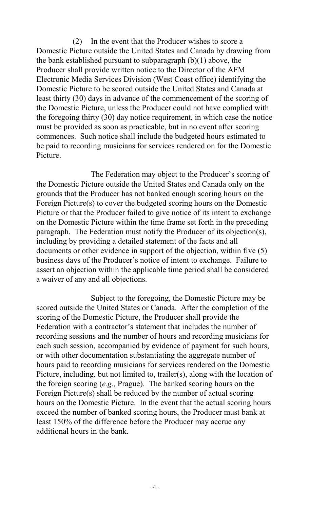(2) In the event that the Producer wishes to score a Domestic Picture outside the United States and Canada by drawing from the bank established pursuant to subparagraph  $(b)(1)$  above, the Producer shall provide written notice to the Director of the AFM Electronic Media Services Division (West Coast office) identifying the Domestic Picture to be scored outside the United States and Canada at least thirty (30) days in advance of the commencement of the scoring of the Domestic Picture, unless the Producer could not have complied with the foregoing thirty (30) day notice requirement, in which case the notice must be provided as soon as practicable, but in no event after scoring commences. Such notice shall include the budgeted hours estimated to be paid to recording musicians for services rendered on for the Domestic Picture.

The Federation may object to the Producer's scoring of the Domestic Picture outside the United States and Canada only on the grounds that the Producer has not banked enough scoring hours on the Foreign Picture(s) to cover the budgeted scoring hours on the Domestic Picture or that the Producer failed to give notice of its intent to exchange on the Domestic Picture within the time frame set forth in the preceding paragraph. The Federation must notify the Producer of its objection(s), including by providing a detailed statement of the facts and all documents or other evidence in support of the objection, within five (5) business days of the Producer's notice of intent to exchange. Failure to assert an objection within the applicable time period shall be considered a waiver of any and all objections.

Subject to the foregoing, the Domestic Picture may be scored outside the United States or Canada. After the completion of the scoring of the Domestic Picture, the Producer shall provide the Federation with a contractor's statement that includes the number of recording sessions and the number of hours and recording musicians for each such session, accompanied by evidence of payment for such hours, or with other documentation substantiating the aggregate number of hours paid to recording musicians for services rendered on the Domestic Picture, including, but not limited to, trailer(s), along with the location of the foreign scoring (*e.g.,* Prague). The banked scoring hours on the Foreign Picture(s) shall be reduced by the number of actual scoring hours on the Domestic Picture. In the event that the actual scoring hours exceed the number of banked scoring hours, the Producer must bank at least 150% of the difference before the Producer may accrue any additional hours in the bank.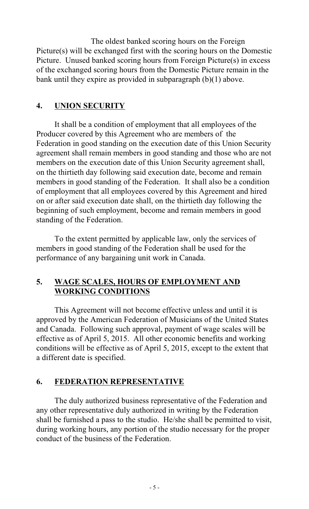The oldest banked scoring hours on the Foreign Picture(s) will be exchanged first with the scoring hours on the Domestic Picture. Unused banked scoring hours from Foreign Picture(s) in excess of the exchanged scoring hours from the Domestic Picture remain in the bank until they expire as provided in subparagraph (b)(1) above.

#### **4. UNION SECURITY**

It shall be a condition of employment that all employees of the Producer covered by this Agreement who are members of the Federation in good standing on the execution date of this Union Security agreement shall remain members in good standing and those who are not members on the execution date of this Union Security agreement shall, on the thirtieth day following said execution date, become and remain members in good standing of the Federation. It shall also be a condition of employment that all employees covered by this Agreement and hired on or after said execution date shall, on the thirtieth day following the beginning of such employment, become and remain members in good standing of the Federation.

To the extent permitted by applicable law, only the services of members in good standing of the Federation shall be used for the performance of any bargaining unit work in Canada.

#### **5. WAGE SCALES, HOURS OF EMPLOYMENT AND WORKING CONDITIONS**

This Agreement will not become effective unless and until it is approved by the American Federation of Musicians of the United States and Canada. Following such approval, payment of wage scales will be effective as of April 5, 2015. All other economic benefits and working conditions will be effective as of April 5, 2015, except to the extent that a different date is specified.

#### **6. FEDERATION REPRESENTATIVE**

The duly authorized business representative of the Federation and any other representative duly authorized in writing by the Federation shall be furnished a pass to the studio. He/she shall be permitted to visit, during working hours, any portion of the studio necessary for the proper conduct of the business of the Federation.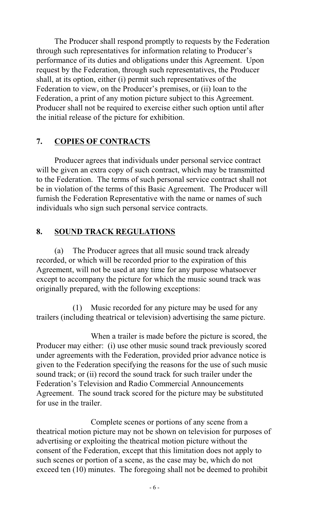The Producer shall respond promptly to requests by the Federation through such representatives for information relating to Producer's performance of its duties and obligations under this Agreement. Upon request by the Federation, through such representatives, the Producer shall, at its option, either (i) permit such representatives of the Federation to view, on the Producer's premises, or (ii) loan to the Federation, a print of any motion picture subject to this Agreement. Producer shall not be required to exercise either such option until after the initial release of the picture for exhibition.

## **7. COPIES OF CONTRACTS**

Producer agrees that individuals under personal service contract will be given an extra copy of such contract, which may be transmitted to the Federation. The terms of such personal service contract shall not be in violation of the terms of this Basic Agreement. The Producer will furnish the Federation Representative with the name or names of such individuals who sign such personal service contracts.

## **8. SOUND TRACK REGULATIONS**

(a) The Producer agrees that all music sound track already recorded, or which will be recorded prior to the expiration of this Agreement, will not be used at any time for any purpose whatsoever except to accompany the picture for which the music sound track was originally prepared, with the following exceptions:

(1) Music recorded for any picture may be used for any trailers (including theatrical or television) advertising the same picture.

When a trailer is made before the picture is scored, the Producer may either: (i) use other music sound track previously scored under agreements with the Federation, provided prior advance notice is given to the Federation specifying the reasons for the use of such music sound track; or (ii) record the sound track for such trailer under the Federation's Television and Radio Commercial Announcements Agreement. The sound track scored for the picture may be substituted for use in the trailer.

Complete scenes or portions of any scene from a theatrical motion picture may not be shown on television for purposes of advertising or exploiting the theatrical motion picture without the consent of the Federation, except that this limitation does not apply to such scenes or portion of a scene, as the case may be, which do not exceed ten (10) minutes. The foregoing shall not be deemed to prohibit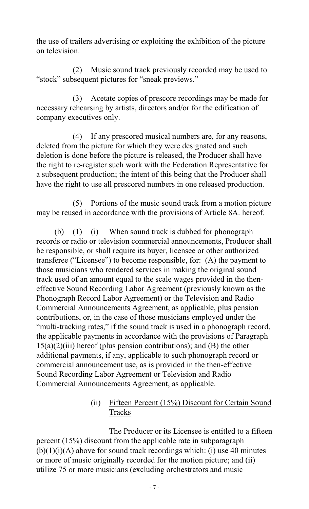the use of trailers advertising or exploiting the exhibition of the picture on television.

(2) Music sound track previously recorded may be used to "stock" subsequent pictures for "sneak previews."

(3) Acetate copies of prescore recordings may be made for necessary rehearsing by artists, directors and/or for the edification of company executives only.

(4) If any prescored musical numbers are, for any reasons, deleted from the picture for which they were designated and such deletion is done before the picture is released, the Producer shall have the right to re-register such work with the Federation Representative for a subsequent production; the intent of this being that the Producer shall have the right to use all prescored numbers in one released production.

(5) Portions of the music sound track from a motion picture may be reused in accordance with the provisions of Article 8A. hereof.

(b) (1) (i) When sound track is dubbed for phonograph records or radio or television commercial announcements, Producer shall be responsible, or shall require its buyer, licensee or other authorized transferee ("Licensee") to become responsible, for: (A) the payment to those musicians who rendered services in making the original sound track used of an amount equal to the scale wages provided in the theneffective Sound Recording Labor Agreement (previously known as the Phonograph Record Labor Agreement) or the Television and Radio Commercial Announcements Agreement, as applicable, plus pension contributions, or, in the case of those musicians employed under the "multi-tracking rates," if the sound track is used in a phonograph record, the applicable payments in accordance with the provisions of Paragraph  $15(a)(2)(iii)$  hereof (plus pension contributions); and (B) the other additional payments, if any, applicable to such phonograph record or commercial announcement use, as is provided in the then-effective Sound Recording Labor Agreement or Television and Radio Commercial Announcements Agreement, as applicable.

## (ii) Fifteen Percent (15%) Discount for Certain Sound Tracks

The Producer or its Licensee is entitled to a fifteen percent (15%) discount from the applicable rate in subparagraph  $(b)(1)(i)(A)$  above for sound track recordings which: (i) use 40 minutes or more of music originally recorded for the motion picture; and (ii) utilize 75 or more musicians (excluding orchestrators and music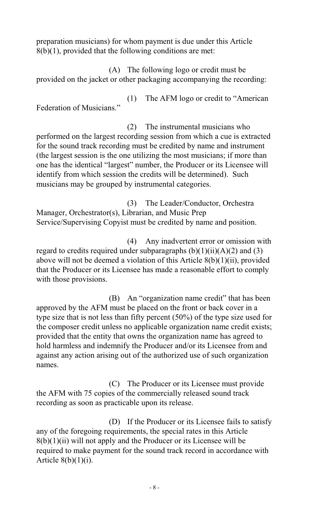preparation musicians) for whom payment is due under this Article  $8(b)(1)$ , provided that the following conditions are met:

(A) The following logo or credit must be provided on the jacket or other packaging accompanying the recording:

(1) The AFM logo or credit to "American Federation of Musicians."

(2) The instrumental musicians who performed on the largest recording session from which a cue is extracted for the sound track recording must be credited by name and instrument (the largest session is the one utilizing the most musicians; if more than one has the identical "largest" number, the Producer or its Licensee will identify from which session the credits will be determined). Such musicians may be grouped by instrumental categories.

(3) The Leader/Conductor, Orchestra Manager, Orchestrator(s), Librarian, and Music Prep Service/Supervising Copyist must be credited by name and position.

(4) Any inadvertent error or omission with regard to credits required under subparagraphs  $(b)(1)(ii)(A)(2)$  and  $(3)$ above will not be deemed a violation of this Article  $8(b)(1)(ii)$ , provided that the Producer or its Licensee has made a reasonable effort to comply with those provisions.

(B) An "organization name credit" that has been approved by the AFM must be placed on the front or back cover in a type size that is not less than fifty percent (50%) of the type size used for the composer credit unless no applicable organization name credit exists; provided that the entity that owns the organization name has agreed to hold harmless and indemnify the Producer and/or its Licensee from and against any action arising out of the authorized use of such organization names.

(C) The Producer or its Licensee must provide the AFM with 75 copies of the commercially released sound track recording as soon as practicable upon its release.

(D) If the Producer or its Licensee fails to satisfy any of the foregoing requirements, the special rates in this Article  $8(b)(1)(ii)$  will not apply and the Producer or its Licensee will be required to make payment for the sound track record in accordance with Article  $8(b)(1)(i)$ .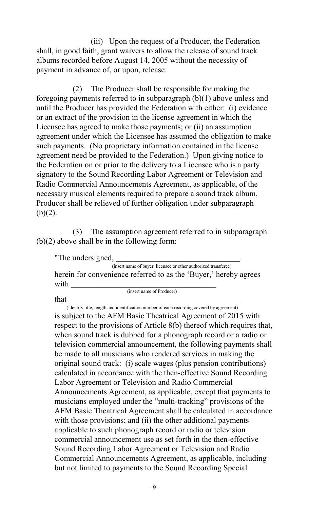(iii) Upon the request of a Producer, the Federation shall, in good faith, grant waivers to allow the release of sound track albums recorded before August 14, 2005 without the necessity of payment in advance of, or upon, release.

(2) The Producer shall be responsible for making the foregoing payments referred to in subparagraph (b)(1) above unless and until the Producer has provided the Federation with either: (i) evidence or an extract of the provision in the license agreement in which the Licensee has agreed to make those payments; or (ii) an assumption agreement under which the Licensee has assumed the obligation to make such payments. (No proprietary information contained in the license agreement need be provided to the Federation.) Upon giving notice to the Federation on or prior to the delivery to a Licensee who is a party signatory to the Sound Recording Labor Agreement or Television and Radio Commercial Announcements Agreement, as applicable, of the necessary musical elements required to prepare a sound track album, Producer shall be relieved of further obligation under subparagraph  $(b)(2)$ .

(3) The assumption agreement referred to in subparagraph (b)(2) above shall be in the following form:

"The undersigned, (insert name of buyer, licensee or other authorized transferee) herein for convenience referred to as the 'Buyer,' hereby agrees  $with$ 

(insert name of Producer)

that \_\_\_\_\_\_\_\_\_\_\_\_\_\_\_\_\_\_\_\_\_\_\_\_\_\_\_\_\_\_\_\_\_\_\_\_\_\_\_\_\_\_\_\_\_\_\_\_\_\_\_\_\_\_\_\_\_

 (identify title, length and identification number of each recording covered by agreement) is subject to the AFM Basic Theatrical Agreement of 2015 with respect to the provisions of Article 8(b) thereof which requires that, when sound track is dubbed for a phonograph record or a radio or television commercial announcement, the following payments shall be made to all musicians who rendered services in making the original sound track: (i) scale wages (plus pension contributions) calculated in accordance with the then-effective Sound Recording Labor Agreement or Television and Radio Commercial Announcements Agreement, as applicable, except that payments to musicians employed under the "multi-tracking" provisions of the AFM Basic Theatrical Agreement shall be calculated in accordance with those provisions; and (ii) the other additional payments applicable to such phonograph record or radio or television commercial announcement use as set forth in the then-effective Sound Recording Labor Agreement or Television and Radio Commercial Announcements Agreement, as applicable, including but not limited to payments to the Sound Recording Special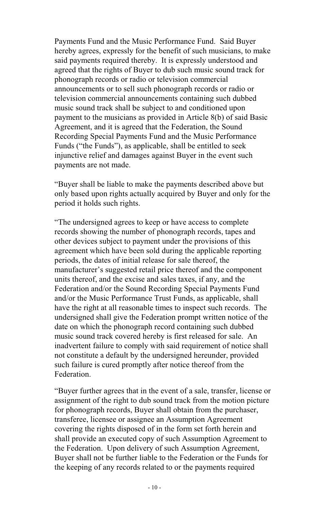Payments Fund and the Music Performance Fund. Said Buyer hereby agrees, expressly for the benefit of such musicians, to make said payments required thereby. It is expressly understood and agreed that the rights of Buyer to dub such music sound track for phonograph records or radio or television commercial announcements or to sell such phonograph records or radio or television commercial announcements containing such dubbed music sound track shall be subject to and conditioned upon payment to the musicians as provided in Article 8(b) of said Basic Agreement, and it is agreed that the Federation, the Sound Recording Special Payments Fund and the Music Performance Funds ("the Funds"), as applicable, shall be entitled to seek injunctive relief and damages against Buyer in the event such payments are not made.

"Buyer shall be liable to make the payments described above but only based upon rights actually acquired by Buyer and only for the period it holds such rights.

"The undersigned agrees to keep or have access to complete records showing the number of phonograph records, tapes and other devices subject to payment under the provisions of this agreement which have been sold during the applicable reporting periods, the dates of initial release for sale thereof, the manufacturer's suggested retail price thereof and the component units thereof, and the excise and sales taxes, if any, and the Federation and/or the Sound Recording Special Payments Fund and/or the Music Performance Trust Funds, as applicable, shall have the right at all reasonable times to inspect such records. The undersigned shall give the Federation prompt written notice of the date on which the phonograph record containing such dubbed music sound track covered hereby is first released for sale. An inadvertent failure to comply with said requirement of notice shall not constitute a default by the undersigned hereunder, provided such failure is cured promptly after notice thereof from the Federation.

"Buyer further agrees that in the event of a sale, transfer, license or assignment of the right to dub sound track from the motion picture for phonograph records, Buyer shall obtain from the purchaser, transferee, licensee or assignee an Assumption Agreement covering the rights disposed of in the form set forth herein and shall provide an executed copy of such Assumption Agreement to the Federation. Upon delivery of such Assumption Agreement, Buyer shall not be further liable to the Federation or the Funds for the keeping of any records related to or the payments required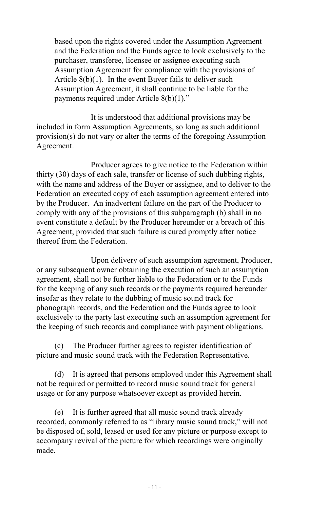based upon the rights covered under the Assumption Agreement and the Federation and the Funds agree to look exclusively to the purchaser, transferee, licensee or assignee executing such Assumption Agreement for compliance with the provisions of Article 8(b)(1). In the event Buyer fails to deliver such Assumption Agreement, it shall continue to be liable for the payments required under Article 8(b)(1)."

It is understood that additional provisions may be included in form Assumption Agreements, so long as such additional provision(s) do not vary or alter the terms of the foregoing Assumption Agreement.

Producer agrees to give notice to the Federation within thirty (30) days of each sale, transfer or license of such dubbing rights, with the name and address of the Buyer or assignee, and to deliver to the Federation an executed copy of each assumption agreement entered into by the Producer. An inadvertent failure on the part of the Producer to comply with any of the provisions of this subparagraph (b) shall in no event constitute a default by the Producer hereunder or a breach of this Agreement, provided that such failure is cured promptly after notice thereof from the Federation.

Upon delivery of such assumption agreement, Producer, or any subsequent owner obtaining the execution of such an assumption agreement, shall not be further liable to the Federation or to the Funds for the keeping of any such records or the payments required hereunder insofar as they relate to the dubbing of music sound track for phonograph records, and the Federation and the Funds agree to look exclusively to the party last executing such an assumption agreement for the keeping of such records and compliance with payment obligations.

(c) The Producer further agrees to register identification of picture and music sound track with the Federation Representative.

(d) It is agreed that persons employed under this Agreement shall not be required or permitted to record music sound track for general usage or for any purpose whatsoever except as provided herein.

(e) It is further agreed that all music sound track already recorded, commonly referred to as "library music sound track," will not be disposed of, sold, leased or used for any picture or purpose except to accompany revival of the picture for which recordings were originally made.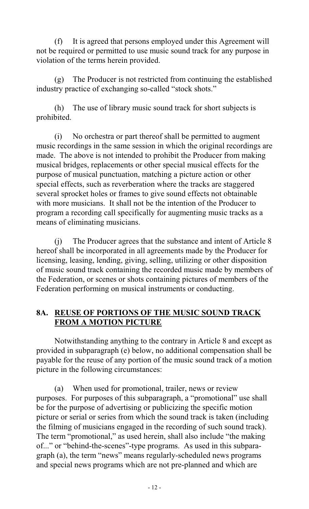(f) It is agreed that persons employed under this Agreement will not be required or permitted to use music sound track for any purpose in violation of the terms herein provided.

(g) The Producer is not restricted from continuing the established industry practice of exchanging so-called "stock shots."

(h) The use of library music sound track for short subjects is prohibited.

(i) No orchestra or part thereof shall be permitted to augment music recordings in the same session in which the original recordings are made. The above is not intended to prohibit the Producer from making musical bridges, replacements or other special musical effects for the purpose of musical punctuation, matching a picture action or other special effects, such as reverberation where the tracks are staggered several sprocket holes or frames to give sound effects not obtainable with more musicians. It shall not be the intention of the Producer to program a recording call specifically for augmenting music tracks as a means of eliminating musicians.

(j) The Producer agrees that the substance and intent of Article 8 hereof shall be incorporated in all agreements made by the Producer for licensing, leasing, lending, giving, selling, utilizing or other disposition of music sound track containing the recorded music made by members of the Federation, or scenes or shots containing pictures of members of the Federation performing on musical instruments or conducting.

## **8A. REUSE OF PORTIONS OF THE MUSIC SOUND TRACK FROM A MOTION PICTURE**

Notwithstanding anything to the contrary in Article 8 and except as provided in subparagraph (e) below, no additional compensation shall be payable for the reuse of any portion of the music sound track of a motion picture in the following circumstances:

(a) When used for promotional, trailer, news or review purposes. For purposes of this subparagraph, a "promotional" use shall be for the purpose of advertising or publicizing the specific motion picture or serial or series from which the sound track is taken (including the filming of musicians engaged in the recording of such sound track). The term "promotional," as used herein, shall also include "the making of..." or "behind-the-scenes"-type programs. As used in this subparagraph (a), the term "news" means regularly-scheduled news programs and special news programs which are not pre-planned and which are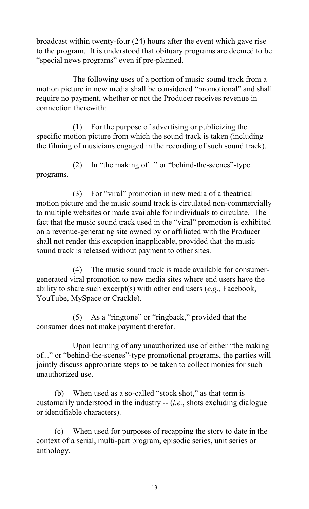broadcast within twenty-four (24) hours after the event which gave rise to the program. It is understood that obituary programs are deemed to be "special news programs" even if pre-planned.

The following uses of a portion of music sound track from a motion picture in new media shall be considered "promotional" and shall require no payment, whether or not the Producer receives revenue in connection therewith:

(1) For the purpose of advertising or publicizing the specific motion picture from which the sound track is taken (including the filming of musicians engaged in the recording of such sound track).

(2) In "the making of..." or "behind-the-scenes"-type programs.

(3) For "viral" promotion in new media of a theatrical motion picture and the music sound track is circulated non-commercially to multiple websites or made available for individuals to circulate. The fact that the music sound track used in the "viral" promotion is exhibited on a revenue-generating site owned by or affiliated with the Producer shall not render this exception inapplicable, provided that the music sound track is released without payment to other sites.

(4) The music sound track is made available for consumergenerated viral promotion to new media sites where end users have the ability to share such excerpt(s) with other end users (*e.g.,* Facebook, YouTube, MySpace or Crackle).

(5) As a "ringtone" or "ringback," provided that the consumer does not make payment therefor.

Upon learning of any unauthorized use of either "the making of..." or "behind-the-scenes"-type promotional programs, the parties will jointly discuss appropriate steps to be taken to collect monies for such unauthorized use.

(b) When used as a so-called "stock shot," as that term is customarily understood in the industry -- (*i.e.*, shots excluding dialogue or identifiable characters).

(c) When used for purposes of recapping the story to date in the context of a serial, multi-part program, episodic series, unit series or anthology.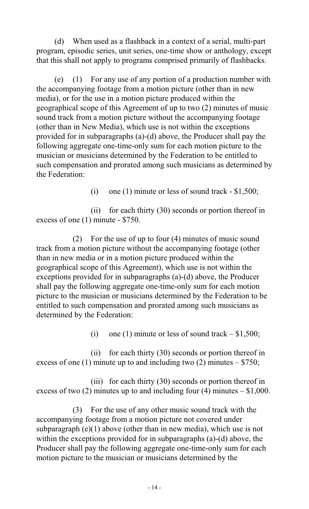(d) When used as a flashback in a context of a serial, multi-part program, episodic series, unit series, one-time show or anthology, except that this shall not apply to programs comprised primarily of flashbacks.

(e) (1) For any use of any portion of a production number with the accompanying footage from a motion picture (other than in new media), or for the use in a motion picture produced within the geographical scope of this Agreement of up to two (2) minutes of music sound track from a motion picture without the accompanying footage (other than in New Media), which use is not within the exceptions provided for in subparagraphs (a)-(d) above, the Producer shall pay the following aggregate one-time-only sum for each motion picture to the musician or musicians determined by the Federation to be entitled to such compensation and prorated among such musicians as determined by the Federation:

(i) one (1) minute or less of sound track  $-$  \$1,500;

(ii) for each thirty (30) seconds or portion thereof in excess of one (1) minute - \$750.

(2) For the use of up to four (4) minutes of music sound track from a motion picture without the accompanying footage (other than in new media or in a motion picture produced within the geographical scope of this Agreement), which use is not within the exceptions provided for in subparagraphs (a)-(d) above, the Producer shall pay the following aggregate one-time-only sum for each motion picture to the musician or musicians determined by the Federation to be entitled to such compensation and prorated among such musicians as determined by the Federation:

(i) one (1) minute or less of sound track  $- $1,500$ ;

(ii) for each thirty (30) seconds or portion thereof in excess of one (1) minute up to and including two (2) minutes  $-$  \$750;

(iii) for each thirty (30) seconds or portion thereof in excess of two (2) minutes up to and including four (4) minutes  $- $1,000$ .

(3) For the use of any other music sound track with the accompanying footage from a motion picture not covered under subparagraph  $(e)(1)$  above (other than in new media), which use is not within the exceptions provided for in subparagraphs (a)-(d) above, the Producer shall pay the following aggregate one-time-only sum for each motion picture to the musician or musicians determined by the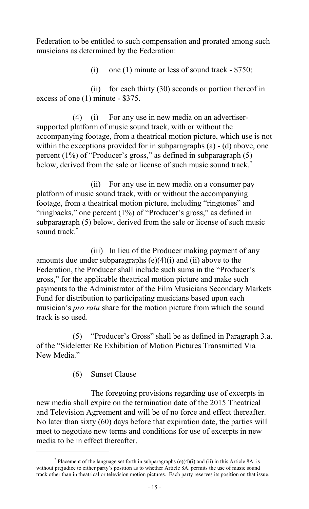Federation to be entitled to such compensation and prorated among such musicians as determined by the Federation:

(i) one (1) minute or less of sound track - \$750;

(ii) for each thirty (30) seconds or portion thereof in excess of one (1) minute - \$375.

(4) (i) For any use in new media on an advertisersupported platform of music sound track, with or without the accompanying footage, from a theatrical motion picture, which use is not within the exceptions provided for in subparagraphs (a) - (d) above, one percent (1%) of "Producer's gross," as defined in subparagraph (5) below, derived from the sale or license of such music sound track.<sup>\*</sup>

(ii) For any use in new media on a consumer pay platform of music sound track, with or without the accompanying footage, from a theatrical motion picture, including "ringtones" and "ringbacks," one percent (1%) of "Producer's gross," as defined in subparagraph (5) below, derived from the sale or license of such music sound track. \*

(iii) In lieu of the Producer making payment of any amounts due under subparagraphs  $(e)(4)(i)$  and  $(ii)$  above to the Federation, the Producer shall include such sums in the "Producer's gross," for the applicable theatrical motion picture and make such payments to the Administrator of the Film Musicians Secondary Markets Fund for distribution to participating musicians based upon each musician's *pro rata* share for the motion picture from which the sound track is so used.

(5) "Producer's Gross" shall be as defined in Paragraph 3.a. of the "Sideletter Re Exhibition of Motion Pictures Transmitted Via New Media."

(6) Sunset Clause

The foregoing provisions regarding use of excerpts in new media shall expire on the termination date of the 2015 Theatrical and Television Agreement and will be of no force and effect thereafter. No later than sixty (60) days before that expiration date, the parties will meet to negotiate new terms and conditions for use of excerpts in new media to be in effect thereafter.

<sup>\*</sup> Placement of the language set forth in subparagraphs (e)(4)(i) and (ii) in this Article 8A. is without prejudice to either party's position as to whether Article 8A. permits the use of music sound track other than in theatrical or television motion pictures. Each party reserves its position on that issue.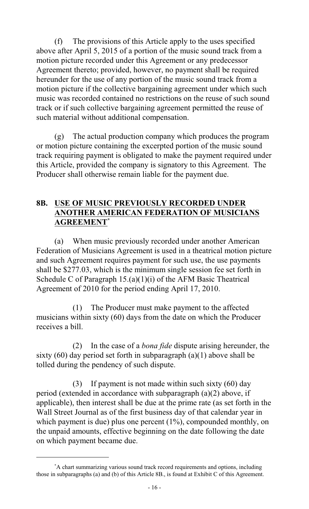(f) The provisions of this Article apply to the uses specified above after April 5, 2015 of a portion of the music sound track from a motion picture recorded under this Agreement or any predecessor Agreement thereto; provided, however, no payment shall be required hereunder for the use of any portion of the music sound track from a motion picture if the collective bargaining agreement under which such music was recorded contained no restrictions on the reuse of such sound track or if such collective bargaining agreement permitted the reuse of such material without additional compensation.

(g) The actual production company which produces the program or motion picture containing the excerpted portion of the music sound track requiring payment is obligated to make the payment required under this Article, provided the company is signatory to this Agreement. The Producer shall otherwise remain liable for the payment due.

#### **8B. USE OF MUSIC PREVIOUSLY RECORDED UNDER ANOTHER AMERICAN FEDERATION OF MUSICIANS AGREEMENT\***

(a) When music previously recorded under another American Federation of Musicians Agreement is used in a theatrical motion picture and such Agreement requires payment for such use, the use payments shall be \$277.03, which is the minimum single session fee set forth in Schedule C of Paragraph 15.(a)(1)(i) of the AFM Basic Theatrical Agreement of 2010 for the period ending April 17, 2010.

(1) The Producer must make payment to the affected musicians within sixty (60) days from the date on which the Producer receives a bill.

(2) In the case of a *bona fide* dispute arising hereunder, the sixty (60) day period set forth in subparagraph (a)(1) above shall be tolled during the pendency of such dispute.

(3) If payment is not made within such sixty (60) day period (extended in accordance with subparagraph (a)(2) above, if applicable), then interest shall be due at the prime rate (as set forth in the Wall Street Journal as of the first business day of that calendar year in which payment is due) plus one percent (1%), compounded monthly, on the unpaid amounts, effective beginning on the date following the date on which payment became due.

<sup>\*</sup>A chart summarizing various sound track record requirements and options, including those in subparagraphs (a) and (b) of this Article 8B., is found at Exhibit C of this Agreement.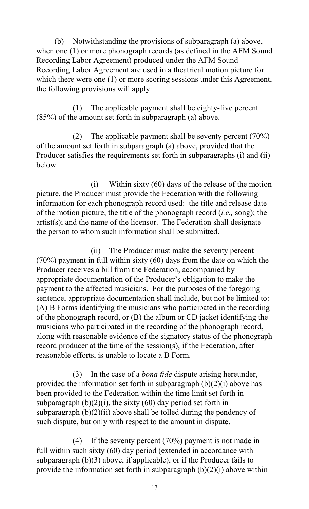(b) Notwithstanding the provisions of subparagraph (a) above, when one (1) or more phonograph records (as defined in the AFM Sound Recording Labor Agreement) produced under the AFM Sound Recording Labor Agreement are used in a theatrical motion picture for which there were one (1) or more scoring sessions under this Agreement, the following provisions will apply:

(1) The applicable payment shall be eighty-five percent (85%) of the amount set forth in subparagraph (a) above.

(2) The applicable payment shall be seventy percent (70%) of the amount set forth in subparagraph (a) above, provided that the Producer satisfies the requirements set forth in subparagraphs (i) and (ii) below.

(i) Within sixty (60) days of the release of the motion picture, the Producer must provide the Federation with the following information for each phonograph record used: the title and release date of the motion picture, the title of the phonograph record (*i.e.,* song); the artist(s); and the name of the licensor. The Federation shall designate the person to whom such information shall be submitted.

(ii) The Producer must make the seventy percent (70%) payment in full within sixty (60) days from the date on which the Producer receives a bill from the Federation, accompanied by appropriate documentation of the Producer's obligation to make the payment to the affected musicians. For the purposes of the foregoing sentence, appropriate documentation shall include, but not be limited to: (A) B Forms identifying the musicians who participated in the recording of the phonograph record, or (B) the album or CD jacket identifying the musicians who participated in the recording of the phonograph record, along with reasonable evidence of the signatory status of the phonograph record producer at the time of the session(s), if the Federation, after reasonable efforts, is unable to locate a B Form.

(3) In the case of a *bona fide* dispute arising hereunder, provided the information set forth in subparagraph (b)(2)(i) above has been provided to the Federation within the time limit set forth in subparagraph  $(b)(2)(i)$ , the sixty  $(60)$  day period set forth in subparagraph  $(b)(2)(ii)$  above shall be tolled during the pendency of such dispute, but only with respect to the amount in dispute.

(4) If the seventy percent (70%) payment is not made in full within such sixty (60) day period (extended in accordance with subparagraph (b)(3) above, if applicable), or if the Producer fails to provide the information set forth in subparagraph (b)(2)(i) above within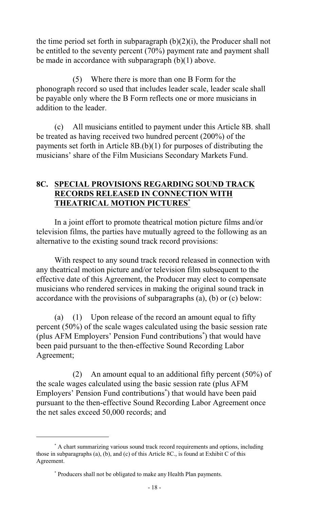the time period set forth in subparagraph  $(b)(2)(i)$ , the Producer shall not be entitled to the seventy percent (70%) payment rate and payment shall be made in accordance with subparagraph (b)(1) above.

(5) Where there is more than one B Form for the phonograph record so used that includes leader scale, leader scale shall be payable only where the B Form reflects one or more musicians in addition to the leader.

(c) All musicians entitled to payment under this Article 8B. shall be treated as having received two hundred percent (200%) of the payments set forth in Article 8B.(b)(1) for purposes of distributing the musicians' share of the Film Musicians Secondary Markets Fund.

#### **8C. SPECIAL PROVISIONS REGARDING SOUND TRACK RECORDS RELEASED IN CONNECTION WITH THEATRICAL MOTION PICTURES\***

In a joint effort to promote theatrical motion picture films and/or television films, the parties have mutually agreed to the following as an alternative to the existing sound track record provisions:

With respect to any sound track record released in connection with any theatrical motion picture and/or television film subsequent to the effective date of this Agreement, the Producer may elect to compensate musicians who rendered services in making the original sound track in accordance with the provisions of subparagraphs (a), (b) or (c) below:

(a) (1) Upon release of the record an amount equal to fifty percent (50%) of the scale wages calculated using the basic session rate (plus AFM Employers' Pension Fund contributions \* ) that would have been paid pursuant to the then-effective Sound Recording Labor Agreement;

(2) An amount equal to an additional fifty percent  $(50\%)$  of the scale wages calculated using the basic session rate (plus AFM Employers' Pension Fund contributions \* ) that would have been paid pursuant to the then-effective Sound Recording Labor Agreement once the net sales exceed 50,000 records; and

<sup>\*</sup> A chart summarizing various sound track record requirements and options, including those in subparagraphs (a), (b), and (c) of this Article 8C., is found at Exhibit C of this Agreement.

<sup>\*</sup> Producers shall not be obligated to make any Health Plan payments.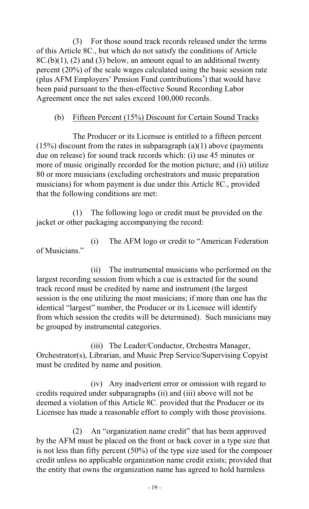(3) For those sound track records released under the terms of this Article 8C., but which do not satisfy the conditions of Article  $8C(b)(1)$ , (2) and (3) below, an amount equal to an additional twenty percent (20%) of the scale wages calculated using the basic session rate (plus AFM Employers' Pension Fund contributions \* ) that would have been paid pursuant to the then-effective Sound Recording Labor Agreement once the net sales exceed 100,000 records.

#### (b) Fifteen Percent (15%) Discount for Certain Sound Tracks

The Producer or its Licensee is entitled to a fifteen percent (15%) discount from the rates in subparagraph  $(a)(1)$  above (payments due on release) for sound track records which: (i) use 45 minutes or more of music originally recorded for the motion picture; and (ii) utilize 80 or more musicians (excluding orchestrators and music preparation musicians) for whom payment is due under this Article 8C., provided that the following conditions are met:

(1) The following logo or credit must be provided on the jacket or other packaging accompanying the record:

(i) The AFM logo or credit to "American Federation of Musicians."

(ii) The instrumental musicians who performed on the largest recording session from which a cue is extracted for the sound track record must be credited by name and instrument (the largest session is the one utilizing the most musicians; if more than one has the identical "largest" number, the Producer or its Licensee will identify from which session the credits will be determined). Such musicians may be grouped by instrumental categories.

(iii) The Leader/Conductor, Orchestra Manager, Orchestrator(s), Librarian, and Music Prep Service/Supervising Copyist must be credited by name and position.

(iv) Any inadvertent error or omission with regard to credits required under subparagraphs (ii) and (iii) above will not be deemed a violation of this Article 8C. provided that the Producer or its Licensee has made a reasonable effort to comply with those provisions.

(2) An "organization name credit" that has been approved by the AFM must be placed on the front or back cover in a type size that is not less than fifty percent (50%) of the type size used for the composer credit unless no applicable organization name credit exists; provided that the entity that owns the organization name has agreed to hold harmless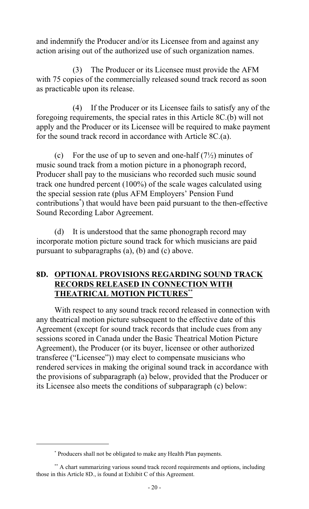and indemnify the Producer and/or its Licensee from and against any action arising out of the authorized use of such organization names.

(3) The Producer or its Licensee must provide the AFM with 75 copies of the commercially released sound track record as soon as practicable upon its release.

(4) If the Producer or its Licensee fails to satisfy any of the foregoing requirements, the special rates in this Article 8C.(b) will not apply and the Producer or its Licensee will be required to make payment for the sound track record in accordance with Article 8C.(a).

(c) For the use of up to seven and one-half  $(7\frac{1}{2})$  minutes of music sound track from a motion picture in a phonograph record, Producer shall pay to the musicians who recorded such music sound track one hundred percent (100%) of the scale wages calculated using the special session rate (plus AFM Employers' Pension Fund contributions \* ) that would have been paid pursuant to the then-effective Sound Recording Labor Agreement.

(d) It is understood that the same phonograph record may incorporate motion picture sound track for which musicians are paid pursuant to subparagraphs (a), (b) and (c) above.

#### **8D. OPTIONAL PROVISIONS REGARDING SOUND TRACK RECORDS RELEASED IN CONNECTION WITH THEATRICAL MOTION PICTURES**\*\*

With respect to any sound track record released in connection with any theatrical motion picture subsequent to the effective date of this Agreement (except for sound track records that include cues from any sessions scored in Canada under the Basic Theatrical Motion Picture Agreement), the Producer (or its buyer, licensee or other authorized transferee ("Licensee")) may elect to compensate musicians who rendered services in making the original sound track in accordance with the provisions of subparagraph (a) below, provided that the Producer or its Licensee also meets the conditions of subparagraph (c) below:

<sup>\*</sup> Producers shall not be obligated to make any Health Plan payments.

<sup>\*\*</sup> A chart summarizing various sound track record requirements and options, including those in this Article 8D., is found at Exhibit C of this Agreement.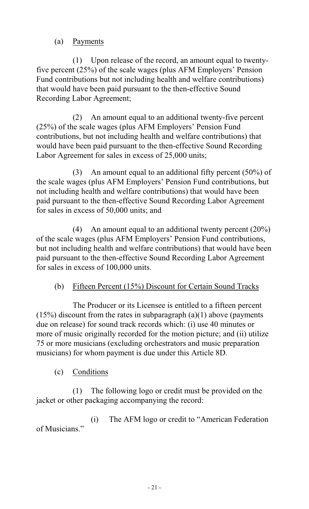## (a) Payments

(1) Upon release of the record, an amount equal to twentyfive percent (25%) of the scale wages (plus AFM Employers' Pension Fund contributions but not including health and welfare contributions) that would have been paid pursuant to the then-effective Sound Recording Labor Agreement;

(2) An amount equal to an additional twenty-five percent (25%) of the scale wages (plus AFM Employers' Pension Fund contributions, but not including health and welfare contributions) that would have been paid pursuant to the then-effective Sound Recording Labor Agreement for sales in excess of 25,000 units;

(3) An amount equal to an additional fifty percent (50%) of the scale wages (plus AFM Employers' Pension Fund contributions, but not including health and welfare contributions) that would have been paid pursuant to the then-effective Sound Recording Labor Agreement for sales in excess of 50,000 units; and

(4) An amount equal to an additional twenty percent (20%) of the scale wages (plus AFM Employers' Pension Fund contributions, but not including health and welfare contributions) that would have been paid pursuant to the then-effective Sound Recording Labor Agreement for sales in excess of 100,000 units.

## (b) Fifteen Percent (15%) Discount for Certain Sound Tracks

The Producer or its Licensee is entitled to a fifteen percent  $(15%)$  discount from the rates in subparagraph  $(a)(1)$  above (payments due on release) for sound track records which: (i) use 40 minutes or more of music originally recorded for the motion picture; and (ii) utilize 75 or more musicians (excluding orchestrators and music preparation musicians) for whom payment is due under this Article 8D.

## (c) Conditions

(1) The following logo or credit must be provided on the jacket or other packaging accompanying the record:

(i) The AFM logo or credit to "American Federation of Musicians."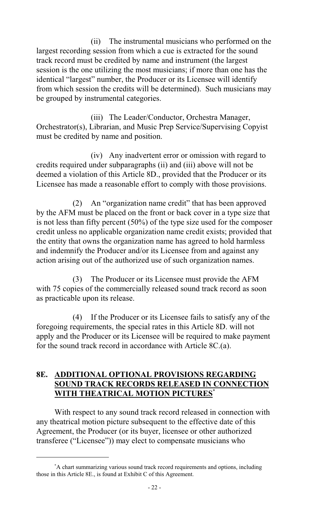(ii) The instrumental musicians who performed on the largest recording session from which a cue is extracted for the sound track record must be credited by name and instrument (the largest session is the one utilizing the most musicians; if more than one has the identical "largest" number, the Producer or its Licensee will identify from which session the credits will be determined). Such musicians may be grouped by instrumental categories.

(iii) The Leader/Conductor, Orchestra Manager, Orchestrator(s), Librarian, and Music Prep Service/Supervising Copyist must be credited by name and position.

(iv) Any inadvertent error or omission with regard to credits required under subparagraphs (ii) and (iii) above will not be deemed a violation of this Article 8D., provided that the Producer or its Licensee has made a reasonable effort to comply with those provisions.

(2) An "organization name credit" that has been approved by the AFM must be placed on the front or back cover in a type size that is not less than fifty percent (50%) of the type size used for the composer credit unless no applicable organization name credit exists; provided that the entity that owns the organization name has agreed to hold harmless and indemnify the Producer and/or its Licensee from and against any action arising out of the authorized use of such organization names.

(3) The Producer or its Licensee must provide the AFM with 75 copies of the commercially released sound track record as soon as practicable upon its release.

(4) If the Producer or its Licensee fails to satisfy any of the foregoing requirements, the special rates in this Article 8D. will not apply and the Producer or its Licensee will be required to make payment for the sound track record in accordance with Article 8C.(a).

## **8E. ADDITIONAL OPTIONAL PROVISIONS REGARDING SOUND TRACK RECORDS RELEASED IN CONNECTION WITH THEATRICAL MOTION PICTURES**\*

With respect to any sound track record released in connection with any theatrical motion picture subsequent to the effective date of this Agreement, the Producer (or its buyer, licensee or other authorized transferee ("Licensee")) may elect to compensate musicians who

<sup>\*</sup>A chart summarizing various sound track record requirements and options, including those in this Article 8E., is found at Exhibit C of this Agreement.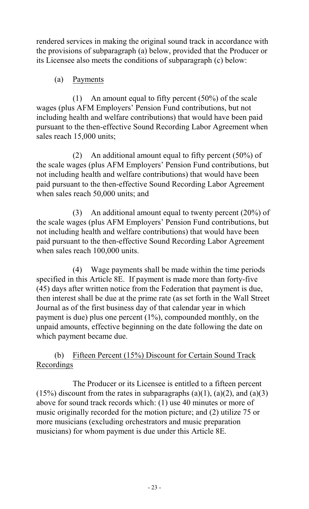rendered services in making the original sound track in accordance with the provisions of subparagraph (a) below, provided that the Producer or its Licensee also meets the conditions of subparagraph (c) below:

## (a) Payments

(1) An amount equal to fifty percent  $(50\%)$  of the scale wages (plus AFM Employers' Pension Fund contributions, but not including health and welfare contributions) that would have been paid pursuant to the then-effective Sound Recording Labor Agreement when sales reach 15,000 units;

(2) An additional amount equal to fifty percent (50%) of the scale wages (plus AFM Employers' Pension Fund contributions, but not including health and welfare contributions) that would have been paid pursuant to the then-effective Sound Recording Labor Agreement when sales reach 50,000 units; and

(3) An additional amount equal to twenty percent (20%) of the scale wages (plus AFM Employers' Pension Fund contributions, but not including health and welfare contributions) that would have been paid pursuant to the then-effective Sound Recording Labor Agreement when sales reach 100,000 units.

(4) Wage payments shall be made within the time periods specified in this Article 8E. If payment is made more than forty-five (45) days after written notice from the Federation that payment is due, then interest shall be due at the prime rate (as set forth in the Wall Street Journal as of the first business day of that calendar year in which payment is due) plus one percent  $(1\%)$ , compounded monthly, on the unpaid amounts, effective beginning on the date following the date on which payment became due.

## (b) Fifteen Percent (15%) Discount for Certain Sound Track Recordings

The Producer or its Licensee is entitled to a fifteen percent (15%) discount from the rates in subparagraphs  $(a)(1)$ ,  $(a)(2)$ , and  $(a)(3)$ above for sound track records which: (1) use 40 minutes or more of music originally recorded for the motion picture; and (2) utilize 75 or more musicians (excluding orchestrators and music preparation musicians) for whom payment is due under this Article 8E.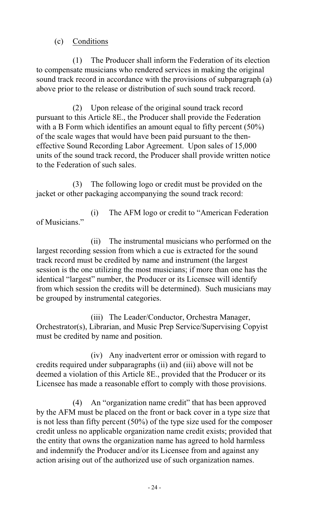## (c) Conditions

(1) The Producer shall inform the Federation of its election to compensate musicians who rendered services in making the original sound track record in accordance with the provisions of subparagraph (a) above prior to the release or distribution of such sound track record.

(2) Upon release of the original sound track record pursuant to this Article 8E., the Producer shall provide the Federation with a B Form which identifies an amount equal to fifty percent (50%) of the scale wages that would have been paid pursuant to the theneffective Sound Recording Labor Agreement. Upon sales of 15,000 units of the sound track record, the Producer shall provide written notice to the Federation of such sales.

(3) The following logo or credit must be provided on the jacket or other packaging accompanying the sound track record:

(i) The AFM logo or credit to "American Federation of Musicians."

(ii) The instrumental musicians who performed on the largest recording session from which a cue is extracted for the sound track record must be credited by name and instrument (the largest session is the one utilizing the most musicians; if more than one has the identical "largest" number, the Producer or its Licensee will identify from which session the credits will be determined). Such musicians may be grouped by instrumental categories.

(iii) The Leader/Conductor, Orchestra Manager, Orchestrator(s), Librarian, and Music Prep Service/Supervising Copyist must be credited by name and position.

(iv) Any inadvertent error or omission with regard to credits required under subparagraphs (ii) and (iii) above will not be deemed a violation of this Article 8E., provided that the Producer or its Licensee has made a reasonable effort to comply with those provisions.

(4) An "organization name credit" that has been approved by the AFM must be placed on the front or back cover in a type size that is not less than fifty percent (50%) of the type size used for the composer credit unless no applicable organization name credit exists; provided that the entity that owns the organization name has agreed to hold harmless and indemnify the Producer and/or its Licensee from and against any action arising out of the authorized use of such organization names.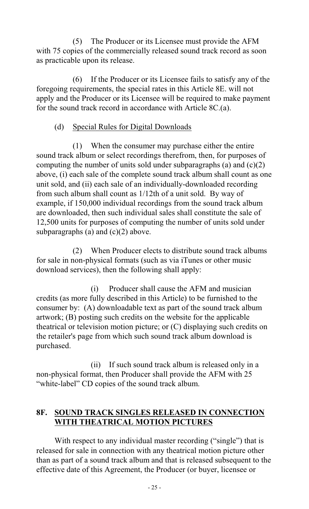(5) The Producer or its Licensee must provide the AFM with 75 copies of the commercially released sound track record as soon as practicable upon its release.

(6) If the Producer or its Licensee fails to satisfy any of the foregoing requirements, the special rates in this Article 8E. will not apply and the Producer or its Licensee will be required to make payment for the sound track record in accordance with Article 8C.(a).

#### (d) Special Rules for Digital Downloads

(1) When the consumer may purchase either the entire sound track album or select recordings therefrom, then, for purposes of computing the number of units sold under subparagraphs (a) and (c)(2) above, (i) each sale of the complete sound track album shall count as one unit sold, and (ii) each sale of an individually-downloaded recording from such album shall count as 1/12th of a unit sold. By way of example, if 150,000 individual recordings from the sound track album are downloaded, then such individual sales shall constitute the sale of 12,500 units for purposes of computing the number of units sold under subparagraphs (a) and  $(c)(2)$  above.

(2) When Producer elects to distribute sound track albums for sale in non-physical formats (such as via iTunes or other music download services), then the following shall apply:

(i) Producer shall cause the AFM and musician credits (as more fully described in this Article) to be furnished to the consumer by: (A) downloadable text as part of the sound track album artwork; (B) posting such credits on the website for the applicable theatrical or television motion picture; or (C) displaying such credits on the retailer's page from which such sound track album download is purchased.

(ii) If such sound track album is released only in a non-physical format, then Producer shall provide the AFM with 25 "white-label" CD copies of the sound track album.

#### **8F. SOUND TRACK SINGLES RELEASED IN CONNECTION WITH THEATRICAL MOTION PICTURES**

With respect to any individual master recording ("single") that is released for sale in connection with any theatrical motion picture other than as part of a sound track album and that is released subsequent to the effective date of this Agreement, the Producer (or buyer, licensee or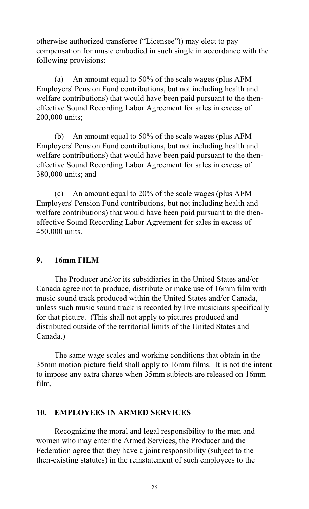otherwise authorized transferee ("Licensee")) may elect to pay compensation for music embodied in such single in accordance with the following provisions:

(a) An amount equal to 50% of the scale wages (plus AFM Employers' Pension Fund contributions, but not including health and welfare contributions) that would have been paid pursuant to the theneffective Sound Recording Labor Agreement for sales in excess of 200,000 units;

(b) An amount equal to 50% of the scale wages (plus AFM Employers' Pension Fund contributions, but not including health and welfare contributions) that would have been paid pursuant to the theneffective Sound Recording Labor Agreement for sales in excess of 380,000 units; and

(c) An amount equal to 20% of the scale wages (plus AFM Employers' Pension Fund contributions, but not including health and welfare contributions) that would have been paid pursuant to the theneffective Sound Recording Labor Agreement for sales in excess of 450,000 units.

#### **9. 16mm FILM**

The Producer and/or its subsidiaries in the United States and/or Canada agree not to produce, distribute or make use of 16mm film with music sound track produced within the United States and/or Canada, unless such music sound track is recorded by live musicians specifically for that picture. (This shall not apply to pictures produced and distributed outside of the territorial limits of the United States and Canada.)

The same wage scales and working conditions that obtain in the 35mm motion picture field shall apply to 16mm films. It is not the intent to impose any extra charge when 35mm subjects are released on 16mm film.

## **10. EMPLOYEES IN ARMED SERVICES**

Recognizing the moral and legal responsibility to the men and women who may enter the Armed Services, the Producer and the Federation agree that they have a joint responsibility (subject to the then-existing statutes) in the reinstatement of such employees to the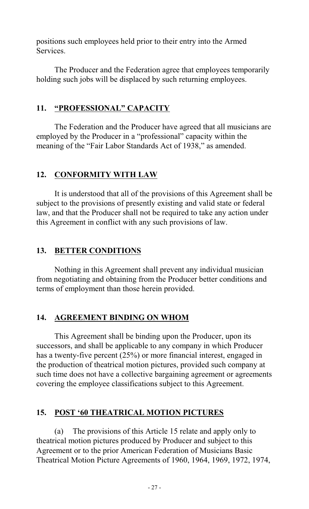positions such employees held prior to their entry into the Armed Services.

The Producer and the Federation agree that employees temporarily holding such jobs will be displaced by such returning employees.

#### **11. "PROFESSIONAL" CAPACITY**

The Federation and the Producer have agreed that all musicians are employed by the Producer in a "professional" capacity within the meaning of the "Fair Labor Standards Act of 1938," as amended.

# **12. CONFORMITY WITH LAW**

It is understood that all of the provisions of this Agreement shall be subject to the provisions of presently existing and valid state or federal law, and that the Producer shall not be required to take any action under this Agreement in conflict with any such provisions of law.

## **13. BETTER CONDITIONS**

Nothing in this Agreement shall prevent any individual musician from negotiating and obtaining from the Producer better conditions and terms of employment than those herein provided.

## **14. AGREEMENT BINDING ON WHOM**

This Agreement shall be binding upon the Producer, upon its successors, and shall be applicable to any company in which Producer has a twenty-five percent (25%) or more financial interest, engaged in the production of theatrical motion pictures, provided such company at such time does not have a collective bargaining agreement or agreements covering the employee classifications subject to this Agreement.

# **15. POST '60 THEATRICAL MOTION PICTURES**

(a) The provisions of this Article 15 relate and apply only to theatrical motion pictures produced by Producer and subject to this Agreement or to the prior American Federation of Musicians Basic Theatrical Motion Picture Agreements of 1960, 1964, 1969, 1972, 1974,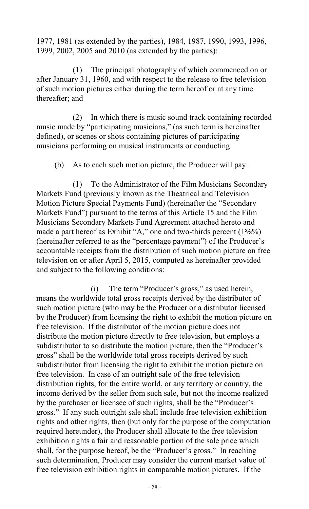1977, 1981 (as extended by the parties), 1984, 1987, 1990, 1993, 1996, 1999, 2002, 2005 and 2010 (as extended by the parties):

(1) The principal photography of which commenced on or after January 31, 1960, and with respect to the release to free television of such motion pictures either during the term hereof or at any time thereafter; and

(2) In which there is music sound track containing recorded music made by "participating musicians," (as such term is hereinafter defined), or scenes or shots containing pictures of participating musicians performing on musical instruments or conducting.

(b) As to each such motion picture, the Producer will pay:

(1) To the Administrator of the Film Musicians Secondary Markets Fund (previously known as the Theatrical and Television Motion Picture Special Payments Fund) (hereinafter the "Secondary Markets Fund") pursuant to the terms of this Article 15 and the Film Musicians Secondary Markets Fund Agreement attached hereto and made a part hereof as Exhibit "A," one and two-thirds percent  $(1\frac{2}{3}\%)$ (hereinafter referred to as the "percentage payment") of the Producer's accountable receipts from the distribution of such motion picture on free television on or after April 5, 2015, computed as hereinafter provided and subject to the following conditions:

(i) The term "Producer's gross," as used herein, means the worldwide total gross receipts derived by the distributor of such motion picture (who may be the Producer or a distributor licensed by the Producer) from licensing the right to exhibit the motion picture on free television. If the distributor of the motion picture does not distribute the motion picture directly to free television, but employs a subdistributor to so distribute the motion picture, then the "Producer's gross" shall be the worldwide total gross receipts derived by such subdistributor from licensing the right to exhibit the motion picture on free television. In case of an outright sale of the free television distribution rights, for the entire world, or any territory or country, the income derived by the seller from such sale, but not the income realized by the purchaser or licensee of such rights, shall be the "Producer's gross." If any such outright sale shall include free television exhibition rights and other rights, then (but only for the purpose of the computation required hereunder), the Producer shall allocate to the free television exhibition rights a fair and reasonable portion of the sale price which shall, for the purpose hereof, be the "Producer's gross." In reaching such determination, Producer may consider the current market value of free television exhibition rights in comparable motion pictures. If the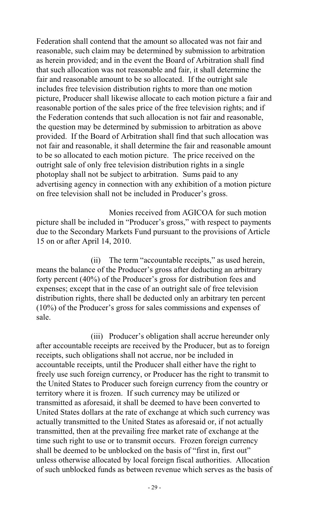Federation shall contend that the amount so allocated was not fair and reasonable, such claim may be determined by submission to arbitration as herein provided; and in the event the Board of Arbitration shall find that such allocation was not reasonable and fair, it shall determine the fair and reasonable amount to be so allocated. If the outright sale includes free television distribution rights to more than one motion picture, Producer shall likewise allocate to each motion picture a fair and reasonable portion of the sales price of the free television rights; and if the Federation contends that such allocation is not fair and reasonable, the question may be determined by submission to arbitration as above provided. If the Board of Arbitration shall find that such allocation was not fair and reasonable, it shall determine the fair and reasonable amount to be so allocated to each motion picture. The price received on the outright sale of only free television distribution rights in a single photoplay shall not be subject to arbitration. Sums paid to any advertising agency in connection with any exhibition of a motion picture on free television shall not be included in Producer's gross.

Monies received from AGICOA for such motion picture shall be included in "Producer's gross," with respect to payments due to the Secondary Markets Fund pursuant to the provisions of Article 15 on or after April 14, 2010.

(ii) The term "accountable receipts," as used herein, means the balance of the Producer's gross after deducting an arbitrary forty percent (40%) of the Producer's gross for distribution fees and expenses; except that in the case of an outright sale of free television distribution rights, there shall be deducted only an arbitrary ten percent (10%) of the Producer's gross for sales commissions and expenses of sale.

(iii) Producer's obligation shall accrue hereunder only after accountable receipts are received by the Producer, but as to foreign receipts, such obligations shall not accrue, nor be included in accountable receipts, until the Producer shall either have the right to freely use such foreign currency, or Producer has the right to transmit to the United States to Producer such foreign currency from the country or territory where it is frozen. If such currency may be utilized or transmitted as aforesaid, it shall be deemed to have been converted to United States dollars at the rate of exchange at which such currency was actually transmitted to the United States as aforesaid or, if not actually transmitted, then at the prevailing free market rate of exchange at the time such right to use or to transmit occurs. Frozen foreign currency shall be deemed to be unblocked on the basis of "first in, first out" unless otherwise allocated by local foreign fiscal authorities. Allocation of such unblocked funds as between revenue which serves as the basis of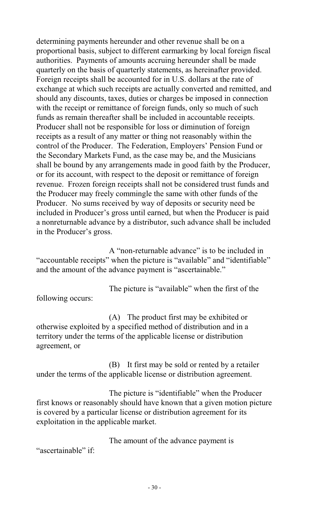determining payments hereunder and other revenue shall be on a proportional basis, subject to different earmarking by local foreign fiscal authorities. Payments of amounts accruing hereunder shall be made quarterly on the basis of quarterly statements, as hereinafter provided. Foreign receipts shall be accounted for in U.S. dollars at the rate of exchange at which such receipts are actually converted and remitted, and should any discounts, taxes, duties or charges be imposed in connection with the receipt or remittance of foreign funds, only so much of such funds as remain thereafter shall be included in accountable receipts. Producer shall not be responsible for loss or diminution of foreign receipts as a result of any matter or thing not reasonably within the control of the Producer. The Federation, Employers' Pension Fund or the Secondary Markets Fund, as the case may be, and the Musicians shall be bound by any arrangements made in good faith by the Producer, or for its account, with respect to the deposit or remittance of foreign revenue. Frozen foreign receipts shall not be considered trust funds and the Producer may freely commingle the same with other funds of the Producer. No sums received by way of deposits or security need be included in Producer's gross until earned, but when the Producer is paid a nonreturnable advance by a distributor, such advance shall be included in the Producer's gross.

A "non-returnable advance" is to be included in "accountable receipts" when the picture is "available" and "identifiable" and the amount of the advance payment is "ascertainable."

The picture is "available" when the first of the following occurs:

(A) The product first may be exhibited or otherwise exploited by a specified method of distribution and in a territory under the terms of the applicable license or distribution agreement, or

(B) It first may be sold or rented by a retailer under the terms of the applicable license or distribution agreement.

The picture is "identifiable" when the Producer first knows or reasonably should have known that a given motion picture is covered by a particular license or distribution agreement for its exploitation in the applicable market.

"ascertainable" if:

The amount of the advance payment is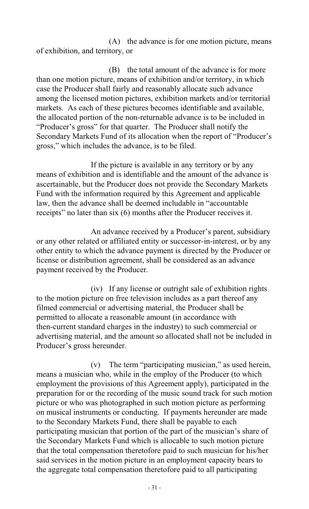(A) the advance is for one motion picture, means of exhibition, and territory, or

(B) the total amount of the advance is for more than one motion picture, means of exhibition and/or territory, in which case the Producer shall fairly and reasonably allocate such advance among the licensed motion pictures, exhibition markets and/or territorial markets. As each of these pictures becomes identifiable and available, the allocated portion of the non-returnable advance is to be included in "Producer's gross" for that quarter. The Producer shall notify the Secondary Markets Fund of its allocation when the report of "Producer's gross," which includes the advance, is to be filed.

If the picture is available in any territory or by any means of exhibition and is identifiable and the amount of the advance is ascertainable, but the Producer does not provide the Secondary Markets Fund with the information required by this Agreement and applicable law, then the advance shall be deemed includable in "accountable receipts" no later than six (6) months after the Producer receives it.

An advance received by a Producer's parent, subsidiary or any other related or affiliated entity or successor-in-interest, or by any other entity to which the advance payment is directed by the Producer or license or distribution agreement, shall be considered as an advance payment received by the Producer.

(iv) If any license or outright sale of exhibition rights to the motion picture on free television includes as a part thereof any filmed commercial or advertising material, the Producer shall be permitted to allocate a reasonable amount (in accordance with then-current standard charges in the industry) to such commercial or advertising material, and the amount so allocated shall not be included in Producer's gross hereunder.

(v) The term "participating musician," as used herein, means a musician who, while in the employ of the Producer (to which employment the provisions of this Agreement apply), participated in the preparation for or the recording of the music sound track for such motion picture or who was photographed in such motion picture as performing on musical instruments or conducting. If payments hereunder are made to the Secondary Markets Fund, there shall be payable to each participating musician that portion of the part of the musician's share of the Secondary Markets Fund which is allocable to such motion picture that the total compensation theretofore paid to such musician for his/her said services in the motion picture in an employment capacity bears to the aggregate total compensation theretofore paid to all participating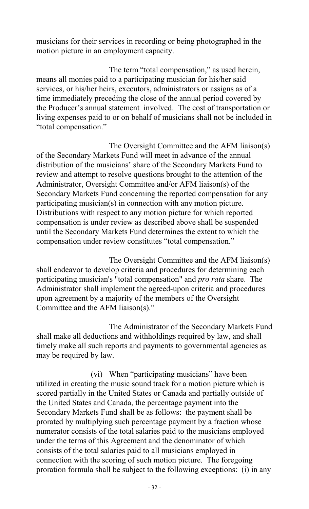musicians for their services in recording or being photographed in the motion picture in an employment capacity.

The term "total compensation," as used herein, means all monies paid to a participating musician for his/her said services, or his/her heirs, executors, administrators or assigns as of a time immediately preceding the close of the annual period covered by the Producer's annual statement involved. The cost of transportation or living expenses paid to or on behalf of musicians shall not be included in "total compensation."

The Oversight Committee and the AFM liaison(s) of the Secondary Markets Fund will meet in advance of the annual distribution of the musicians' share of the Secondary Markets Fund to review and attempt to resolve questions brought to the attention of the Administrator, Oversight Committee and/or AFM liaison(s) of the Secondary Markets Fund concerning the reported compensation for any participating musician(s) in connection with any motion picture. Distributions with respect to any motion picture for which reported compensation is under review as described above shall be suspended until the Secondary Markets Fund determines the extent to which the compensation under review constitutes "total compensation."

The Oversight Committee and the AFM liaison(s) shall endeavor to develop criteria and procedures for determining each participating musician's "total compensation" and *pro rata* share. The Administrator shall implement the agreed-upon criteria and procedures upon agreement by a majority of the members of the Oversight Committee and the AFM liaison(s)."

The Administrator of the Secondary Markets Fund shall make all deductions and withholdings required by law, and shall timely make all such reports and payments to governmental agencies as may be required by law.

(vi) When "participating musicians" have been utilized in creating the music sound track for a motion picture which is scored partially in the United States or Canada and partially outside of the United States and Canada, the percentage payment into the Secondary Markets Fund shall be as follows: the payment shall be prorated by multiplying such percentage payment by a fraction whose numerator consists of the total salaries paid to the musicians employed under the terms of this Agreement and the denominator of which consists of the total salaries paid to all musicians employed in connection with the scoring of such motion picture. The foregoing proration formula shall be subject to the following exceptions: (i) in any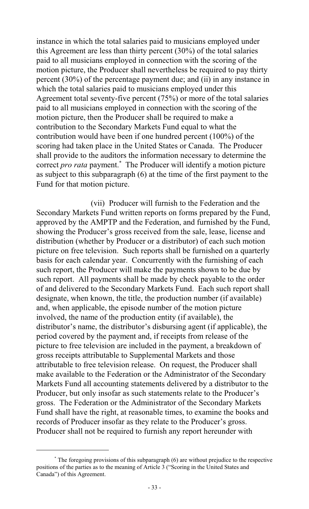instance in which the total salaries paid to musicians employed under this Agreement are less than thirty percent (30%) of the total salaries paid to all musicians employed in connection with the scoring of the motion picture, the Producer shall nevertheless be required to pay thirty percent (30%) of the percentage payment due; and (ii) in any instance in which the total salaries paid to musicians employed under this Agreement total seventy-five percent (75%) or more of the total salaries paid to all musicians employed in connection with the scoring of the motion picture, then the Producer shall be required to make a contribution to the Secondary Markets Fund equal to what the contribution would have been if one hundred percent (100%) of the scoring had taken place in the United States or Canada. The Producer shall provide to the auditors the information necessary to determine the correct *pro rata* payment.\* The Producer will identify a motion picture as subject to this subparagraph (6) at the time of the first payment to the Fund for that motion picture.

(vii) Producer will furnish to the Federation and the Secondary Markets Fund written reports on forms prepared by the Fund, approved by the AMPTP and the Federation, and furnished by the Fund, showing the Producer's gross received from the sale, lease, license and distribution (whether by Producer or a distributor) of each such motion picture on free television. Such reports shall be furnished on a quarterly basis for each calendar year. Concurrently with the furnishing of each such report, the Producer will make the payments shown to be due by such report. All payments shall be made by check payable to the order of and delivered to the Secondary Markets Fund. Each such report shall designate, when known, the title, the production number (if available) and, when applicable, the episode number of the motion picture involved, the name of the production entity (if available), the distributor's name, the distributor's disbursing agent (if applicable), the period covered by the payment and, if receipts from release of the picture to free television are included in the payment, a breakdown of gross receipts attributable to Supplemental Markets and those attributable to free television release. On request, the Producer shall make available to the Federation or the Administrator of the Secondary Markets Fund all accounting statements delivered by a distributor to the Producer, but only insofar as such statements relate to the Producer's gross. The Federation or the Administrator of the Secondary Markets Fund shall have the right, at reasonable times, to examine the books and records of Producer insofar as they relate to the Producer's gross. Producer shall not be required to furnish any report hereunder with

<sup>\*</sup> The foregoing provisions of this subparagraph (6) are without prejudice to the respective positions of the parties as to the meaning of Article 3 ("Scoring in the United States and Canada") of this Agreement.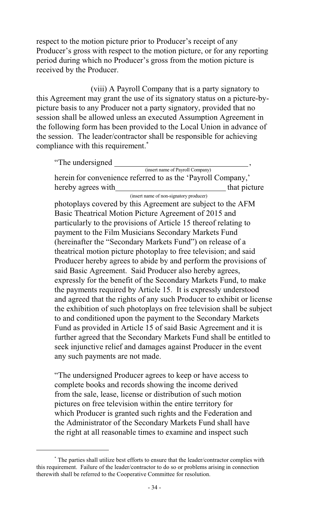respect to the motion picture prior to Producer's receipt of any Producer's gross with respect to the motion picture, or for any reporting period during which no Producer's gross from the motion picture is received by the Producer.

(viii) A Payroll Company that is a party signatory to this Agreement may grant the use of its signatory status on a picture-bypicture basis to any Producer not a party signatory, provided that no session shall be allowed unless an executed Assumption Agreement in the following form has been provided to the Local Union in advance of the session. The leader/contractor shall be responsible for achieving compliance with this requirement.\*

"The undersigned \_\_\_\_ (insert name of Payroll Company) herein for convenience referred to as the 'Payroll Company,' hereby agrees with that picture

 (insert name of non-signatory producer) photoplays covered by this Agreement are subject to the AFM Basic Theatrical Motion Picture Agreement of 2015 and particularly to the provisions of Article 15 thereof relating to payment to the Film Musicians Secondary Markets Fund (hereinafter the "Secondary Markets Fund") on release of a theatrical motion picture photoplay to free television; and said Producer hereby agrees to abide by and perform the provisions of said Basic Agreement. Said Producer also hereby agrees, expressly for the benefit of the Secondary Markets Fund, to make the payments required by Article 15. It is expressly understood and agreed that the rights of any such Producer to exhibit or license the exhibition of such photoplays on free television shall be subject to and conditioned upon the payment to the Secondary Markets Fund as provided in Article 15 of said Basic Agreement and it is further agreed that the Secondary Markets Fund shall be entitled to seek injunctive relief and damages against Producer in the event any such payments are not made.

"The undersigned Producer agrees to keep or have access to complete books and records showing the income derived from the sale, lease, license or distribution of such motion pictures on free television within the entire territory for which Producer is granted such rights and the Federation and the Administrator of the Secondary Markets Fund shall have the right at all reasonable times to examine and inspect such

<sup>\*</sup> The parties shall utilize best efforts to ensure that the leader/contractor complies with this requirement. Failure of the leader/contractor to do so or problems arising in connection therewith shall be referred to the Cooperative Committee for resolution.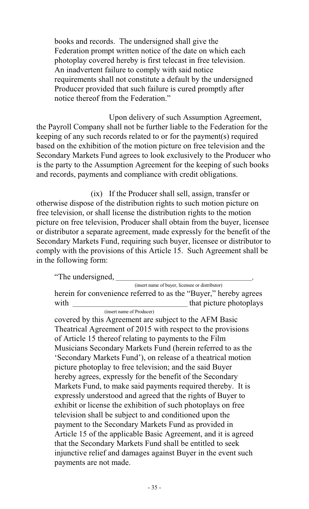books and records. The undersigned shall give the Federation prompt written notice of the date on which each photoplay covered hereby is first telecast in free television. An inadvertent failure to comply with said notice requirements shall not constitute a default by the undersigned Producer provided that such failure is cured promptly after notice thereof from the Federation."

Upon delivery of such Assumption Agreement, the Payroll Company shall not be further liable to the Federation for the keeping of any such records related to or for the payment(s) required based on the exhibition of the motion picture on free television and the Secondary Markets Fund agrees to look exclusively to the Producer who is the party to the Assumption Agreement for the keeping of such books and records, payments and compliance with credit obligations.

(ix) If the Producer shall sell, assign, transfer or otherwise dispose of the distribution rights to such motion picture on free television, or shall license the distribution rights to the motion picture on free television, Producer shall obtain from the buyer, licensee or distributor a separate agreement, made expressly for the benefit of the Secondary Markets Fund, requiring such buyer, licensee or distributor to comply with the provisions of this Article 15. Such Agreement shall be in the following form:

|      | "The undersigned,                                                |
|------|------------------------------------------------------------------|
|      | (insert name of buyer, licensee or distributor)                  |
|      | herein for convenience referred to as the "Buyer," hereby agrees |
| with | that picture photoplays                                          |
|      | (insert name of Producer)                                        |

covered by this Agreement are subject to the AFM Basic Theatrical Agreement of 2015 with respect to the provisions of Article 15 thereof relating to payments to the Film Musicians Secondary Markets Fund (herein referred to as the 'Secondary Markets Fund'), on release of a theatrical motion picture photoplay to free television; and the said Buyer hereby agrees, expressly for the benefit of the Secondary Markets Fund, to make said payments required thereby. It is expressly understood and agreed that the rights of Buyer to exhibit or license the exhibition of such photoplays on free television shall be subject to and conditioned upon the payment to the Secondary Markets Fund as provided in Article 15 of the applicable Basic Agreement, and it is agreed that the Secondary Markets Fund shall be entitled to seek injunctive relief and damages against Buyer in the event such payments are not made.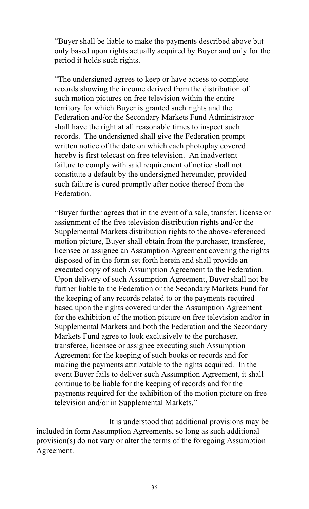"Buyer shall be liable to make the payments described above but only based upon rights actually acquired by Buyer and only for the period it holds such rights.

"The undersigned agrees to keep or have access to complete records showing the income derived from the distribution of such motion pictures on free television within the entire territory for which Buyer is granted such rights and the Federation and/or the Secondary Markets Fund Administrator shall have the right at all reasonable times to inspect such records. The undersigned shall give the Federation prompt written notice of the date on which each photoplay covered hereby is first telecast on free television. An inadvertent failure to comply with said requirement of notice shall not constitute a default by the undersigned hereunder, provided such failure is cured promptly after notice thereof from the Federation.

"Buyer further agrees that in the event of a sale, transfer, license or assignment of the free television distribution rights and/or the Supplemental Markets distribution rights to the above-referenced motion picture, Buyer shall obtain from the purchaser, transferee, licensee or assignee an Assumption Agreement covering the rights disposed of in the form set forth herein and shall provide an executed copy of such Assumption Agreement to the Federation. Upon delivery of such Assumption Agreement, Buyer shall not be further liable to the Federation or the Secondary Markets Fund for the keeping of any records related to or the payments required based upon the rights covered under the Assumption Agreement for the exhibition of the motion picture on free television and/or in Supplemental Markets and both the Federation and the Secondary Markets Fund agree to look exclusively to the purchaser, transferee, licensee or assignee executing such Assumption Agreement for the keeping of such books or records and for making the payments attributable to the rights acquired. In the event Buyer fails to deliver such Assumption Agreement, it shall continue to be liable for the keeping of records and for the payments required for the exhibition of the motion picture on free television and/or in Supplemental Markets."

It is understood that additional provisions may be included in form Assumption Agreements, so long as such additional provision(s) do not vary or alter the terms of the foregoing Assumption Agreement.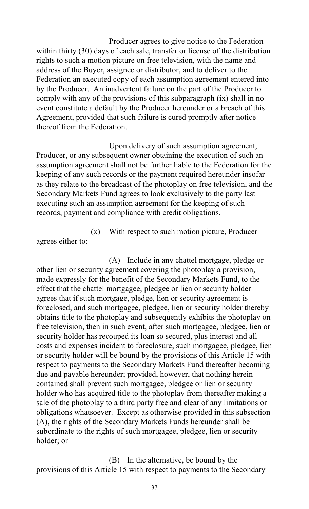Producer agrees to give notice to the Federation within thirty (30) days of each sale, transfer or license of the distribution rights to such a motion picture on free television, with the name and address of the Buyer, assignee or distributor, and to deliver to the Federation an executed copy of each assumption agreement entered into by the Producer. An inadvertent failure on the part of the Producer to comply with any of the provisions of this subparagraph (ix) shall in no event constitute a default by the Producer hereunder or a breach of this Agreement, provided that such failure is cured promptly after notice thereof from the Federation.

Upon delivery of such assumption agreement, Producer, or any subsequent owner obtaining the execution of such an assumption agreement shall not be further liable to the Federation for the keeping of any such records or the payment required hereunder insofar as they relate to the broadcast of the photoplay on free television, and the Secondary Markets Fund agrees to look exclusively to the party last executing such an assumption agreement for the keeping of such records, payment and compliance with credit obligations.

(x) With respect to such motion picture, Producer

agrees either to:

(A) Include in any chattel mortgage, pledge or other lien or security agreement covering the photoplay a provision, made expressly for the benefit of the Secondary Markets Fund, to the effect that the chattel mortgagee, pledgee or lien or security holder agrees that if such mortgage, pledge, lien or security agreement is foreclosed, and such mortgagee, pledgee, lien or security holder thereby obtains title to the photoplay and subsequently exhibits the photoplay on free television, then in such event, after such mortgagee, pledgee, lien or security holder has recouped its loan so secured, plus interest and all costs and expenses incident to foreclosure, such mortgagee, pledgee, lien or security holder will be bound by the provisions of this Article 15 with respect to payments to the Secondary Markets Fund thereafter becoming due and payable hereunder; provided, however, that nothing herein contained shall prevent such mortgagee, pledgee or lien or security holder who has acquired title to the photoplay from thereafter making a sale of the photoplay to a third party free and clear of any limitations or obligations whatsoever. Except as otherwise provided in this subsection (A), the rights of the Secondary Markets Funds hereunder shall be subordinate to the rights of such mortgagee, pledgee, lien or security holder; or

(B) In the alternative, be bound by the provisions of this Article 15 with respect to payments to the Secondary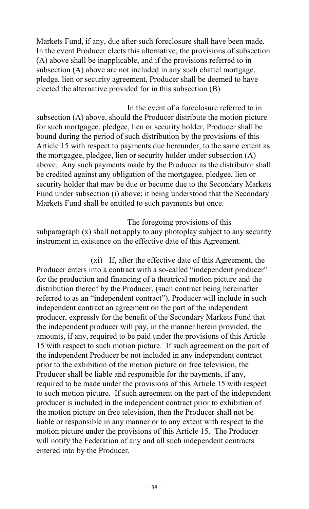Markets Fund, if any, due after such foreclosure shall have been made. In the event Producer elects this alternative, the provisions of subsection (A) above shall be inapplicable, and if the provisions referred to in subsection (A) above are not included in any such chattel mortgage, pledge, lien or security agreement, Producer shall be deemed to have elected the alternative provided for in this subsection (B).

In the event of a foreclosure referred to in subsection (A) above, should the Producer distribute the motion picture for such mortgagee, pledgee, lien or security holder, Producer shall be bound during the period of such distribution by the provisions of this Article 15 with respect to payments due hereunder, to the same extent as the mortgagee, pledgee, lien or security holder under subsection (A) above. Any such payments made by the Producer as the distributor shall be credited against any obligation of the mortgagee, pledgee, lien or security holder that may be due or become due to the Secondary Markets Fund under subsection (i) above; it being understood that the Secondary Markets Fund shall be entitled to such payments but once.

The foregoing provisions of this

subparagraph (x) shall not apply to any photoplay subject to any security instrument in existence on the effective date of this Agreement.

(xi) If, after the effective date of this Agreement, the Producer enters into a contract with a so-called "independent producer" for the production and financing of a theatrical motion picture and the distribution thereof by the Producer, (such contract being hereinafter referred to as an "independent contract"), Producer will include in such independent contract an agreement on the part of the independent producer, expressly for the benefit of the Secondary Markets Fund that the independent producer will pay, in the manner herein provided, the amounts, if any, required to be paid under the provisions of this Article 15 with respect to such motion picture. If such agreement on the part of the independent Producer be not included in any independent contract prior to the exhibition of the motion picture on free television, the Producer shall be liable and responsible for the payments, if any, required to be made under the provisions of this Article 15 with respect to such motion picture. If such agreement on the part of the independent producer is included in the independent contract prior to exhibition of the motion picture on free television, then the Producer shall not be liable or responsible in any manner or to any extent with respect to the motion picture under the provisions of this Article 15. The Producer will notify the Federation of any and all such independent contracts entered into by the Producer.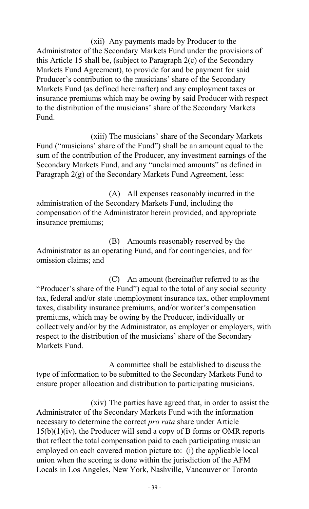(xii) Any payments made by Producer to the Administrator of the Secondary Markets Fund under the provisions of this Article 15 shall be, (subject to Paragraph 2(c) of the Secondary Markets Fund Agreement), to provide for and be payment for said Producer's contribution to the musicians' share of the Secondary Markets Fund (as defined hereinafter) and any employment taxes or insurance premiums which may be owing by said Producer with respect to the distribution of the musicians' share of the Secondary Markets Fund.

(xiii) The musicians' share of the Secondary Markets Fund ("musicians' share of the Fund") shall be an amount equal to the sum of the contribution of the Producer, any investment earnings of the Secondary Markets Fund, and any "unclaimed amounts" as defined in Paragraph 2(g) of the Secondary Markets Fund Agreement, less:

(A) All expenses reasonably incurred in the administration of the Secondary Markets Fund, including the compensation of the Administrator herein provided, and appropriate insurance premiums;

(B) Amounts reasonably reserved by the Administrator as an operating Fund, and for contingencies, and for omission claims; and

(C) An amount (hereinafter referred to as the "Producer's share of the Fund") equal to the total of any social security tax, federal and/or state unemployment insurance tax, other employment taxes, disability insurance premiums, and/or worker's compensation premiums, which may be owing by the Producer, individually or collectively and/or by the Administrator, as employer or employers, with respect to the distribution of the musicians' share of the Secondary Markets Fund.

A committee shall be established to discuss the type of information to be submitted to the Secondary Markets Fund to ensure proper allocation and distribution to participating musicians.

(xiv) The parties have agreed that, in order to assist the Administrator of the Secondary Markets Fund with the information necessary to determine the correct *pro rata* share under Article  $15(b)(1)(iv)$ , the Producer will send a copy of B forms or OMR reports that reflect the total compensation paid to each participating musician employed on each covered motion picture to: (i) the applicable local union when the scoring is done within the jurisdiction of the AFM Locals in Los Angeles, New York, Nashville, Vancouver or Toronto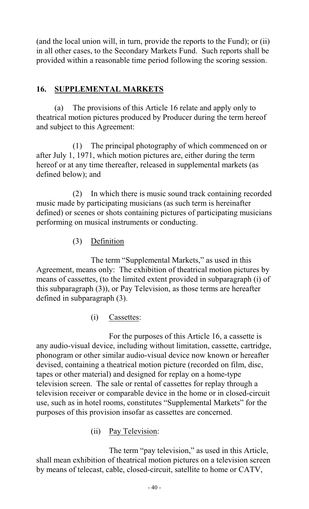(and the local union will, in turn, provide the reports to the Fund); or (ii) in all other cases, to the Secondary Markets Fund. Such reports shall be provided within a reasonable time period following the scoring session.

## **16. SUPPLEMENTAL MARKETS**

(a) The provisions of this Article 16 relate and apply only to theatrical motion pictures produced by Producer during the term hereof and subject to this Agreement:

(1) The principal photography of which commenced on or after July 1, 1971, which motion pictures are, either during the term hereof or at any time thereafter, released in supplemental markets (as defined below); and

(2) In which there is music sound track containing recorded music made by participating musicians (as such term is hereinafter defined) or scenes or shots containing pictures of participating musicians performing on musical instruments or conducting.

(3) Definition

The term "Supplemental Markets," as used in this Agreement, means only: The exhibition of theatrical motion pictures by means of cassettes, (to the limited extent provided in subparagraph (i) of this subparagraph (3)), or Pay Television, as those terms are hereafter defined in subparagraph (3).

(i) Cassettes:

For the purposes of this Article 16, a cassette is any audio-visual device, including without limitation, cassette, cartridge, phonogram or other similar audio-visual device now known or hereafter devised, containing a theatrical motion picture (recorded on film, disc, tapes or other material) and designed for replay on a home-type television screen. The sale or rental of cassettes for replay through a television receiver or comparable device in the home or in closed-circuit use, such as in hotel rooms, constitutes "Supplemental Markets" for the purposes of this provision insofar as cassettes are concerned.

(ii) Pay Television:

The term "pay television," as used in this Article, shall mean exhibition of theatrical motion pictures on a television screen by means of telecast, cable, closed-circuit, satellite to home or CATV,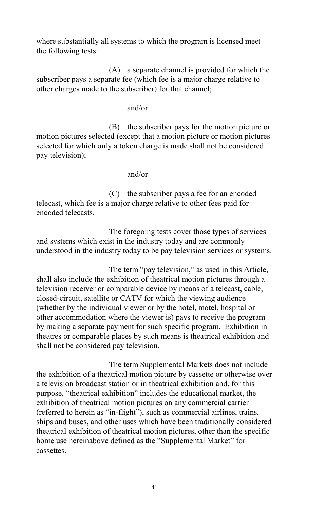where substantially all systems to which the program is licensed meet the following tests:

(A) a separate channel is provided for which the subscriber pays a separate fee (which fee is a major charge relative to other charges made to the subscriber) for that channel;

#### and/or

(B) the subscriber pays for the motion picture or motion pictures selected (except that a motion picture or motion pictures selected for which only a token charge is made shall not be considered pay television);

#### and/or

(C) the subscriber pays a fee for an encoded telecast, which fee is a major charge relative to other fees paid for encoded telecasts.

The foregoing tests cover those types of services and systems which exist in the industry today and are commonly understood in the industry today to be pay television services or systems.

The term "pay television," as used in this Article, shall also include the exhibition of theatrical motion pictures through a television receiver or comparable device by means of a telecast, cable, closed-circuit, satellite or CATV for which the viewing audience (whether by the individual viewer or by the hotel, motel, hospital or other accommodation where the viewer is) pays to receive the program by making a separate payment for such specific program. Exhibition in theatres or comparable places by such means is theatrical exhibition and shall not be considered pay television.

The term Supplemental Markets does not include the exhibition of a theatrical motion picture by cassette or otherwise over a television broadcast station or in theatrical exhibition and, for this purpose, "theatrical exhibition" includes the educational market, the exhibition of theatrical motion pictures on any commercial carrier (referred to herein as "in-flight"), such as commercial airlines, trains, ships and buses, and other uses which have been traditionally considered theatrical exhibition of theatrical motion pictures, other than the specific home use hereinabove defined as the "Supplemental Market" for cassettes.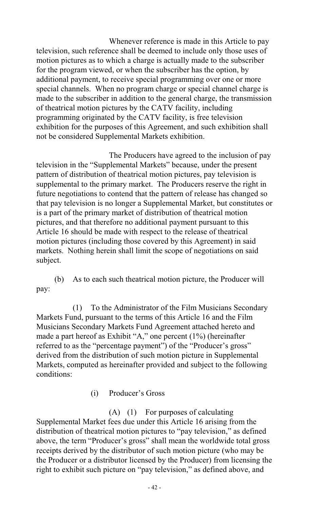Whenever reference is made in this Article to pay television, such reference shall be deemed to include only those uses of motion pictures as to which a charge is actually made to the subscriber for the program viewed, or when the subscriber has the option, by additional payment, to receive special programming over one or more special channels. When no program charge or special channel charge is made to the subscriber in addition to the general charge, the transmission of theatrical motion pictures by the CATV facility, including programming originated by the CATV facility, is free television exhibition for the purposes of this Agreement, and such exhibition shall not be considered Supplemental Markets exhibition.

The Producers have agreed to the inclusion of pay television in the "Supplemental Markets" because, under the present pattern of distribution of theatrical motion pictures, pay television is supplemental to the primary market. The Producers reserve the right in future negotiations to contend that the pattern of release has changed so that pay television is no longer a Supplemental Market, but constitutes or is a part of the primary market of distribution of theatrical motion pictures, and that therefore no additional payment pursuant to this Article 16 should be made with respect to the release of theatrical motion pictures (including those covered by this Agreement) in said markets. Nothing herein shall limit the scope of negotiations on said subject.

(b) As to each such theatrical motion picture, the Producer will pay:

(1) To the Administrator of the Film Musicians Secondary Markets Fund, pursuant to the terms of this Article 16 and the Film Musicians Secondary Markets Fund Agreement attached hereto and made a part hereof as Exhibit "A," one percent (1%) (hereinafter referred to as the "percentage payment") of the "Producer's gross" derived from the distribution of such motion picture in Supplemental Markets, computed as hereinafter provided and subject to the following conditions:

(i) Producer's Gross

(A) (1) For purposes of calculating Supplemental Market fees due under this Article 16 arising from the distribution of theatrical motion pictures to "pay television," as defined above, the term "Producer's gross" shall mean the worldwide total gross receipts derived by the distributor of such motion picture (who may be the Producer or a distributor licensed by the Producer) from licensing the right to exhibit such picture on "pay television," as defined above, and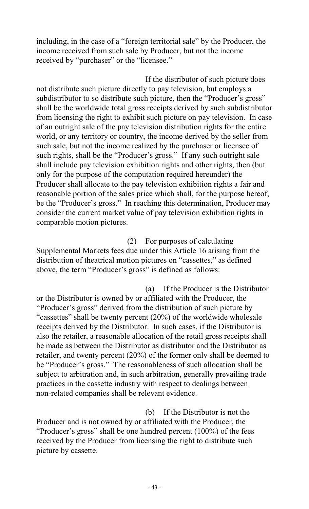including, in the case of a "foreign territorial sale" by the Producer, the income received from such sale by Producer, but not the income received by "purchaser" or the "licensee."

If the distributor of such picture does not distribute such picture directly to pay television, but employs a subdistributor to so distribute such picture, then the "Producer's gross" shall be the worldwide total gross receipts derived by such subdistributor from licensing the right to exhibit such picture on pay television. In case of an outright sale of the pay television distribution rights for the entire world, or any territory or country, the income derived by the seller from such sale, but not the income realized by the purchaser or licensee of such rights, shall be the "Producer's gross." If any such outright sale shall include pay television exhibition rights and other rights, then (but only for the purpose of the computation required hereunder) the Producer shall allocate to the pay television exhibition rights a fair and reasonable portion of the sales price which shall, for the purpose hereof, be the "Producer's gross." In reaching this determination, Producer may consider the current market value of pay television exhibition rights in comparable motion pictures.

(2) For purposes of calculating Supplemental Markets fees due under this Article 16 arising from the distribution of theatrical motion pictures on "cassettes," as defined above, the term "Producer's gross" is defined as follows:

(a) If the Producer is the Distributor or the Distributor is owned by or affiliated with the Producer, the "Producer's gross" derived from the distribution of such picture by "cassettes" shall be twenty percent (20%) of the worldwide wholesale receipts derived by the Distributor. In such cases, if the Distributor is also the retailer, a reasonable allocation of the retail gross receipts shall be made as between the Distributor as distributor and the Distributor as retailer, and twenty percent (20%) of the former only shall be deemed to be "Producer's gross." The reasonableness of such allocation shall be subject to arbitration and, in such arbitration, generally prevailing trade practices in the cassette industry with respect to dealings between non-related companies shall be relevant evidence.

(b) If the Distributor is not the Producer and is not owned by or affiliated with the Producer, the "Producer's gross" shall be one hundred percent (100%) of the fees received by the Producer from licensing the right to distribute such picture by cassette.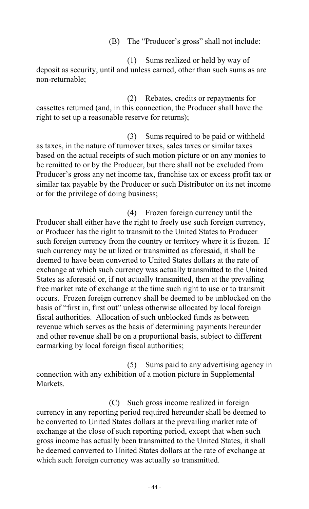(B) The "Producer's gross" shall not include:

(1) Sums realized or held by way of deposit as security, until and unless earned, other than such sums as are non-returnable;

(2) Rebates, credits or repayments for cassettes returned (and, in this connection, the Producer shall have the right to set up a reasonable reserve for returns);

(3) Sums required to be paid or withheld as taxes, in the nature of turnover taxes, sales taxes or similar taxes based on the actual receipts of such motion picture or on any monies to be remitted to or by the Producer, but there shall not be excluded from Producer's gross any net income tax, franchise tax or excess profit tax or similar tax payable by the Producer or such Distributor on its net income or for the privilege of doing business;

(4) Frozen foreign currency until the Producer shall either have the right to freely use such foreign currency, or Producer has the right to transmit to the United States to Producer such foreign currency from the country or territory where it is frozen. If such currency may be utilized or transmitted as aforesaid, it shall be deemed to have been converted to United States dollars at the rate of exchange at which such currency was actually transmitted to the United States as aforesaid or, if not actually transmitted, then at the prevailing free market rate of exchange at the time such right to use or to transmit occurs. Frozen foreign currency shall be deemed to be unblocked on the basis of "first in, first out" unless otherwise allocated by local foreign fiscal authorities. Allocation of such unblocked funds as between revenue which serves as the basis of determining payments hereunder and other revenue shall be on a proportional basis, subject to different earmarking by local foreign fiscal authorities;

(5) Sums paid to any advertising agency in connection with any exhibition of a motion picture in Supplemental Markets.

(C) Such gross income realized in foreign currency in any reporting period required hereunder shall be deemed to be converted to United States dollars at the prevailing market rate of exchange at the close of such reporting period, except that when such gross income has actually been transmitted to the United States, it shall be deemed converted to United States dollars at the rate of exchange at which such foreign currency was actually so transmitted.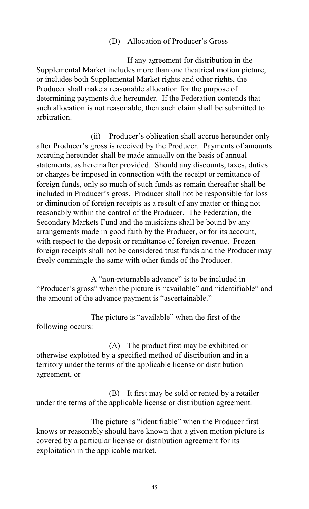### (D) Allocation of Producer's Gross

If any agreement for distribution in the Supplemental Market includes more than one theatrical motion picture, or includes both Supplemental Market rights and other rights, the Producer shall make a reasonable allocation for the purpose of determining payments due hereunder. If the Federation contends that such allocation is not reasonable, then such claim shall be submitted to arbitration.

(ii) Producer's obligation shall accrue hereunder only after Producer's gross is received by the Producer. Payments of amounts accruing hereunder shall be made annually on the basis of annual statements, as hereinafter provided. Should any discounts, taxes, duties or charges be imposed in connection with the receipt or remittance of foreign funds, only so much of such funds as remain thereafter shall be included in Producer's gross. Producer shall not be responsible for loss or diminution of foreign receipts as a result of any matter or thing not reasonably within the control of the Producer. The Federation, the Secondary Markets Fund and the musicians shall be bound by any arrangements made in good faith by the Producer, or for its account, with respect to the deposit or remittance of foreign revenue. Frozen foreign receipts shall not be considered trust funds and the Producer may freely commingle the same with other funds of the Producer.

A "non-returnable advance" is to be included in "Producer's gross" when the picture is "available" and "identifiable" and the amount of the advance payment is "ascertainable."

The picture is "available" when the first of the following occurs:

(A) The product first may be exhibited or otherwise exploited by a specified method of distribution and in a territory under the terms of the applicable license or distribution agreement, or

(B) It first may be sold or rented by a retailer under the terms of the applicable license or distribution agreement.

The picture is "identifiable" when the Producer first knows or reasonably should have known that a given motion picture is covered by a particular license or distribution agreement for its exploitation in the applicable market.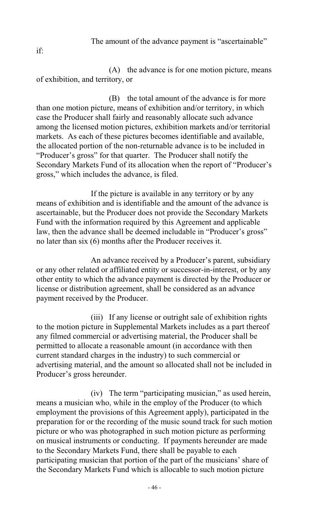The amount of the advance payment is "ascertainable"

(A) the advance is for one motion picture, means of exhibition, and territory, or

(B) the total amount of the advance is for more than one motion picture, means of exhibition and/or territory, in which case the Producer shall fairly and reasonably allocate such advance among the licensed motion pictures, exhibition markets and/or territorial markets. As each of these pictures becomes identifiable and available, the allocated portion of the non-returnable advance is to be included in "Producer's gross" for that quarter. The Producer shall notify the Secondary Markets Fund of its allocation when the report of "Producer's gross," which includes the advance, is filed.

If the picture is available in any territory or by any means of exhibition and is identifiable and the amount of the advance is ascertainable, but the Producer does not provide the Secondary Markets Fund with the information required by this Agreement and applicable law, then the advance shall be deemed includable in "Producer's gross" no later than six (6) months after the Producer receives it.

An advance received by a Producer's parent, subsidiary or any other related or affiliated entity or successor-in-interest, or by any other entity to which the advance payment is directed by the Producer or license or distribution agreement, shall be considered as an advance payment received by the Producer.

(iii) If any license or outright sale of exhibition rights to the motion picture in Supplemental Markets includes as a part thereof any filmed commercial or advertising material, the Producer shall be permitted to allocate a reasonable amount (in accordance with then current standard charges in the industry) to such commercial or advertising material, and the amount so allocated shall not be included in Producer's gross hereunder.

(iv) The term "participating musician," as used herein, means a musician who, while in the employ of the Producer (to which employment the provisions of this Agreement apply), participated in the preparation for or the recording of the music sound track for such motion picture or who was photographed in such motion picture as performing on musical instruments or conducting. If payments hereunder are made to the Secondary Markets Fund, there shall be payable to each participating musician that portion of the part of the musicians' share of the Secondary Markets Fund which is allocable to such motion picture

if: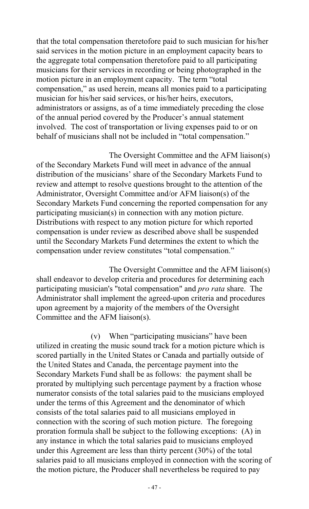that the total compensation theretofore paid to such musician for his/her said services in the motion picture in an employment capacity bears to the aggregate total compensation theretofore paid to all participating musicians for their services in recording or being photographed in the motion picture in an employment capacity. The term "total compensation," as used herein, means all monies paid to a participating musician for his/her said services, or his/her heirs, executors, administrators or assigns, as of a time immediately preceding the close of the annual period covered by the Producer's annual statement involved. The cost of transportation or living expenses paid to or on behalf of musicians shall not be included in "total compensation."

The Oversight Committee and the AFM liaison(s) of the Secondary Markets Fund will meet in advance of the annual distribution of the musicians' share of the Secondary Markets Fund to review and attempt to resolve questions brought to the attention of the Administrator, Oversight Committee and/or AFM liaison(s) of the Secondary Markets Fund concerning the reported compensation for any participating musician(s) in connection with any motion picture. Distributions with respect to any motion picture for which reported compensation is under review as described above shall be suspended until the Secondary Markets Fund determines the extent to which the compensation under review constitutes "total compensation."

The Oversight Committee and the AFM liaison(s) shall endeavor to develop criteria and procedures for determining each participating musician's "total compensation" and *pro rata* share. The Administrator shall implement the agreed-upon criteria and procedures upon agreement by a majority of the members of the Oversight Committee and the AFM liaison(s).

(v) When "participating musicians" have been utilized in creating the music sound track for a motion picture which is scored partially in the United States or Canada and partially outside of the United States and Canada, the percentage payment into the Secondary Markets Fund shall be as follows: the payment shall be prorated by multiplying such percentage payment by a fraction whose numerator consists of the total salaries paid to the musicians employed under the terms of this Agreement and the denominator of which consists of the total salaries paid to all musicians employed in connection with the scoring of such motion picture. The foregoing proration formula shall be subject to the following exceptions: (A) in any instance in which the total salaries paid to musicians employed under this Agreement are less than thirty percent (30%) of the total salaries paid to all musicians employed in connection with the scoring of the motion picture, the Producer shall nevertheless be required to pay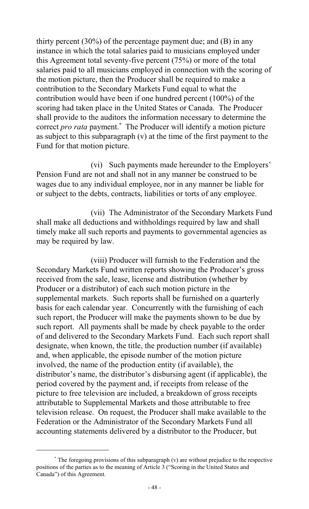thirty percent (30%) of the percentage payment due; and (B) in any instance in which the total salaries paid to musicians employed under this Agreement total seventy-five percent (75%) or more of the total salaries paid to all musicians employed in connection with the scoring of the motion picture, then the Producer shall be required to make a contribution to the Secondary Markets Fund equal to what the contribution would have been if one hundred percent (100%) of the scoring had taken place in the United States or Canada. The Producer shall provide to the auditors the information necessary to determine the correct *pro rata* payment.\* The Producer will identify a motion picture as subject to this subparagraph (v) at the time of the first payment to the Fund for that motion picture.

(vi) Such payments made hereunder to the Employers' Pension Fund are not and shall not in any manner be construed to be wages due to any individual employee, nor in any manner be liable for or subject to the debts, contracts, liabilities or torts of any employee.

(vii) The Administrator of the Secondary Markets Fund shall make all deductions and withholdings required by law and shall timely make all such reports and payments to governmental agencies as may be required by law.

(viii) Producer will furnish to the Federation and the Secondary Markets Fund written reports showing the Producer's gross received from the sale, lease, license and distribution (whether by Producer or a distributor) of each such motion picture in the supplemental markets. Such reports shall be furnished on a quarterly basis for each calendar year. Concurrently with the furnishing of each such report, the Producer will make the payments shown to be due by such report. All payments shall be made by check payable to the order of and delivered to the Secondary Markets Fund. Each such report shall designate, when known, the title, the production number (if available) and, when applicable, the episode number of the motion picture involved, the name of the production entity (if available), the distributor's name, the distributor's disbursing agent (if applicable), the period covered by the payment and, if receipts from release of the picture to free television are included, a breakdown of gross receipts attributable to Supplemental Markets and those attributable to free television release. On request, the Producer shall make available to the Federation or the Administrator of the Secondary Markets Fund all accounting statements delivered by a distributor to the Producer, but

<sup>\*</sup> The foregoing provisions of this subparagraph (v) are without prejudice to the respective positions of the parties as to the meaning of Article 3 ("Scoring in the United States and Canada") of this Agreement.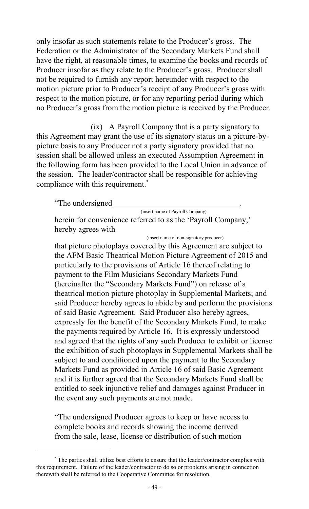only insofar as such statements relate to the Producer's gross. The Federation or the Administrator of the Secondary Markets Fund shall have the right, at reasonable times, to examine the books and records of Producer insofar as they relate to the Producer's gross. Producer shall not be required to furnish any report hereunder with respect to the motion picture prior to Producer's receipt of any Producer's gross with respect to the motion picture, or for any reporting period during which no Producer's gross from the motion picture is received by the Producer.

(ix) A Payroll Company that is a party signatory to this Agreement may grant the use of its signatory status on a picture-bypicture basis to any Producer not a party signatory provided that no session shall be allowed unless an executed Assumption Agreement in the following form has been provided to the Local Union in advance of the session. The leader/contractor shall be responsible for achieving compliance with this requirement.<sup>\*</sup>

"The undersigned

 (insert name of Payroll Company) herein for convenience referred to as the 'Payroll Company,' hereby agrees with

(insert name of non-signatory producer)

that picture photoplays covered by this Agreement are subject to the AFM Basic Theatrical Motion Picture Agreement of 2015 and particularly to the provisions of Article 16 thereof relating to payment to the Film Musicians Secondary Markets Fund (hereinafter the "Secondary Markets Fund") on release of a theatrical motion picture photoplay in Supplemental Markets; and said Producer hereby agrees to abide by and perform the provisions of said Basic Agreement. Said Producer also hereby agrees, expressly for the benefit of the Secondary Markets Fund, to make the payments required by Article 16. It is expressly understood and agreed that the rights of any such Producer to exhibit or license the exhibition of such photoplays in Supplemental Markets shall be subject to and conditioned upon the payment to the Secondary Markets Fund as provided in Article 16 of said Basic Agreement and it is further agreed that the Secondary Markets Fund shall be entitled to seek injunctive relief and damages against Producer in the event any such payments are not made.

"The undersigned Producer agrees to keep or have access to complete books and records showing the income derived from the sale, lease, license or distribution of such motion

<sup>\*</sup> The parties shall utilize best efforts to ensure that the leader/contractor complies with this requirement. Failure of the leader/contractor to do so or problems arising in connection therewith shall be referred to the Cooperative Committee for resolution.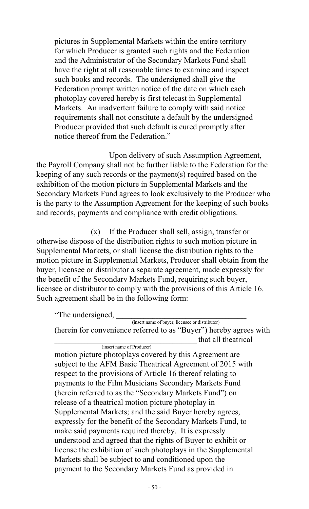pictures in Supplemental Markets within the entire territory for which Producer is granted such rights and the Federation and the Administrator of the Secondary Markets Fund shall have the right at all reasonable times to examine and inspect such books and records. The undersigned shall give the Federation prompt written notice of the date on which each photoplay covered hereby is first telecast in Supplemental Markets. An inadvertent failure to comply with said notice requirements shall not constitute a default by the undersigned Producer provided that such default is cured promptly after notice thereof from the Federation."

Upon delivery of such Assumption Agreement, the Payroll Company shall not be further liable to the Federation for the keeping of any such records or the payment(s) required based on the exhibition of the motion picture in Supplemental Markets and the Secondary Markets Fund agrees to look exclusively to the Producer who is the party to the Assumption Agreement for the keeping of such books and records, payments and compliance with credit obligations.

(x) If the Producer shall sell, assign, transfer or otherwise dispose of the distribution rights to such motion picture in Supplemental Markets, or shall license the distribution rights to the motion picture in Supplemental Markets, Producer shall obtain from the buyer, licensee or distributor a separate agreement, made expressly for the benefit of the Secondary Markets Fund, requiring such buyer, licensee or distributor to comply with the provisions of this Article 16. Such agreement shall be in the following form:

"The undersigned,

(insert name of buyer, licensee or distributor) (herein for convenience referred to as "Buyer") hereby agrees with that all theatrical

(insert name of Producer)

motion picture photoplays covered by this Agreement are subject to the AFM Basic Theatrical Agreement of 2015 with respect to the provisions of Article 16 thereof relating to payments to the Film Musicians Secondary Markets Fund (herein referred to as the "Secondary Markets Fund") on release of a theatrical motion picture photoplay in Supplemental Markets; and the said Buyer hereby agrees, expressly for the benefit of the Secondary Markets Fund, to make said payments required thereby. It is expressly understood and agreed that the rights of Buyer to exhibit or license the exhibition of such photoplays in the Supplemental Markets shall be subject to and conditioned upon the payment to the Secondary Markets Fund as provided in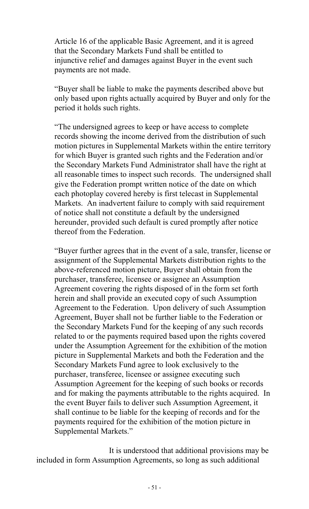Article 16 of the applicable Basic Agreement, and it is agreed that the Secondary Markets Fund shall be entitled to injunctive relief and damages against Buyer in the event such payments are not made.

"Buyer shall be liable to make the payments described above but only based upon rights actually acquired by Buyer and only for the period it holds such rights.

"The undersigned agrees to keep or have access to complete records showing the income derived from the distribution of such motion pictures in Supplemental Markets within the entire territory for which Buyer is granted such rights and the Federation and/or the Secondary Markets Fund Administrator shall have the right at all reasonable times to inspect such records. The undersigned shall give the Federation prompt written notice of the date on which each photoplay covered hereby is first telecast in Supplemental Markets. An inadvertent failure to comply with said requirement of notice shall not constitute a default by the undersigned hereunder, provided such default is cured promptly after notice thereof from the Federation.

"Buyer further agrees that in the event of a sale, transfer, license or assignment of the Supplemental Markets distribution rights to the above-referenced motion picture, Buyer shall obtain from the purchaser, transferee, licensee or assignee an Assumption Agreement covering the rights disposed of in the form set forth herein and shall provide an executed copy of such Assumption Agreement to the Federation. Upon delivery of such Assumption Agreement, Buyer shall not be further liable to the Federation or the Secondary Markets Fund for the keeping of any such records related to or the payments required based upon the rights covered under the Assumption Agreement for the exhibition of the motion picture in Supplemental Markets and both the Federation and the Secondary Markets Fund agree to look exclusively to the purchaser, transferee, licensee or assignee executing such Assumption Agreement for the keeping of such books or records and for making the payments attributable to the rights acquired. In the event Buyer fails to deliver such Assumption Agreement, it shall continue to be liable for the keeping of records and for the payments required for the exhibition of the motion picture in Supplemental Markets."

It is understood that additional provisions may be included in form Assumption Agreements, so long as such additional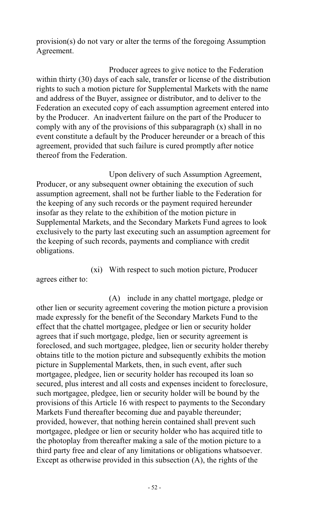provision(s) do not vary or alter the terms of the foregoing Assumption Agreement.

Producer agrees to give notice to the Federation within thirty (30) days of each sale, transfer or license of the distribution rights to such a motion picture for Supplemental Markets with the name and address of the Buyer, assignee or distributor, and to deliver to the Federation an executed copy of each assumption agreement entered into by the Producer. An inadvertent failure on the part of the Producer to comply with any of the provisions of this subparagraph (x) shall in no event constitute a default by the Producer hereunder or a breach of this agreement, provided that such failure is cured promptly after notice thereof from the Federation.

Upon delivery of such Assumption Agreement, Producer, or any subsequent owner obtaining the execution of such assumption agreement, shall not be further liable to the Federation for the keeping of any such records or the payment required hereunder insofar as they relate to the exhibition of the motion picture in Supplemental Markets, and the Secondary Markets Fund agrees to look exclusively to the party last executing such an assumption agreement for the keeping of such records, payments and compliance with credit obligations.

(xi) With respect to such motion picture, Producer agrees either to:

(A) include in any chattel mortgage, pledge or other lien or security agreement covering the motion picture a provision made expressly for the benefit of the Secondary Markets Fund to the effect that the chattel mortgagee, pledgee or lien or security holder agrees that if such mortgage, pledge, lien or security agreement is foreclosed, and such mortgagee, pledgee, lien or security holder thereby obtains title to the motion picture and subsequently exhibits the motion picture in Supplemental Markets, then, in such event, after such mortgagee, pledgee, lien or security holder has recouped its loan so secured, plus interest and all costs and expenses incident to foreclosure, such mortgagee, pledgee, lien or security holder will be bound by the provisions of this Article 16 with respect to payments to the Secondary Markets Fund thereafter becoming due and payable thereunder; provided, however, that nothing herein contained shall prevent such mortgagee, pledgee or lien or security holder who has acquired title to the photoplay from thereafter making a sale of the motion picture to a third party free and clear of any limitations or obligations whatsoever. Except as otherwise provided in this subsection (A), the rights of the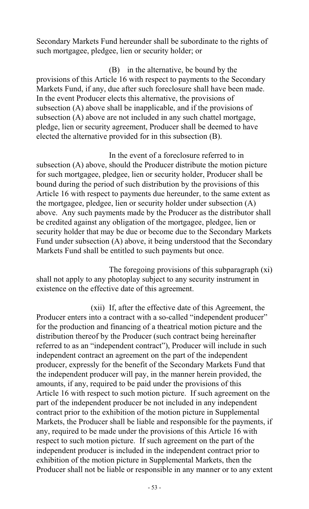Secondary Markets Fund hereunder shall be subordinate to the rights of such mortgagee, pledgee, lien or security holder; or

(B) in the alternative, be bound by the provisions of this Article 16 with respect to payments to the Secondary Markets Fund, if any, due after such foreclosure shall have been made. In the event Producer elects this alternative, the provisions of subsection (A) above shall be inapplicable, and if the provisions of subsection (A) above are not included in any such chattel mortgage, pledge, lien or security agreement, Producer shall be deemed to have elected the alternative provided for in this subsection (B).

In the event of a foreclosure referred to in subsection (A) above, should the Producer distribute the motion picture for such mortgagee, pledgee, lien or security holder, Producer shall be bound during the period of such distribution by the provisions of this Article 16 with respect to payments due hereunder, to the same extent as the mortgagee, pledgee, lien or security holder under subsection (A) above. Any such payments made by the Producer as the distributor shall be credited against any obligation of the mortgagee, pledgee, lien or security holder that may be due or become due to the Secondary Markets Fund under subsection (A) above, it being understood that the Secondary Markets Fund shall be entitled to such payments but once.

The foregoing provisions of this subparagraph (xi) shall not apply to any photoplay subject to any security instrument in existence on the effective date of this agreement.

(xii) If, after the effective date of this Agreement, the Producer enters into a contract with a so-called "independent producer" for the production and financing of a theatrical motion picture and the distribution thereof by the Producer (such contract being hereinafter referred to as an "independent contract"), Producer will include in such independent contract an agreement on the part of the independent producer, expressly for the benefit of the Secondary Markets Fund that the independent producer will pay, in the manner herein provided, the amounts, if any, required to be paid under the provisions of this Article 16 with respect to such motion picture. If such agreement on the part of the independent producer be not included in any independent contract prior to the exhibition of the motion picture in Supplemental Markets, the Producer shall be liable and responsible for the payments, if any, required to be made under the provisions of this Article 16 with respect to such motion picture. If such agreement on the part of the independent producer is included in the independent contract prior to exhibition of the motion picture in Supplemental Markets, then the Producer shall not be liable or responsible in any manner or to any extent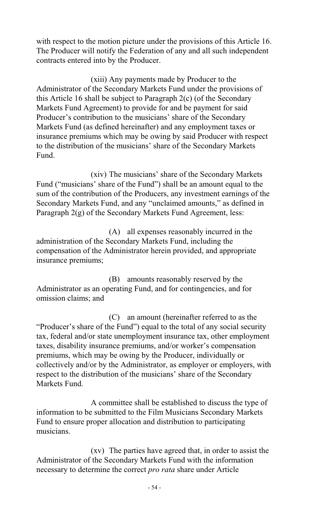with respect to the motion picture under the provisions of this Article 16. The Producer will notify the Federation of any and all such independent contracts entered into by the Producer.

(xiii) Any payments made by Producer to the Administrator of the Secondary Markets Fund under the provisions of this Article 16 shall be subject to Paragraph 2(c) (of the Secondary Markets Fund Agreement) to provide for and be payment for said Producer's contribution to the musicians' share of the Secondary Markets Fund (as defined hereinafter) and any employment taxes or insurance premiums which may be owing by said Producer with respect to the distribution of the musicians' share of the Secondary Markets Fund.

(xiv) The musicians' share of the Secondary Markets Fund ("musicians' share of the Fund") shall be an amount equal to the sum of the contribution of the Producers, any investment earnings of the Secondary Markets Fund, and any "unclaimed amounts," as defined in Paragraph 2(g) of the Secondary Markets Fund Agreement, less:

(A) all expenses reasonably incurred in the administration of the Secondary Markets Fund, including the compensation of the Administrator herein provided, and appropriate insurance premiums;

(B) amounts reasonably reserved by the Administrator as an operating Fund, and for contingencies, and for omission claims; and

(C) an amount (hereinafter referred to as the "Producer's share of the Fund") equal to the total of any social security tax, federal and/or state unemployment insurance tax, other employment taxes, disability insurance premiums, and/or worker's compensation premiums, which may be owing by the Producer, individually or collectively and/or by the Administrator, as employer or employers, with respect to the distribution of the musicians' share of the Secondary Markets Fund.

A committee shall be established to discuss the type of information to be submitted to the Film Musicians Secondary Markets Fund to ensure proper allocation and distribution to participating musicians.

(xv) The parties have agreed that, in order to assist the Administrator of the Secondary Markets Fund with the information necessary to determine the correct *pro rata* share under Article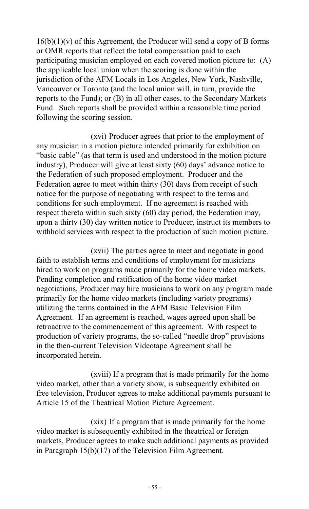$16(b)(1)(v)$  of this Agreement, the Producer will send a copy of B forms or OMR reports that reflect the total compensation paid to each participating musician employed on each covered motion picture to: (A) the applicable local union when the scoring is done within the jurisdiction of the AFM Locals in Los Angeles, New York, Nashville, Vancouver or Toronto (and the local union will, in turn, provide the reports to the Fund); or (B) in all other cases, to the Secondary Markets Fund. Such reports shall be provided within a reasonable time period following the scoring session.

(xvi) Producer agrees that prior to the employment of any musician in a motion picture intended primarily for exhibition on "basic cable" (as that term is used and understood in the motion picture industry), Producer will give at least sixty (60) days' advance notice to the Federation of such proposed employment. Producer and the Federation agree to meet within thirty (30) days from receipt of such notice for the purpose of negotiating with respect to the terms and conditions for such employment. If no agreement is reached with respect thereto within such sixty (60) day period, the Federation may, upon a thirty (30) day written notice to Producer, instruct its members to withhold services with respect to the production of such motion picture.

(xvii) The parties agree to meet and negotiate in good faith to establish terms and conditions of employment for musicians hired to work on programs made primarily for the home video markets. Pending completion and ratification of the home video market negotiations, Producer may hire musicians to work on any program made primarily for the home video markets (including variety programs) utilizing the terms contained in the AFM Basic Television Film Agreement. If an agreement is reached, wages agreed upon shall be retroactive to the commencement of this agreement. With respect to production of variety programs, the so-called "needle drop" provisions in the then-current Television Videotape Agreement shall be incorporated herein.

(xviii) If a program that is made primarily for the home video market, other than a variety show, is subsequently exhibited on free television, Producer agrees to make additional payments pursuant to Article 15 of the Theatrical Motion Picture Agreement.

(xix) If a program that is made primarily for the home video market is subsequently exhibited in the theatrical or foreign markets, Producer agrees to make such additional payments as provided in Paragraph 15(b)(17) of the Television Film Agreement.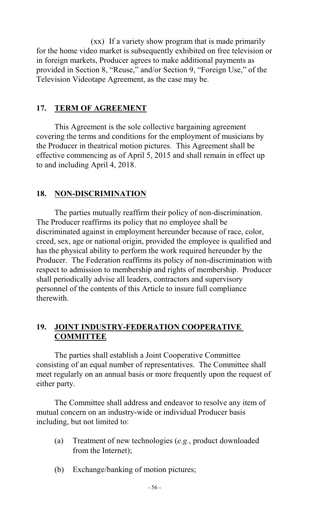(xx) If a variety show program that is made primarily for the home video market is subsequently exhibited on free television or in foreign markets, Producer agrees to make additional payments as provided in Section 8, "Reuse," and/or Section 9, "Foreign Use," of the Television Videotape Agreement, as the case may be.

### **17. TERM OF AGREEMENT**

This Agreement is the sole collective bargaining agreement covering the terms and conditions for the employment of musicians by the Producer in theatrical motion pictures. This Agreement shall be effective commencing as of April 5, 2015 and shall remain in effect up to and including April 4, 2018.

## **18. NON-DISCRIMINATION**

The parties mutually reaffirm their policy of non-discrimination. The Producer reaffirms its policy that no employee shall be discriminated against in employment hereunder because of race, color, creed, sex, age or national origin, provided the employee is qualified and has the physical ability to perform the work required hereunder by the Producer. The Federation reaffirms its policy of non-discrimination with respect to admission to membership and rights of membership. Producer shall periodically advise all leaders, contractors and supervisory personnel of the contents of this Article to insure full compliance therewith.

## **19. JOINT INDUSTRY-FEDERATION COOPERATIVE COMMITTEE**

The parties shall establish a Joint Cooperative Committee consisting of an equal number of representatives. The Committee shall meet regularly on an annual basis or more frequently upon the request of either party.

The Committee shall address and endeavor to resolve any item of mutual concern on an industry-wide or individual Producer basis including, but not limited to:

- (a) Treatment of new technologies (*e.g.*, product downloaded from the Internet);
- (b) Exchange/banking of motion pictures;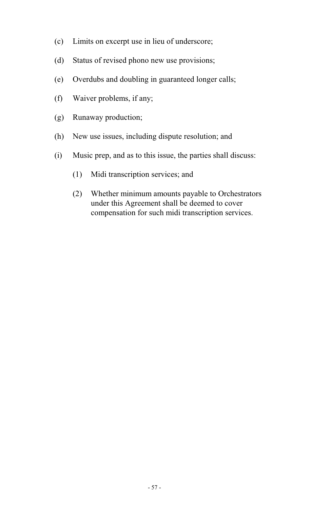- (c) Limits on excerpt use in lieu of underscore;
- (d) Status of revised phono new use provisions;
- (e) Overdubs and doubling in guaranteed longer calls;
- (f) Waiver problems, if any;
- (g) Runaway production;
- (h) New use issues, including dispute resolution; and
- (i) Music prep, and as to this issue, the parties shall discuss:
	- (1) Midi transcription services; and
	- (2) Whether minimum amounts payable to Orchestrators under this Agreement shall be deemed to cover compensation for such midi transcription services.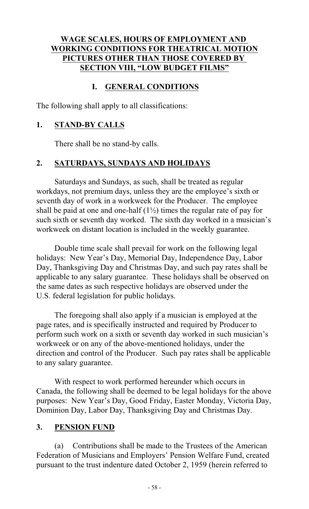## **WAGE SCALES, HOURS OF EMPLOYMENT AND WORKING CONDITIONS FOR THEATRICAL MOTION PICTURES OTHER THAN THOSE COVERED BY SECTION VIII, "LOW BUDGET FILMS"**

### **I. GENERAL CONDITIONS**

The following shall apply to all classifications:

### **1. STAND-BY CALLS**

There shall be no stand-by calls.

### **2. SATURDAYS, SUNDAYS AND HOLIDAYS**

Saturdays and Sundays, as such, shall be treated as regular workdays, not premium days, unless they are the employee's sixth or seventh day of work in a workweek for the Producer. The employee shall be paid at one and one-half  $(1\frac{1}{2})$  times the regular rate of pay for such sixth or seventh day worked. The sixth day worked in a musician's workweek on distant location is included in the weekly guarantee.

Double time scale shall prevail for work on the following legal holidays: New Year's Day, Memorial Day, Independence Day, Labor Day, Thanksgiving Day and Christmas Day, and such pay rates shall be applicable to any salary guarantee. These holidays shall be observed on the same dates as such respective holidays are observed under the U.S. federal legislation for public holidays.

The foregoing shall also apply if a musician is employed at the page rates, and is specifically instructed and required by Producer to perform such work on a sixth or seventh day worked in such musician's workweek or on any of the above-mentioned holidays, under the direction and control of the Producer. Such pay rates shall be applicable to any salary guarantee.

With respect to work performed hereunder which occurs in Canada, the following shall be deemed to be legal holidays for the above purposes: New Year's Day, Good Friday, Easter Monday, Victoria Day, Dominion Day, Labor Day, Thanksgiving Day and Christmas Day.

#### **3. PENSION FUND**

(a) Contributions shall be made to the Trustees of the American Federation of Musicians and Employers' Pension Welfare Fund, created pursuant to the trust indenture dated October 2, 1959 (herein referred to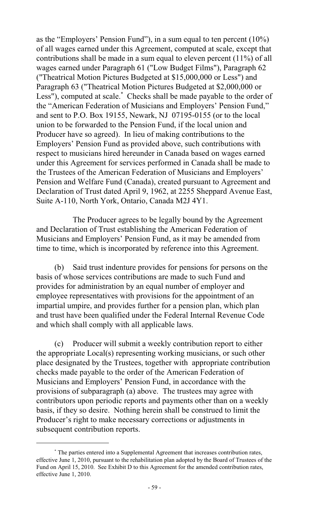as the "Employers' Pension Fund"), in a sum equal to ten percent (10%) of all wages earned under this Agreement, computed at scale, except that contributions shall be made in a sum equal to eleven percent (11%) of all wages earned under Paragraph 61 ("Low Budget Films"), Paragraph 62 ("Theatrical Motion Pictures Budgeted at \$15,000,000 or Less") and Paragraph 63 ("Theatrical Motion Pictures Budgeted at \$2,000,000 or Less"), computed at scale.\* Checks shall be made payable to the order of the "American Federation of Musicians and Employers' Pension Fund," and sent to P.O. Box 19155, Newark, NJ 07195-0155 (or to the local union to be forwarded to the Pension Fund, if the local union and Producer have so agreed). In lieu of making contributions to the Employers' Pension Fund as provided above, such contributions with respect to musicians hired hereunder in Canada based on wages earned under this Agreement for services performed in Canada shall be made to the Trustees of the American Federation of Musicians and Employers' Pension and Welfare Fund (Canada), created pursuant to Agreement and Declaration of Trust dated April 9, 1962, at 2255 Sheppard Avenue East, Suite A-110, North York, Ontario, Canada M2J 4Y1.

The Producer agrees to be legally bound by the Agreement and Declaration of Trust establishing the American Federation of Musicians and Employers' Pension Fund, as it may be amended from time to time, which is incorporated by reference into this Agreement.

(b) Said trust indenture provides for pensions for persons on the basis of whose services contributions are made to such Fund and provides for administration by an equal number of employer and employee representatives with provisions for the appointment of an impartial umpire, and provides further for a pension plan, which plan and trust have been qualified under the Federal Internal Revenue Code and which shall comply with all applicable laws.

(c) Producer will submit a weekly contribution report to either the appropriate Local(s) representing working musicians, or such other place designated by the Trustees, together with appropriate contribution checks made payable to the order of the American Federation of Musicians and Employers' Pension Fund, in accordance with the provisions of subparagraph (a) above. The trustees may agree with contributors upon periodic reports and payments other than on a weekly basis, if they so desire. Nothing herein shall be construed to limit the Producer's right to make necessary corrections or adjustments in subsequent contribution reports.

<sup>\*</sup> The parties entered into a Supplemental Agreement that increases contribution rates, effective June 1, 2010, pursuant to the rehabilitation plan adopted by the Board of Trustees of the Fund on April 15, 2010. See Exhibit D to this Agreement for the amended contribution rates, effective June 1, 2010.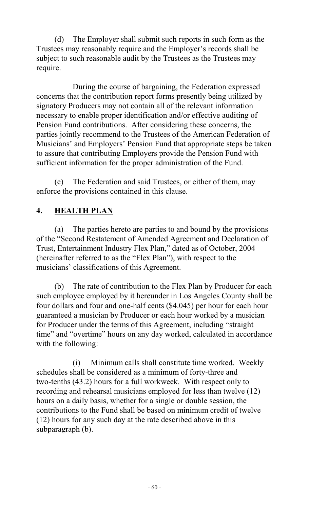(d) The Employer shall submit such reports in such form as the Trustees may reasonably require and the Employer's records shall be subject to such reasonable audit by the Trustees as the Trustees may require.

During the course of bargaining, the Federation expressed concerns that the contribution report forms presently being utilized by signatory Producers may not contain all of the relevant information necessary to enable proper identification and/or effective auditing of Pension Fund contributions. After considering these concerns, the parties jointly recommend to the Trustees of the American Federation of Musicians' and Employers' Pension Fund that appropriate steps be taken to assure that contributing Employers provide the Pension Fund with sufficient information for the proper administration of the Fund.

(e) The Federation and said Trustees, or either of them, may enforce the provisions contained in this clause.

# **4. HEALTH PLAN**

(a) The parties hereto are parties to and bound by the provisions of the "Second Restatement of Amended Agreement and Declaration of Trust, Entertainment Industry Flex Plan," dated as of October, 2004 (hereinafter referred to as the "Flex Plan"), with respect to the musicians' classifications of this Agreement.

(b) The rate of contribution to the Flex Plan by Producer for each such employee employed by it hereunder in Los Angeles County shall be four dollars and four and one-half cents (\$4.045) per hour for each hour guaranteed a musician by Producer or each hour worked by a musician for Producer under the terms of this Agreement, including "straight time" and "overtime" hours on any day worked, calculated in accordance with the following:

(i) Minimum calls shall constitute time worked. Weekly schedules shall be considered as a minimum of forty-three and two-tenths (43.2) hours for a full workweek. With respect only to recording and rehearsal musicians employed for less than twelve (12) hours on a daily basis, whether for a single or double session, the contributions to the Fund shall be based on minimum credit of twelve (12) hours for any such day at the rate described above in this subparagraph (b).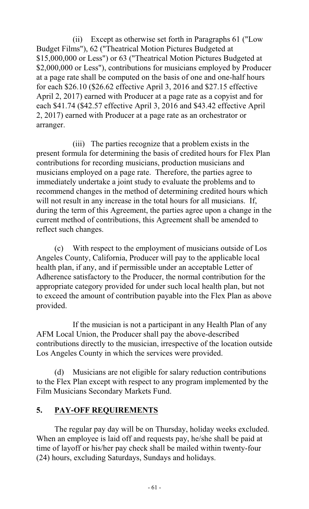(ii) Except as otherwise set forth in Paragraphs 61 ("Low Budget Films"), 62 ("Theatrical Motion Pictures Budgeted at \$15,000,000 or Less") or 63 ("Theatrical Motion Pictures Budgeted at \$2,000,000 or Less"), contributions for musicians employed by Producer at a page rate shall be computed on the basis of one and one-half hours for each \$26.10 (\$26.62 effective April 3, 2016 and \$27.15 effective April 2, 2017) earned with Producer at a page rate as a copyist and for each \$41.74 (\$42.57 effective April 3, 2016 and \$43.42 effective April 2, 2017) earned with Producer at a page rate as an orchestrator or arranger.

(iii) The parties recognize that a problem exists in the present formula for determining the basis of credited hours for Flex Plan contributions for recording musicians, production musicians and musicians employed on a page rate. Therefore, the parties agree to immediately undertake a joint study to evaluate the problems and to recommend changes in the method of determining credited hours which will not result in any increase in the total hours for all musicians. If, during the term of this Agreement, the parties agree upon a change in the current method of contributions, this Agreement shall be amended to reflect such changes.

(c) With respect to the employment of musicians outside of Los Angeles County, California, Producer will pay to the applicable local health plan, if any, and if permissible under an acceptable Letter of Adherence satisfactory to the Producer, the normal contribution for the appropriate category provided for under such local health plan, but not to exceed the amount of contribution payable into the Flex Plan as above provided.

If the musician is not a participant in any Health Plan of any AFM Local Union, the Producer shall pay the above-described contributions directly to the musician, irrespective of the location outside Los Angeles County in which the services were provided.

(d) Musicians are not eligible for salary reduction contributions to the Flex Plan except with respect to any program implemented by the Film Musicians Secondary Markets Fund.

# **5. PAY-OFF REQUIREMENTS**

The regular pay day will be on Thursday, holiday weeks excluded. When an employee is laid off and requests pay, he/she shall be paid at time of layoff or his/her pay check shall be mailed within twenty-four (24) hours, excluding Saturdays, Sundays and holidays.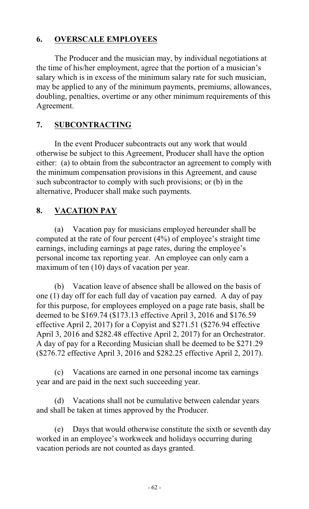## **6. OVERSCALE EMPLOYEES**

The Producer and the musician may, by individual negotiations at the time of his/her employment, agree that the portion of a musician's salary which is in excess of the minimum salary rate for such musician, may be applied to any of the minimum payments, premiums, allowances, doubling, penalties, overtime or any other minimum requirements of this Agreement.

## **7. SUBCONTRACTING**

In the event Producer subcontracts out any work that would otherwise be subject to this Agreement, Producer shall have the option either: (a) to obtain from the subcontractor an agreement to comply with the minimum compensation provisions in this Agreement, and cause such subcontractor to comply with such provisions; or (b) in the alternative, Producer shall make such payments.

## **8. VACATION PAY**

(a) Vacation pay for musicians employed hereunder shall be computed at the rate of four percent (4%) of employee's straight time earnings, including earnings at page rates, during the employee's personal income tax reporting year. An employee can only earn a maximum of ten (10) days of vacation per year.

(b) Vacation leave of absence shall be allowed on the basis of one (1) day off for each full day of vacation pay earned. A day of pay for this purpose, for employees employed on a page rate basis, shall be deemed to be \$169.74 (\$173.13 effective April 3, 2016 and \$176.59 effective April 2, 2017) for a Copyist and \$271.51 (\$276.94 effective April 3, 2016 and \$282.48 effective April 2, 2017) for an Orchestrator. A day of pay for a Recording Musician shall be deemed to be \$271.29 (\$276.72 effective April 3, 2016 and \$282.25 effective April 2, 2017).

(c) Vacations are earned in one personal income tax earnings year and are paid in the next such succeeding year.

(d) Vacations shall not be cumulative between calendar years and shall be taken at times approved by the Producer.

(e) Days that would otherwise constitute the sixth or seventh day worked in an employee's workweek and holidays occurring during vacation periods are not counted as days granted.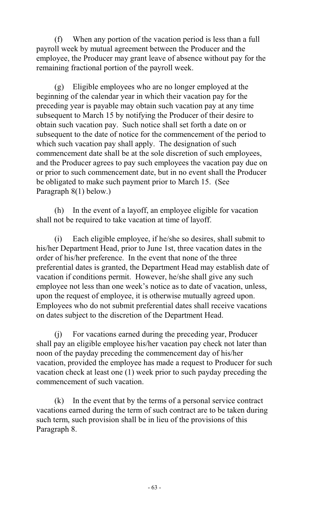(f) When any portion of the vacation period is less than a full payroll week by mutual agreement between the Producer and the employee, the Producer may grant leave of absence without pay for the remaining fractional portion of the payroll week.

(g) Eligible employees who are no longer employed at the beginning of the calendar year in which their vacation pay for the preceding year is payable may obtain such vacation pay at any time subsequent to March 15 by notifying the Producer of their desire to obtain such vacation pay. Such notice shall set forth a date on or subsequent to the date of notice for the commencement of the period to which such vacation pay shall apply. The designation of such commencement date shall be at the sole discretion of such employees, and the Producer agrees to pay such employees the vacation pay due on or prior to such commencement date, but in no event shall the Producer be obligated to make such payment prior to March 15. (See Paragraph 8(1) below.)

(h) In the event of a layoff, an employee eligible for vacation shall not be required to take vacation at time of layoff.

(i) Each eligible employee, if he/she so desires, shall submit to his/her Department Head, prior to June 1st, three vacation dates in the order of his/her preference. In the event that none of the three preferential dates is granted, the Department Head may establish date of vacation if conditions permit. However, he/she shall give any such employee not less than one week's notice as to date of vacation, unless, upon the request of employee, it is otherwise mutually agreed upon. Employees who do not submit preferential dates shall receive vacations on dates subject to the discretion of the Department Head.

(j) For vacations earned during the preceding year, Producer shall pay an eligible employee his/her vacation pay check not later than noon of the payday preceding the commencement day of his/her vacation, provided the employee has made a request to Producer for such vacation check at least one (1) week prior to such payday preceding the commencement of such vacation.

(k) In the event that by the terms of a personal service contract vacations earned during the term of such contract are to be taken during such term, such provision shall be in lieu of the provisions of this Paragraph 8.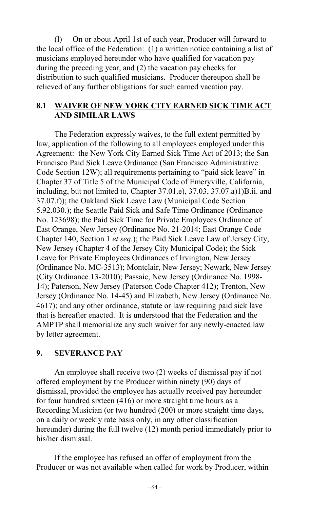(l) On or about April 1st of each year, Producer will forward to the local office of the Federation: (1) a written notice containing a list of musicians employed hereunder who have qualified for vacation pay during the preceding year, and (2) the vacation pay checks for distribution to such qualified musicians. Producer thereupon shall be relieved of any further obligations for such earned vacation pay.

### **8.1 WAIVER OF NEW YORK CITY EARNED SICK TIME ACT AND SIMILAR LAWS**

The Federation expressly waives, to the full extent permitted by law, application of the following to all employees employed under this Agreement: the New York City Earned Sick Time Act of 2013; the San Francisco Paid Sick Leave Ordinance (San Francisco Administrative Code Section 12W); all requirements pertaining to "paid sick leave" in Chapter 37 of Title 5 of the Municipal Code of Emeryville, California, including, but not limited to, Chapter 37.01.e), 37.03, 37.07.a)1)B.ii. and 37.07.f)); the Oakland Sick Leave Law (Municipal Code Section 5.92.030.); the Seattle Paid Sick and Safe Time Ordinance (Ordinance No. 123698); the Paid Sick Time for Private Employees Ordinance of East Orange, New Jersey (Ordinance No. 21-2014; East Orange Code Chapter 140, Section 1 *et seq.*); the Paid Sick Leave Law of Jersey City, New Jersey (Chapter 4 of the Jersey City Municipal Code); the Sick Leave for Private Employees Ordinances of Irvington, New Jersey (Ordinance No. MC-3513); Montclair, New Jersey; Newark, New Jersey (City Ordinance 13-2010); Passaic, New Jersey (Ordinance No. 1998- 14); Paterson, New Jersey (Paterson Code Chapter 412); Trenton, New Jersey (Ordinance No. 14-45) and Elizabeth, New Jersey (Ordinance No. 4617); and any other ordinance, statute or law requiring paid sick lave that is hereafter enacted. It is understood that the Federation and the AMPTP shall memorialize any such waiver for any newly-enacted law by letter agreement.

## **9. SEVERANCE PAY**

An employee shall receive two (2) weeks of dismissal pay if not offered employment by the Producer within ninety (90) days of dismissal, provided the employee has actually received pay hereunder for four hundred sixteen (416) or more straight time hours as a Recording Musician (or two hundred (200) or more straight time days, on a daily or weekly rate basis only, in any other classification hereunder) during the full twelve (12) month period immediately prior to his/her dismissal.

If the employee has refused an offer of employment from the Producer or was not available when called for work by Producer, within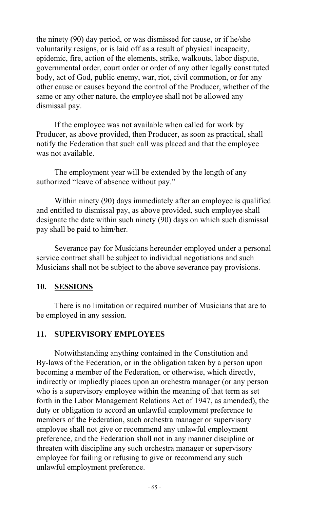the ninety (90) day period, or was dismissed for cause, or if he/she voluntarily resigns, or is laid off as a result of physical incapacity, epidemic, fire, action of the elements, strike, walkouts, labor dispute, governmental order, court order or order of any other legally constituted body, act of God, public enemy, war, riot, civil commotion, or for any other cause or causes beyond the control of the Producer, whether of the same or any other nature, the employee shall not be allowed any dismissal pay.

If the employee was not available when called for work by Producer, as above provided, then Producer, as soon as practical, shall notify the Federation that such call was placed and that the employee was not available.

The employment year will be extended by the length of any authorized "leave of absence without pay."

Within ninety (90) days immediately after an employee is qualified and entitled to dismissal pay, as above provided, such employee shall designate the date within such ninety (90) days on which such dismissal pay shall be paid to him/her.

Severance pay for Musicians hereunder employed under a personal service contract shall be subject to individual negotiations and such Musicians shall not be subject to the above severance pay provisions.

### **10. SESSIONS**

There is no limitation or required number of Musicians that are to be employed in any session.

### **11. SUPERVISORY EMPLOYEES**

Notwithstanding anything contained in the Constitution and By-laws of the Federation, or in the obligation taken by a person upon becoming a member of the Federation, or otherwise, which directly, indirectly or impliedly places upon an orchestra manager (or any person who is a supervisory employee within the meaning of that term as set forth in the Labor Management Relations Act of 1947, as amended), the duty or obligation to accord an unlawful employment preference to members of the Federation, such orchestra manager or supervisory employee shall not give or recommend any unlawful employment preference, and the Federation shall not in any manner discipline or threaten with discipline any such orchestra manager or supervisory employee for failing or refusing to give or recommend any such unlawful employment preference.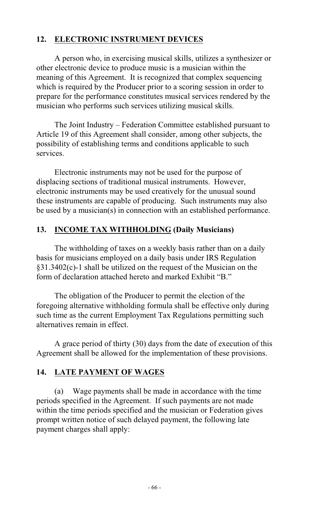# **12. ELECTRONIC INSTRUMENT DEVICES**

A person who, in exercising musical skills, utilizes a synthesizer or other electronic device to produce music is a musician within the meaning of this Agreement. It is recognized that complex sequencing which is required by the Producer prior to a scoring session in order to prepare for the performance constitutes musical services rendered by the musician who performs such services utilizing musical skills.

The Joint Industry – Federation Committee established pursuant to Article 19 of this Agreement shall consider, among other subjects, the possibility of establishing terms and conditions applicable to such services.

Electronic instruments may not be used for the purpose of displacing sections of traditional musical instruments. However, electronic instruments may be used creatively for the unusual sound these instruments are capable of producing. Such instruments may also be used by a musician(s) in connection with an established performance.

# **13. INCOME TAX WITHHOLDING (Daily Musicians)**

The withholding of taxes on a weekly basis rather than on a daily basis for musicians employed on a daily basis under IRS Regulation §31.3402(c)-1 shall be utilized on the request of the Musician on the form of declaration attached hereto and marked Exhibit "B."

The obligation of the Producer to permit the election of the foregoing alternative withholding formula shall be effective only during such time as the current Employment Tax Regulations permitting such alternatives remain in effect.

A grace period of thirty (30) days from the date of execution of this Agreement shall be allowed for the implementation of these provisions.

## **14. LATE PAYMENT OF WAGES**

(a) Wage payments shall be made in accordance with the time periods specified in the Agreement. If such payments are not made within the time periods specified and the musician or Federation gives prompt written notice of such delayed payment, the following late payment charges shall apply: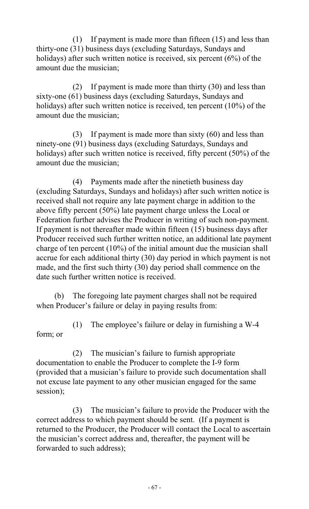(1) If payment is made more than fifteen (15) and less than thirty-one (31) business days (excluding Saturdays, Sundays and holidays) after such written notice is received, six percent  $(6\%)$  of the amount due the musician;

(2) If payment is made more than thirty (30) and less than sixty-one (61) business days (excluding Saturdays, Sundays and holidays) after such written notice is received, ten percent (10%) of the amount due the musician;

(3) If payment is made more than sixty (60) and less than ninety-one (91) business days (excluding Saturdays, Sundays and holidays) after such written notice is received, fifty percent (50%) of the amount due the musician;

(4) Payments made after the ninetieth business day (excluding Saturdays, Sundays and holidays) after such written notice is received shall not require any late payment charge in addition to the above fifty percent (50%) late payment charge unless the Local or Federation further advises the Producer in writing of such non-payment. If payment is not thereafter made within fifteen (15) business days after Producer received such further written notice, an additional late payment charge of ten percent (10%) of the initial amount due the musician shall accrue for each additional thirty (30) day period in which payment is not made, and the first such thirty (30) day period shall commence on the date such further written notice is received.

(b) The foregoing late payment charges shall not be required when Producer's failure or delay in paying results from:

(1) The employee's failure or delay in furnishing a W-4 form; or

(2) The musician's failure to furnish appropriate documentation to enable the Producer to complete the I-9 form (provided that a musician's failure to provide such documentation shall not excuse late payment to any other musician engaged for the same session);

(3) The musician's failure to provide the Producer with the correct address to which payment should be sent. (If a payment is returned to the Producer, the Producer will contact the Local to ascertain the musician's correct address and, thereafter, the payment will be forwarded to such address);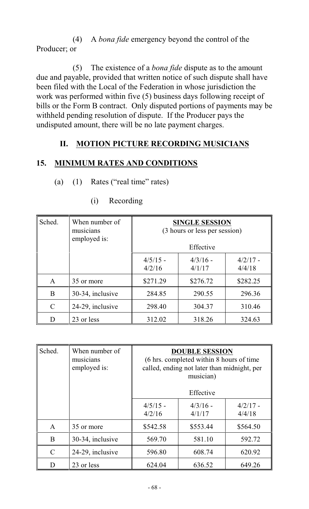(4) A *bona fide* emergency beyond the control of the Producer; or

(5) The existence of a *bona fide* dispute as to the amount due and payable, provided that written notice of such dispute shall have been filed with the Local of the Federation in whose jurisdiction the work was performed within five (5) business days following receipt of bills or the Form B contract. Only disputed portions of payments may be withheld pending resolution of dispute. If the Producer pays the undisputed amount, there will be no late payment charges.

### **II. MOTION PICTURE RECORDING MUSICIANS**

### **15. MINIMUM RATES AND CONDITIONS**

|  | (a) (1) Rates ("real time" rates) |
|--|-----------------------------------|
|  |                                   |

| Sched.        | When number of<br>musicians<br>employed is: | <b>SINGLE SESSION</b><br>(3 hours or less per session)<br>Effective |                      |                      |
|---------------|---------------------------------------------|---------------------------------------------------------------------|----------------------|----------------------|
|               |                                             | $4/5/15$ -<br>4/2/16                                                | $4/3/16$ -<br>4/1/17 | $4/2/17 -$<br>4/4/18 |
| A             | 35 or more                                  | \$271.29                                                            | \$276.72             | \$282.25             |
| B             | 30-34, inclusive                            | 284.85                                                              | 290.55               | 296.36               |
| $\mathcal{C}$ | 24-29, inclusive                            | 298.40                                                              | 304.37               | 310.46               |
| D             | 23 or less                                  | 312.02                                                              | 318.26               | 324.63               |

## (i) Recording

| Sched.        | When number of<br>musicians<br>employed is: | <b>DOUBLE SESSION</b><br>(6 hrs. completed within 8 hours of time)<br>called, ending not later than midnight, per<br>musician)<br>Effective |                      |                      |
|---------------|---------------------------------------------|---------------------------------------------------------------------------------------------------------------------------------------------|----------------------|----------------------|
|               |                                             | $4/5/15$ -<br>4/2/16                                                                                                                        | $4/3/16$ -<br>4/1/17 | $4/2/17 -$<br>4/4/18 |
| A             | 35 or more                                  | \$542.58                                                                                                                                    | \$553.44             | \$564.50             |
| B             | 30-34, inclusive                            | 569.70                                                                                                                                      | 581.10               | 592.72               |
| $\mathcal{C}$ | 24-29, inclusive                            | 596.80                                                                                                                                      | 608.74               | 620.92               |
| D             | 23 or less                                  | 624.04                                                                                                                                      | 636.52               | 649.26               |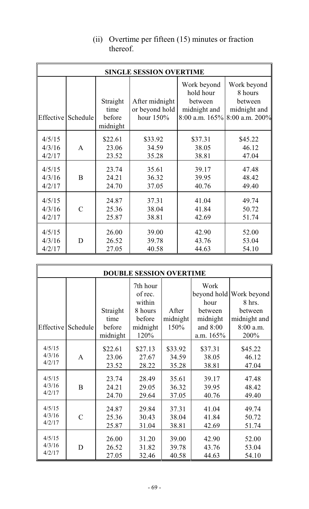| <b>SINGLE SESSION OVERTIME</b> |               |                                        |                                                  |                                                                                         |                                                   |
|--------------------------------|---------------|----------------------------------------|--------------------------------------------------|-----------------------------------------------------------------------------------------|---------------------------------------------------|
| <b>Effective</b>               | Schedule      | Straight<br>time<br>before<br>midnight | After midnight<br>or beyond hold<br>hour $150\%$ | Work beyond<br>hold hour<br>between<br>midnight and<br>8:00 a.m. $165\%$ 8:00 a.m. 200% | Work beyond<br>8 hours<br>between<br>midnight and |
| 4/5/15                         | A             | \$22.61                                | \$33.92                                          | \$37.31                                                                                 | \$45.22                                           |
| 4/3/16                         |               | 23.06                                  | 34.59                                            | 38.05                                                                                   | 46.12                                             |
| 4/2/17                         |               | 23.52                                  | 35.28                                            | 38.81                                                                                   | 47.04                                             |
| 4/5/15                         | B             | 23.74                                  | 35.61                                            | 39.17                                                                                   | 47.48                                             |
| 4/3/16                         |               | 24.21                                  | 36.32                                            | 39.95                                                                                   | 48.42                                             |
| 4/2/17                         |               | 24.70                                  | 37.05                                            | 40.76                                                                                   | 49.40                                             |
| 4/5/15                         | $\mathcal{C}$ | 24.87                                  | 37.31                                            | 41.04                                                                                   | 49.74                                             |
| 4/3/16                         |               | 25.36                                  | 38.04                                            | 41.84                                                                                   | 50.72                                             |
| 4/2/17                         |               | 25.87                                  | 38.81                                            | 42.69                                                                                   | 51.74                                             |
| 4/5/15                         | D             | 26.00                                  | 39.00                                            | 42.90                                                                                   | 52.00                                             |
| 4/3/16                         |               | 26.52                                  | 39.78                                            | 43.76                                                                                   | 53.04                                             |
| 4/2/17                         |               | 27.05                                  | 40.58                                            | 44.63                                                                                   | 54.10                                             |

| (ii) Overtime per fifteen $(15)$ minutes or fraction |
|------------------------------------------------------|
| thereof.                                             |

| <b>DOUBLE SESSION OVERTIME</b> |                |                                        |                                                                        |                           |                                                                             |                                                                       |
|--------------------------------|----------------|----------------------------------------|------------------------------------------------------------------------|---------------------------|-----------------------------------------------------------------------------|-----------------------------------------------------------------------|
| <b>Effective</b>               | Schedule       | Straight<br>time<br>before<br>midnight | 7th hour<br>of rec.<br>within<br>8 hours<br>before<br>midnight<br>120% | After<br>midnight<br>150% | Work<br>beyond hold<br>hour<br>between<br>midnight<br>and 8:00<br>a.m. 165% | Work beyond<br>8 hrs.<br>between<br>midnight and<br>8:00 a.m.<br>200% |
| 4/5/15                         | A              | \$22.61                                | \$27.13                                                                | \$33.92                   | \$37.31                                                                     | \$45.22                                                               |
| 4/3/16                         |                | 23.06                                  | 27.67                                                                  | 34.59                     | 38.05                                                                       | 46.12                                                                 |
| 4/2/17                         |                | 23.52                                  | 28.22                                                                  | 35.28                     | 38.81                                                                       | 47.04                                                                 |
| 4/5/15                         | B              | 23.74                                  | 28.49                                                                  | 35.61                     | 39.17                                                                       | 47.48                                                                 |
| 4/3/16                         |                | 24.21                                  | 29.05                                                                  | 36.32                     | 39.95                                                                       | 48.42                                                                 |
| 4/2/17                         |                | 24.70                                  | 29.64                                                                  | 37.05                     | 40.76                                                                       | 49.40                                                                 |
| 4/5/15                         | $\overline{C}$ | 24.87                                  | 29.84                                                                  | 37.31                     | 41.04                                                                       | 49.74                                                                 |
| 4/3/16                         |                | 25.36                                  | 30.43                                                                  | 38.04                     | 41.84                                                                       | 50.72                                                                 |
| 4/2/17                         |                | 25.87                                  | 31.04                                                                  | 38.81                     | 42.69                                                                       | 51.74                                                                 |
| 4/5/15                         | D              | 26.00                                  | 31.20                                                                  | 39.00                     | 42.90                                                                       | 52.00                                                                 |
| 4/3/16                         |                | 26.52                                  | 31.82                                                                  | 39.78                     | 43.76                                                                       | 53.04                                                                 |
| 4/2/17                         |                | 27.05                                  | 32.46                                                                  | 40.58                     | 44.63                                                                       | 54.10                                                                 |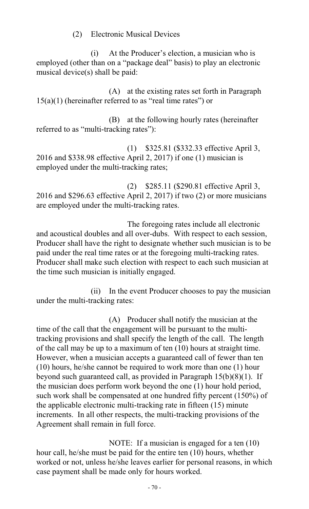(2) Electronic Musical Devices

(i) At the Producer's election, a musician who is employed (other than on a "package deal" basis) to play an electronic musical device(s) shall be paid:

(A) at the existing rates set forth in Paragraph 15(a)(1) (hereinafter referred to as "real time rates") or

(B) at the following hourly rates (hereinafter referred to as "multi-tracking rates"):

(1) \$325.81 (\$332.33 effective April 3, 2016 and \$338.98 effective April 2, 2017) if one (1) musician is employed under the multi-tracking rates;

(2) \$285.11 (\$290.81 effective April 3, 2016 and \$296.63 effective April 2, 2017) if two (2) or more musicians are employed under the multi-tracking rates.

The foregoing rates include all electronic and acoustical doubles and all over-dubs. With respect to each session, Producer shall have the right to designate whether such musician is to be paid under the real time rates or at the foregoing multi-tracking rates. Producer shall make such election with respect to each such musician at the time such musician is initially engaged.

(ii) In the event Producer chooses to pay the musician under the multi-tracking rates:

(A) Producer shall notify the musician at the time of the call that the engagement will be pursuant to the multitracking provisions and shall specify the length of the call. The length of the call may be up to a maximum of ten (10) hours at straight time. However, when a musician accepts a guaranteed call of fewer than ten (10) hours, he/she cannot be required to work more than one (1) hour beyond such guaranteed call, as provided in Paragraph 15(b)(8)(1). If the musician does perform work beyond the one (1) hour hold period, such work shall be compensated at one hundred fifty percent (150%) of the applicable electronic multi-tracking rate in fifteen (15) minute increments. In all other respects, the multi-tracking provisions of the Agreement shall remain in full force.

NOTE: If a musician is engaged for a ten (10) hour call, he/she must be paid for the entire ten (10) hours, whether worked or not, unless he/she leaves earlier for personal reasons, in which case payment shall be made only for hours worked.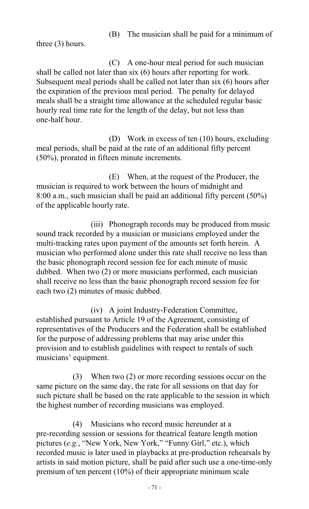(B) The musician shall be paid for a minimum of

three (3) hours.

(C) A one-hour meal period for such musician shall be called not later than six (6) hours after reporting for work. Subsequent meal periods shall be called not later than six (6) hours after the expiration of the previous meal period. The penalty for delayed meals shall be a straight time allowance at the scheduled regular basic hourly real time rate for the length of the delay, but not less than one-half hour.

(D) Work in excess of ten (10) hours, excluding meal periods, shall be paid at the rate of an additional fifty percent (50%), prorated in fifteen minute increments.

(E) When, at the request of the Producer, the musician is required to work between the hours of midnight and 8:00 a.m., such musician shall be paid an additional fifty percent (50%) of the applicable hourly rate.

(iii) Phonograph records may be produced from music sound track recorded by a musician or musicians employed under the multi-tracking rates upon payment of the amounts set forth herein. A musician who performed alone under this rate shall receive no less than the basic phonograph record session fee for each minute of music dubbed. When two (2) or more musicians performed, each musician shall receive no less than the basic phonograph record session fee for each two (2) minutes of music dubbed.

(iv) A joint Industry-Federation Committee, established pursuant to Article 19 of the Agreement, consisting of representatives of the Producers and the Federation shall be established for the purpose of addressing problems that may arise under this provision and to establish guidelines with respect to rentals of such musicians' equipment.

(3) When two (2) or more recording sessions occur on the same picture on the same day, the rate for all sessions on that day for such picture shall be based on the rate applicable to the session in which the highest number of recording musicians was employed.

(4) Musicians who record music hereunder at a pre-recording session or sessions for theatrical feature length motion pictures (*e.g.*, "New York, New York," "Funny Girl," etc.), which recorded music is later used in playbacks at pre-production rehearsals by artists in said motion picture, shall be paid after such use a one-time-only premium of ten percent (10%) of their appropriate minimum scale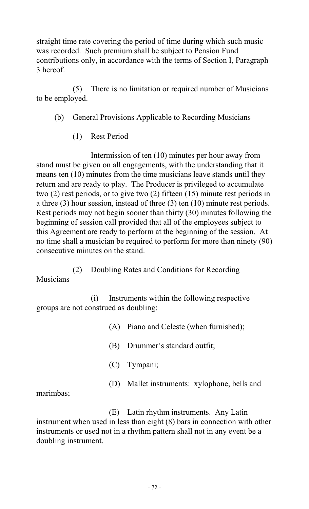straight time rate covering the period of time during which such music was recorded. Such premium shall be subject to Pension Fund contributions only, in accordance with the terms of Section I, Paragraph 3 hereof.

(5) There is no limitation or required number of Musicians to be employed.

- (b) General Provisions Applicable to Recording Musicians
	- (1) Rest Period

Intermission of ten (10) minutes per hour away from stand must be given on all engagements, with the understanding that it means ten (10) minutes from the time musicians leave stands until they return and are ready to play. The Producer is privileged to accumulate two (2) rest periods, or to give two (2) fifteen (15) minute rest periods in a three (3) hour session, instead of three (3) ten (10) minute rest periods. Rest periods may not begin sooner than thirty (30) minutes following the beginning of session call provided that all of the employees subject to this Agreement are ready to perform at the beginning of the session. At no time shall a musician be required to perform for more than ninety (90) consecutive minutes on the stand.

(2) Doubling Rates and Conditions for Recording Musicians

(i) Instruments within the following respective groups are not construed as doubling:

- (A) Piano and Celeste (when furnished);
- (B) Drummer's standard outfit;
- (C) Tympani;
- (D) Mallet instruments: xylophone, bells and

marimbas;

(E) Latin rhythm instruments. Any Latin instrument when used in less than eight (8) bars in connection with other instruments or used not in a rhythm pattern shall not in any event be a doubling instrument.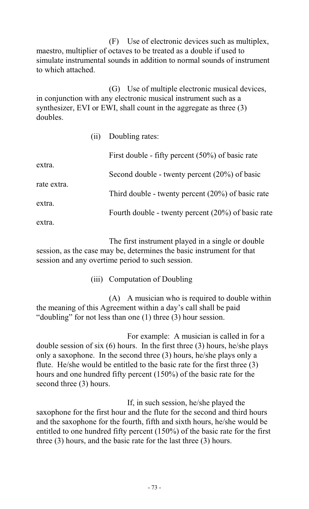(F) Use of electronic devices such as multiplex, maestro, multiplier of octaves to be treated as a double if used to simulate instrumental sounds in addition to normal sounds of instrument to which attached.

(G) Use of multiple electronic musical devices, in conjunction with any electronic musical instrument such as a synthesizer, EVI or EWI, shall count in the aggregate as three (3) doubles.

|             | (i) | Doubling rates:                                       |
|-------------|-----|-------------------------------------------------------|
|             |     | First double - fifty percent $(50\%)$ of basic rate   |
| extra.      |     | Second double - twenty percent $(20\%)$ of basic      |
| rate extra. |     | Third double - twenty percent $(20\%)$ of basic rate  |
| extra.      |     | Fourth double - twenty percent $(20\%)$ of basic rate |
| extra.      |     |                                                       |

The first instrument played in a single or double session, as the case may be, determines the basic instrument for that session and any overtime period to such session.

(iii) Computation of Doubling

(A) A musician who is required to double within the meaning of this Agreement within a day's call shall be paid "doubling" for not less than one (1) three (3) hour session.

For example: A musician is called in for a double session of six (6) hours. In the first three (3) hours, he/she plays only a saxophone. In the second three (3) hours, he/she plays only a flute. He/she would be entitled to the basic rate for the first three (3) hours and one hundred fifty percent (150%) of the basic rate for the second three (3) hours.

If, in such session, he/she played the saxophone for the first hour and the flute for the second and third hours and the saxophone for the fourth, fifth and sixth hours, he/she would be entitled to one hundred fifty percent (150%) of the basic rate for the first three (3) hours, and the basic rate for the last three (3) hours.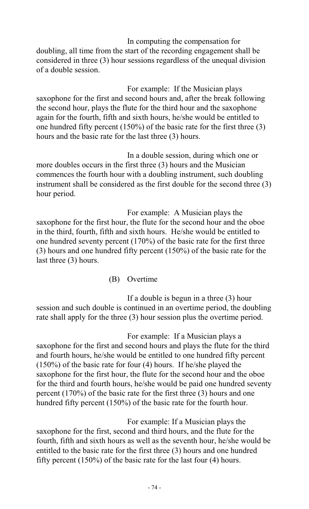In computing the compensation for doubling, all time from the start of the recording engagement shall be considered in three (3) hour sessions regardless of the unequal division of a double session.

For example: If the Musician plays saxophone for the first and second hours and, after the break following the second hour, plays the flute for the third hour and the saxophone again for the fourth, fifth and sixth hours, he/she would be entitled to one hundred fifty percent (150%) of the basic rate for the first three (3) hours and the basic rate for the last three (3) hours.

In a double session, during which one or more doubles occurs in the first three (3) hours and the Musician commences the fourth hour with a doubling instrument, such doubling instrument shall be considered as the first double for the second three (3) hour period.

For example: A Musician plays the saxophone for the first hour, the flute for the second hour and the oboe in the third, fourth, fifth and sixth hours. He/she would be entitled to one hundred seventy percent (170%) of the basic rate for the first three (3) hours and one hundred fifty percent (150%) of the basic rate for the last three (3) hours.

(B) Overtime

If a double is begun in a three (3) hour session and such double is continued in an overtime period, the doubling rate shall apply for the three (3) hour session plus the overtime period.

For example: If a Musician plays a saxophone for the first and second hours and plays the flute for the third and fourth hours, he/she would be entitled to one hundred fifty percent (150%) of the basic rate for four (4) hours. If he/she played the saxophone for the first hour, the flute for the second hour and the oboe for the third and fourth hours, he/she would be paid one hundred seventy percent (170%) of the basic rate for the first three (3) hours and one hundred fifty percent (150%) of the basic rate for the fourth hour.

For example: If a Musician plays the saxophone for the first, second and third hours, and the flute for the fourth, fifth and sixth hours as well as the seventh hour, he/she would be entitled to the basic rate for the first three (3) hours and one hundred fifty percent (150%) of the basic rate for the last four (4) hours.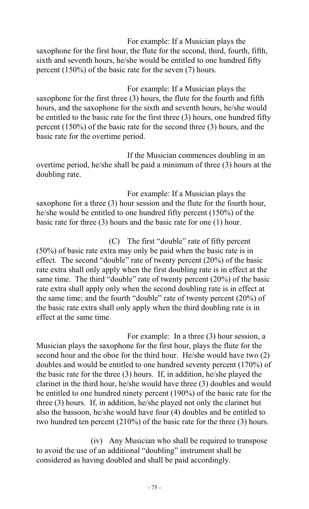For example: If a Musician plays the saxophone for the first hour, the flute for the second, third, fourth, fifth, sixth and seventh hours, he/she would be entitled to one hundred fifty percent (150%) of the basic rate for the seven (7) hours.

For example: If a Musician plays the saxophone for the first three (3) hours, the flute for the fourth and fifth hours, and the saxophone for the sixth and seventh hours, he/she would be entitled to the basic rate for the first three (3) hours, one hundred fifty percent (150%) of the basic rate for the second three (3) hours, and the basic rate for the overtime period.

If the Musician commences doubling in an overtime period, he/she shall be paid a minimum of three (3) hours at the doubling rate.

For example: If a Musician plays the saxophone for a three (3) hour session and the flute for the fourth hour, he/she would be entitled to one hundred fifty percent (150%) of the basic rate for three (3) hours and the basic rate for one (1) hour.

(C) The first "double" rate of fifty percent (50%) of basic rate extra may only be paid when the basic rate is in effect. The second "double" rate of twenty percent (20%) of the basic rate extra shall only apply when the first doubling rate is in effect at the same time. The third "double" rate of twenty percent (20%) of the basic rate extra shall apply only when the second doubling rate is in effect at the same time; and the fourth "double" rate of twenty percent (20%) of the basic rate extra shall only apply when the third doubling rate is in effect at the same time.

For example: In a three (3) hour session, a Musician plays the saxophone for the first hour, plays the flute for the second hour and the oboe for the third hour. He/she would have two (2) doubles and would be entitled to one hundred seventy percent (170%) of the basic rate for the three (3) hours. If, in addition, he/she played the clarinet in the third hour, he/she would have three (3) doubles and would be entitled to one hundred ninety percent (190%) of the basic rate for the three (3) hours. If, in addition, he/she played not only the clarinet but also the bassoon, he/she would have four (4) doubles and be entitled to two hundred ten percent (210%) of the basic rate for the three (3) hours.

(iv) Any Musician who shall be required to transpose to avoid the use of an additional "doubling" instrument shall be considered as having doubled and shall be paid accordingly.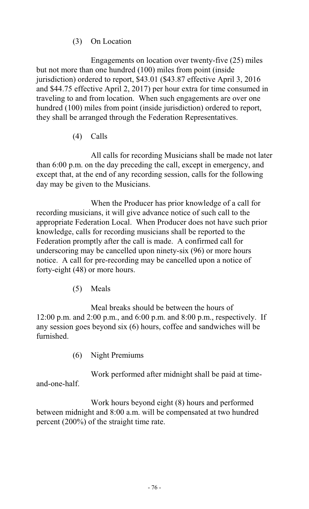### (3) On Location

Engagements on location over twenty-five (25) miles but not more than one hundred (100) miles from point (inside jurisdiction) ordered to report, \$43.01 (\$43.87 effective April 3, 2016 and \$44.75 effective April 2, 2017) per hour extra for time consumed in traveling to and from location. When such engagements are over one hundred (100) miles from point (inside jurisdiction) ordered to report, they shall be arranged through the Federation Representatives.

### (4) Calls

All calls for recording Musicians shall be made not later than 6:00 p.m. on the day preceding the call, except in emergency, and except that, at the end of any recording session, calls for the following day may be given to the Musicians.

When the Producer has prior knowledge of a call for recording musicians, it will give advance notice of such call to the appropriate Federation Local. When Producer does not have such prior knowledge, calls for recording musicians shall be reported to the Federation promptly after the call is made. A confirmed call for underscoring may be cancelled upon ninety-six (96) or more hours notice. A call for pre-recording may be cancelled upon a notice of forty-eight (48) or more hours.

(5) Meals

Meal breaks should be between the hours of 12:00 p.m. and 2:00 p.m., and 6:00 p.m. and 8:00 p.m., respectively. If any session goes beyond six (6) hours, coffee and sandwiches will be furnished.

(6) Night Premiums

Work performed after midnight shall be paid at timeand-one-half.

Work hours beyond eight (8) hours and performed between midnight and 8:00 a.m. will be compensated at two hundred percent (200%) of the straight time rate.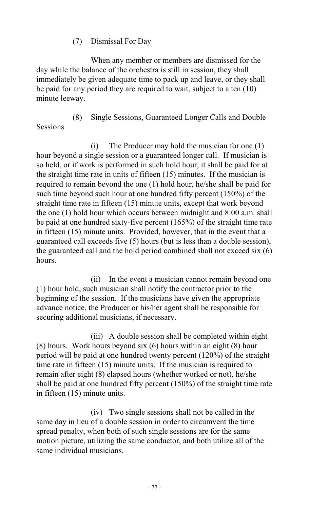(7) Dismissal For Day

When any member or members are dismissed for the day while the balance of the orchestra is still in session, they shall immediately be given adequate time to pack up and leave, or they shall be paid for any period they are required to wait, subject to a ten (10) minute leeway.

(8) Single Sessions, Guaranteed Longer Calls and Double **Sessions** 

(i) The Producer may hold the musician for one (1) hour beyond a single session or a guaranteed longer call. If musician is so held, or if work is performed in such hold hour, it shall be paid for at the straight time rate in units of fifteen (15) minutes. If the musician is required to remain beyond the one (1) hold hour, he/she shall be paid for such time beyond such hour at one hundred fifty percent (150%) of the straight time rate in fifteen (15) minute units, except that work beyond the one (1) hold hour which occurs between midnight and 8:00 a.m. shall be paid at one hundred sixty-five percent (165%) of the straight time rate in fifteen (15) minute units. Provided, however, that in the event that a guaranteed call exceeds five (5) hours (but is less than a double session), the guaranteed call and the hold period combined shall not exceed six (6) hours.

(ii) In the event a musician cannot remain beyond one (1) hour hold, such musician shall notify the contractor prior to the beginning of the session. If the musicians have given the appropriate advance notice, the Producer or his/her agent shall be responsible for securing additional musicians, if necessary.

(iii) A double session shall be completed within eight (8) hours. Work hours beyond six (6) hours within an eight (8) hour period will be paid at one hundred twenty percent (120%) of the straight time rate in fifteen (15) minute units. If the musician is required to remain after eight (8) elapsed hours (whether worked or not), he/she shall be paid at one hundred fifty percent (150%) of the straight time rate in fifteen (15) minute units.

(iv) Two single sessions shall not be called in the same day in lieu of a double session in order to circumvent the time spread penalty, when both of such single sessions are for the same motion picture, utilizing the same conductor, and both utilize all of the same individual musicians.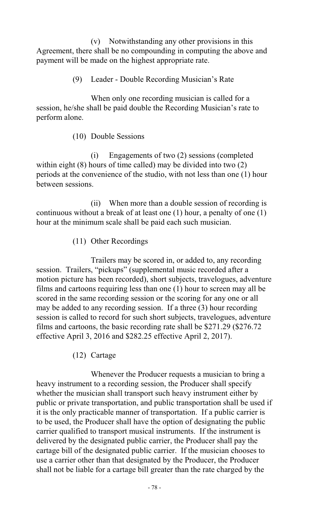(v) Notwithstanding any other provisions in this Agreement, there shall be no compounding in computing the above and payment will be made on the highest appropriate rate.

(9) Leader - Double Recording Musician's Rate

When only one recording musician is called for a session, he/she shall be paid double the Recording Musician's rate to perform alone.

(10) Double Sessions

(i) Engagements of two (2) sessions (completed within eight (8) hours of time called) may be divided into two (2) periods at the convenience of the studio, with not less than one (1) hour between sessions.

(ii) When more than a double session of recording is continuous without a break of at least one (1) hour, a penalty of one (1) hour at the minimum scale shall be paid each such musician.

(11) Other Recordings

Trailers may be scored in, or added to, any recording session. Trailers, "pickups" (supplemental music recorded after a motion picture has been recorded), short subjects, travelogues, adventure films and cartoons requiring less than one (1) hour to screen may all be scored in the same recording session or the scoring for any one or all may be added to any recording session. If a three (3) hour recording session is called to record for such short subjects, travelogues, adventure films and cartoons, the basic recording rate shall be \$271.29 (\$276.72 effective April 3, 2016 and \$282.25 effective April 2, 2017).

(12) Cartage

Whenever the Producer requests a musician to bring a heavy instrument to a recording session, the Producer shall specify whether the musician shall transport such heavy instrument either by public or private transportation, and public transportation shall be used if it is the only practicable manner of transportation. If a public carrier is to be used, the Producer shall have the option of designating the public carrier qualified to transport musical instruments. If the instrument is delivered by the designated public carrier, the Producer shall pay the cartage bill of the designated public carrier. If the musician chooses to use a carrier other than that designated by the Producer, the Producer shall not be liable for a cartage bill greater than the rate charged by the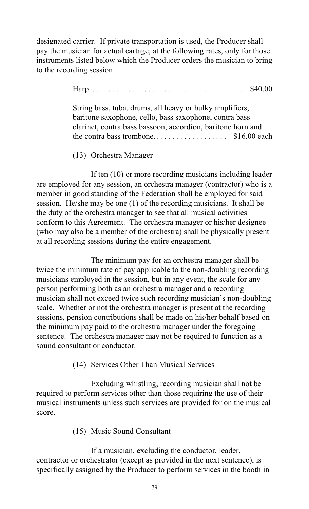designated carrier. If private transportation is used, the Producer shall pay the musician for actual cartage, at the following rates, only for those instruments listed below which the Producer orders the musician to bring to the recording session:

Harp. . . . . . . . . . . . . . . . . . . . . . . . . . . . . . . . . . . . . . . . \$40.00

String bass, tuba, drums, all heavy or bulky amplifiers, baritone saxophone, cello, bass saxophone, contra bass clarinet, contra bass bassoon, accordion, baritone horn and the contra bass trombone.. . . . . . . . . . . . . . . . . . \$16.00 each

(13) Orchestra Manager

If ten (10) or more recording musicians including leader are employed for any session, an orchestra manager (contractor) who is a member in good standing of the Federation shall be employed for said session. He/she may be one (1) of the recording musicians. It shall be the duty of the orchestra manager to see that all musical activities conform to this Agreement. The orchestra manager or his/her designee (who may also be a member of the orchestra) shall be physically present at all recording sessions during the entire engagement.

The minimum pay for an orchestra manager shall be twice the minimum rate of pay applicable to the non-doubling recording musicians employed in the session, but in any event, the scale for any person performing both as an orchestra manager and a recording musician shall not exceed twice such recording musician's non-doubling scale. Whether or not the orchestra manager is present at the recording sessions, pension contributions shall be made on his/her behalf based on the minimum pay paid to the orchestra manager under the foregoing sentence. The orchestra manager may not be required to function as a sound consultant or conductor.

### (14) Services Other Than Musical Services

Excluding whistling, recording musician shall not be required to perform services other than those requiring the use of their musical instruments unless such services are provided for on the musical score.

(15) Music Sound Consultant

If a musician, excluding the conductor, leader, contractor or orchestrator (except as provided in the next sentence), is specifically assigned by the Producer to perform services in the booth in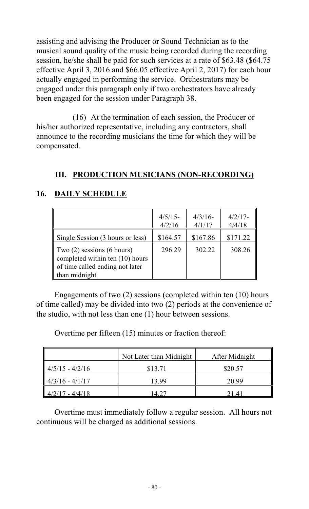assisting and advising the Producer or Sound Technician as to the musical sound quality of the music being recorded during the recording session, he/she shall be paid for such services at a rate of \$63.48 (\$64.75 effective April 3, 2016 and \$66.05 effective April 2, 2017) for each hour actually engaged in performing the service. Orchestrators may be engaged under this paragraph only if two orchestrators have already been engaged for the session under Paragraph 38.

(16) At the termination of each session, the Producer or his/her authorized representative, including any contractors, shall announce to the recording musicians the time for which they will be compensated.

#### **III. PRODUCTION MUSICIANS (NON-RECORDING)**

### **16. DAILY SCHEDULE**

|                                                                                                                               | $4/5/15$ -<br>4/2/16 | $4/3/16$ - | $4/2/17$ -<br>4/4/18 |
|-------------------------------------------------------------------------------------------------------------------------------|----------------------|------------|----------------------|
| Single Session (3 hours or less)                                                                                              | \$164.57             | \$167.86   | \$171.22             |
| Two $(2)$ sessions $(6 \text{ hours})$<br>completed within ten (10) hours<br>of time called ending not later<br>than midnight | 296.29               | 302.22     | 308.26               |

Engagements of two (2) sessions (completed within ten (10) hours of time called) may be divided into two (2) periods at the convenience of the studio, with not less than one (1) hour between sessions.

Overtime per fifteen (15) minutes or fraction thereof:

|                   | Not Later than Midnight | After Midnight |
|-------------------|-------------------------|----------------|
| $4/5/15 - 4/2/16$ | \$13.71                 | \$20.57        |
| $4/3/16 - 4/1/17$ | 13.99                   | 20.99          |
|                   | A 27                    |                |

Overtime must immediately follow a regular session. All hours not continuous will be charged as additional sessions.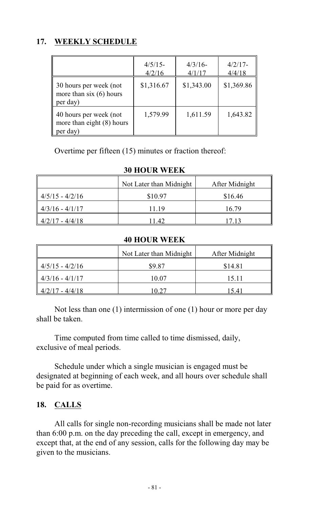#### **17. WEEKLY SCHEDULE**

|                                                                   | $4/5/15$ -<br>4/2/16 | $4/3/16$ - | $4/2/17$ -<br>4/4/18 |
|-------------------------------------------------------------------|----------------------|------------|----------------------|
| 30 hours per week (not<br>more than $six(6)$ hours<br>per day)    | \$1,316.67           | \$1,343.00 | \$1,369.86           |
| 40 hours per week (not<br>more than eight $(8)$ hours<br>per day) | 1,579.99             | 1,611.59   | 1,643.82             |

Overtime per fifteen (15) minutes or fraction thereof:

#### **30 HOUR WEEK**

|                             | Not Later than Midnight | After Midnight |
|-----------------------------|-------------------------|----------------|
| $\parallel$ 4/5/15 - 4/2/16 | \$10.97                 | \$16.46        |
| $\parallel$ 4/3/16 - 4/1/17 | 11.19                   | 16.79          |
| $7 - 4/4/18$                |                         |                |

#### **40 HOUR WEEK**

|                             | Not Later than Midnight | After Midnight |
|-----------------------------|-------------------------|----------------|
| $\parallel$ 4/5/15 - 4/2/16 | \$9.87                  | \$14.81        |
| $\parallel$ 4/3/16 - 4/1/17 | 10.07                   | 15.11          |
| 7 - 4/4/18                  | 0.27                    | 154'           |

Not less than one (1) intermission of one (1) hour or more per day shall be taken.

Time computed from time called to time dismissed, daily, exclusive of meal periods.

Schedule under which a single musician is engaged must be designated at beginning of each week, and all hours over schedule shall be paid for as overtime.

#### **18. CALLS**

All calls for single non-recording musicians shall be made not later than 6:00 p.m. on the day preceding the call, except in emergency, and except that, at the end of any session, calls for the following day may be given to the musicians.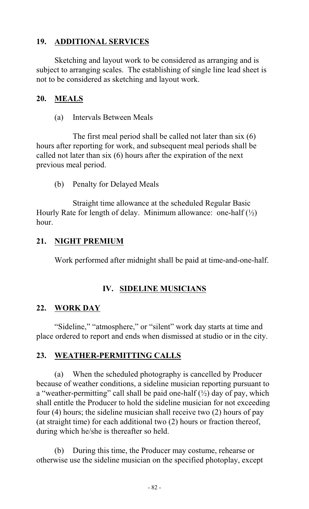### **19. ADDITIONAL SERVICES**

Sketching and layout work to be considered as arranging and is subject to arranging scales. The establishing of single line lead sheet is not to be considered as sketching and layout work.

### **20. MEALS**

(a) Intervals Between Meals

The first meal period shall be called not later than six (6) hours after reporting for work, and subsequent meal periods shall be called not later than six (6) hours after the expiration of the next previous meal period.

(b) Penalty for Delayed Meals

Straight time allowance at the scheduled Regular Basic Hourly Rate for length of delay. Minimum allowance: one-half  $(\frac{1}{2})$ hour.

## **21. NIGHT PREMIUM**

Work performed after midnight shall be paid at time-and-one-half.

# **IV. SIDELINE MUSICIANS**

## **22. WORK DAY**

"Sideline," "atmosphere," or "silent" work day starts at time and place ordered to report and ends when dismissed at studio or in the city.

# **23. WEATHER-PERMITTING CALLS**

(a) When the scheduled photography is cancelled by Producer because of weather conditions, a sideline musician reporting pursuant to a "weather-permitting" call shall be paid one-half  $(\frac{1}{2})$  day of pay, which shall entitle the Producer to hold the sideline musician for not exceeding four (4) hours; the sideline musician shall receive two (2) hours of pay (at straight time) for each additional two (2) hours or fraction thereof, during which he/she is thereafter so held.

(b) During this time, the Producer may costume, rehearse or otherwise use the sideline musician on the specified photoplay, except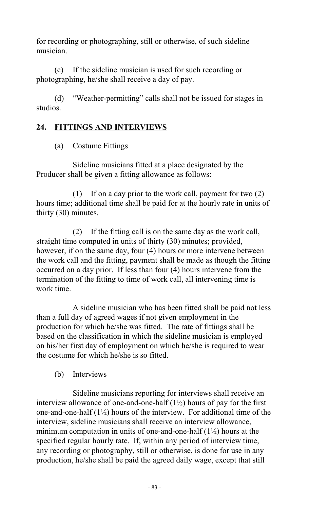for recording or photographing, still or otherwise, of such sideline musician.

(c) If the sideline musician is used for such recording or photographing, he/she shall receive a day of pay.

(d) "Weather-permitting" calls shall not be issued for stages in studios.

### **24. FITTINGS AND INTERVIEWS**

(a) Costume Fittings

Sideline musicians fitted at a place designated by the Producer shall be given a fitting allowance as follows:

(1) If on a day prior to the work call, payment for two (2) hours time; additional time shall be paid for at the hourly rate in units of thirty (30) minutes.

(2) If the fitting call is on the same day as the work call, straight time computed in units of thirty (30) minutes; provided, however, if on the same day, four (4) hours or more intervene between the work call and the fitting, payment shall be made as though the fitting occurred on a day prior. If less than four (4) hours intervene from the termination of the fitting to time of work call, all intervening time is work time.

A sideline musician who has been fitted shall be paid not less than a full day of agreed wages if not given employment in the production for which he/she was fitted. The rate of fittings shall be based on the classification in which the sideline musician is employed on his/her first day of employment on which he/she is required to wear the costume for which he/she is so fitted.

(b) Interviews

Sideline musicians reporting for interviews shall receive an interview allowance of one-and-one-half  $(1\frac{1}{2})$  hours of pay for the first one-and-one-half  $(1\frac{1}{2})$  hours of the interview. For additional time of the interview, sideline musicians shall receive an interview allowance, minimum computation in units of one-and-one-half  $(1\frac{1}{2})$  hours at the specified regular hourly rate. If, within any period of interview time, any recording or photography, still or otherwise, is done for use in any production, he/she shall be paid the agreed daily wage, except that still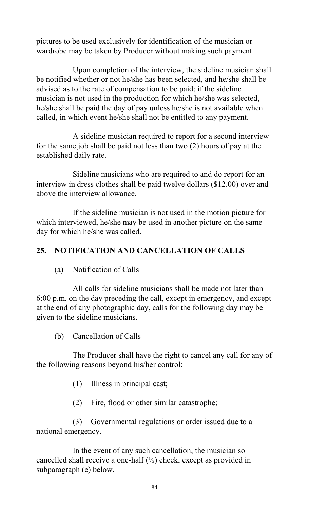pictures to be used exclusively for identification of the musician or wardrobe may be taken by Producer without making such payment.

Upon completion of the interview, the sideline musician shall be notified whether or not he/she has been selected, and he/she shall be advised as to the rate of compensation to be paid; if the sideline musician is not used in the production for which he/she was selected, he/she shall be paid the day of pay unless he/she is not available when called, in which event he/she shall not be entitled to any payment.

A sideline musician required to report for a second interview for the same job shall be paid not less than two (2) hours of pay at the established daily rate.

Sideline musicians who are required to and do report for an interview in dress clothes shall be paid twelve dollars (\$12.00) over and above the interview allowance.

If the sideline musician is not used in the motion picture for which interviewed, he/she may be used in another picture on the same day for which he/she was called.

# **25. NOTIFICATION AND CANCELLATION OF CALLS**

(a) Notification of Calls

All calls for sideline musicians shall be made not later than 6:00 p.m. on the day preceding the call, except in emergency, and except at the end of any photographic day, calls for the following day may be given to the sideline musicians.

(b) Cancellation of Calls

The Producer shall have the right to cancel any call for any of the following reasons beyond his/her control:

- (1) Illness in principal cast;
- (2) Fire, flood or other similar catastrophe;

(3) Governmental regulations or order issued due to a national emergency.

In the event of any such cancellation, the musician so cancelled shall receive a one-half  $(\frac{1}{2})$  check, except as provided in subparagraph (e) below.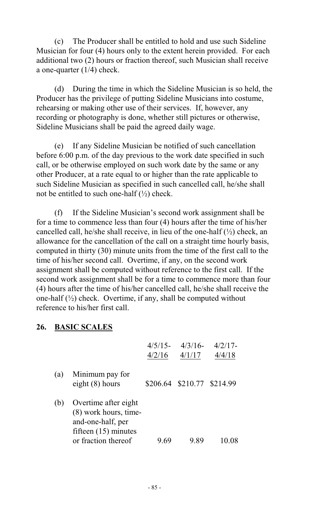(c) The Producer shall be entitled to hold and use such Sideline Musician for four (4) hours only to the extent herein provided. For each additional two (2) hours or fraction thereof, such Musician shall receive a one-quarter (1/4) check.

(d) During the time in which the Sideline Musician is so held, the Producer has the privilege of putting Sideline Musicians into costume, rehearsing or making other use of their services. If, however, any recording or photography is done, whether still pictures or otherwise, Sideline Musicians shall be paid the agreed daily wage.

(e) If any Sideline Musician be notified of such cancellation before 6:00 p.m. of the day previous to the work date specified in such call, or be otherwise employed on such work date by the same or any other Producer, at a rate equal to or higher than the rate applicable to such Sideline Musician as specified in such cancelled call, he/she shall not be entitled to such one-half  $(\frac{1}{2})$  check.

(f) If the Sideline Musician's second work assignment shall be for a time to commence less than four (4) hours after the time of his/her cancelled call, he/she shall receive, in lieu of the one-half  $(\frac{1}{2})$  check, an allowance for the cancellation of the call on a straight time hourly basis, computed in thirty (30) minute units from the time of the first call to the time of his/her second call. Overtime, if any, on the second work assignment shall be computed without reference to the first call. If the second work assignment shall be for a time to commence more than four (4) hours after the time of his/her cancelled call, he/she shall receive the one-half  $(\frac{1}{2})$  check. Overtime, if any, shall be computed without reference to his/her first call.

### **26. BASIC SCALES**

|     |                                                                                                                     | $4/5/15$ -<br>4/2/16 | $4/3/16$ -<br>4/1/17       | $4/2/17$ -<br>4/4/18 |
|-----|---------------------------------------------------------------------------------------------------------------------|----------------------|----------------------------|----------------------|
| (a) | Minimum pay for<br>eight $(8)$ hours                                                                                |                      | \$206.64 \$210.77 \$214.99 |                      |
| (b) | Overtime after eight<br>(8) work hours, time-<br>and-one-half, per<br>fifteen $(15)$ minutes<br>or fraction thereof | 9.69                 | 9.89                       | 10.08                |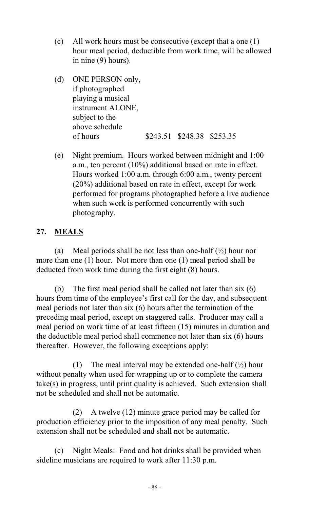- (c) All work hours must be consecutive (except that a one (1) hour meal period, deductible from work time, will be allowed in nine (9) hours).
- (d) ONE PERSON only, if photographed playing a musical instrument ALONE, subject to the above schedule of hours \$243.51 \$248.38 \$253.35
- (e) Night premium. Hours worked between midnight and 1:00 a.m., ten percent (10%) additional based on rate in effect. Hours worked 1:00 a.m. through 6:00 a.m., twenty percent (20%) additional based on rate in effect, except for work performed for programs photographed before a live audience when such work is performed concurrently with such photography.

### **27. MEALS**

(a) Meal periods shall be not less than one-half  $(\frac{1}{2})$  hour nor more than one (1) hour. Not more than one (1) meal period shall be deducted from work time during the first eight (8) hours.

(b) The first meal period shall be called not later than six (6) hours from time of the employee's first call for the day, and subsequent meal periods not later than six (6) hours after the termination of the preceding meal period, except on staggered calls. Producer may call a meal period on work time of at least fifteen (15) minutes in duration and the deductible meal period shall commence not later than six (6) hours thereafter. However, the following exceptions apply:

(1) The meal interval may be extended one-half  $(\frac{1}{2})$  hour without penalty when used for wrapping up or to complete the camera take(s) in progress, until print quality is achieved. Such extension shall not be scheduled and shall not be automatic.

(2) A twelve (12) minute grace period may be called for production efficiency prior to the imposition of any meal penalty. Such extension shall not be scheduled and shall not be automatic.

(c) Night Meals: Food and hot drinks shall be provided when sideline musicians are required to work after 11:30 p.m.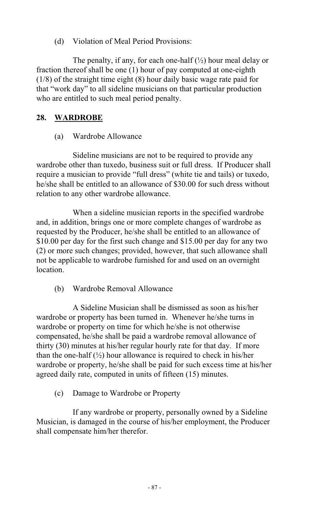(d) Violation of Meal Period Provisions:

The penalty, if any, for each one-half  $(\frac{1}{2})$  hour meal delay or fraction thereof shall be one (1) hour of pay computed at one-eighth (1/8) of the straight time eight (8) hour daily basic wage rate paid for that "work day" to all sideline musicians on that particular production who are entitled to such meal period penalty.

#### **28. WARDROBE**

(a) Wardrobe Allowance

Sideline musicians are not to be required to provide any wardrobe other than tuxedo, business suit or full dress. If Producer shall require a musician to provide "full dress" (white tie and tails) or tuxedo, he/she shall be entitled to an allowance of \$30.00 for such dress without relation to any other wardrobe allowance.

When a sideline musician reports in the specified wardrobe and, in addition, brings one or more complete changes of wardrobe as requested by the Producer, he/she shall be entitled to an allowance of \$10.00 per day for the first such change and \$15.00 per day for any two (2) or more such changes; provided, however, that such allowance shall not be applicable to wardrobe furnished for and used on an overnight location.

(b) Wardrobe Removal Allowance

A Sideline Musician shall be dismissed as soon as his/her wardrobe or property has been turned in. Whenever he/she turns in wardrobe or property on time for which he/she is not otherwise compensated, he/she shall be paid a wardrobe removal allowance of thirty (30) minutes at his/her regular hourly rate for that day. If more than the one-half  $(\frac{1}{2})$  hour allowance is required to check in his/her wardrobe or property, he/she shall be paid for such excess time at his/her agreed daily rate, computed in units of fifteen (15) minutes.

(c) Damage to Wardrobe or Property

If any wardrobe or property, personally owned by a Sideline Musician, is damaged in the course of his/her employment, the Producer shall compensate him/her therefor.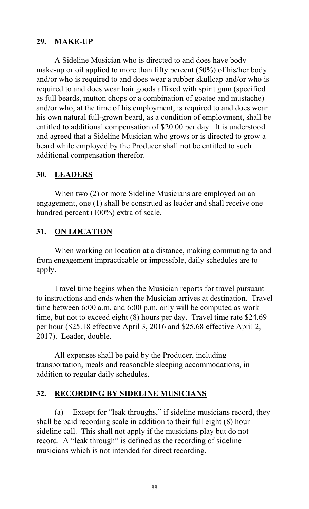#### **29. MAKE-UP**

A Sideline Musician who is directed to and does have body make-up or oil applied to more than fifty percent (50%) of his/her body and/or who is required to and does wear a rubber skullcap and/or who is required to and does wear hair goods affixed with spirit gum (specified as full beards, mutton chops or a combination of goatee and mustache) and/or who, at the time of his employment, is required to and does wear his own natural full-grown beard, as a condition of employment, shall be entitled to additional compensation of \$20.00 per day. It is understood and agreed that a Sideline Musician who grows or is directed to grow a beard while employed by the Producer shall not be entitled to such additional compensation therefor.

#### **30. LEADERS**

When two (2) or more Sideline Musicians are employed on an engagement, one (1) shall be construed as leader and shall receive one hundred percent (100%) extra of scale.

### **31. ON LOCATION**

When working on location at a distance, making commuting to and from engagement impracticable or impossible, daily schedules are to apply.

Travel time begins when the Musician reports for travel pursuant to instructions and ends when the Musician arrives at destination. Travel time between 6:00 a.m. and 6:00 p.m. only will be computed as work time, but not to exceed eight (8) hours per day. Travel time rate \$24.69 per hour (\$25.18 effective April 3, 2016 and \$25.68 effective April 2, 2017). Leader, double.

All expenses shall be paid by the Producer, including transportation, meals and reasonable sleeping accommodations, in addition to regular daily schedules.

#### **32. RECORDING BY SIDELINE MUSICIANS**

(a) Except for "leak throughs," if sideline musicians record, they shall be paid recording scale in addition to their full eight (8) hour sideline call. This shall not apply if the musicians play but do not record. A "leak through" is defined as the recording of sideline musicians which is not intended for direct recording.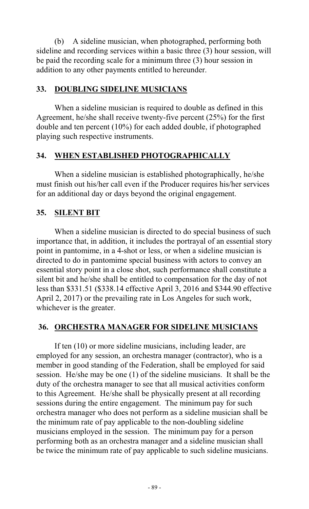(b) A sideline musician, when photographed, performing both sideline and recording services within a basic three (3) hour session, will be paid the recording scale for a minimum three (3) hour session in addition to any other payments entitled to hereunder.

### **33. DOUBLING SIDELINE MUSICIANS**

When a sideline musician is required to double as defined in this Agreement, he/she shall receive twenty-five percent (25%) for the first double and ten percent (10%) for each added double, if photographed playing such respective instruments.

## **34. WHEN ESTABLISHED PHOTOGRAPHICALLY**

When a sideline musician is established photographically, he/she must finish out his/her call even if the Producer requires his/her services for an additional day or days beyond the original engagement.

## **35. SILENT BIT**

When a sideline musician is directed to do special business of such importance that, in addition, it includes the portrayal of an essential story point in pantomime, in a 4-shot or less, or when a sideline musician is directed to do in pantomime special business with actors to convey an essential story point in a close shot, such performance shall constitute a silent bit and he/she shall be entitled to compensation for the day of not less than \$331.51 (\$338.14 effective April 3, 2016 and \$344.90 effective April 2, 2017) or the prevailing rate in Los Angeles for such work, whichever is the greater.

### **36. ORCHESTRA MANAGER FOR SIDELINE MUSICIANS**

If ten (10) or more sideline musicians, including leader, are employed for any session, an orchestra manager (contractor), who is a member in good standing of the Federation, shall be employed for said session. He/she may be one (1) of the sideline musicians. It shall be the duty of the orchestra manager to see that all musical activities conform to this Agreement. He/she shall be physically present at all recording sessions during the entire engagement. The minimum pay for such orchestra manager who does not perform as a sideline musician shall be the minimum rate of pay applicable to the non-doubling sideline musicians employed in the session. The minimum pay for a person performing both as an orchestra manager and a sideline musician shall be twice the minimum rate of pay applicable to such sideline musicians.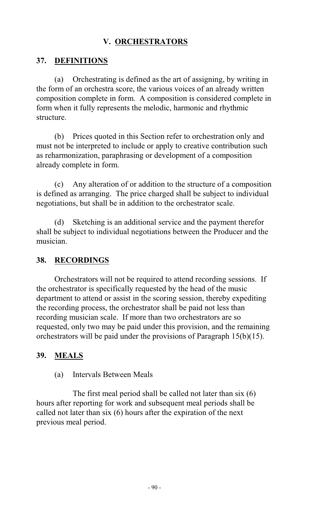## **V. ORCHESTRATORS**

### **37. DEFINITIONS**

(a) Orchestrating is defined as the art of assigning, by writing in the form of an orchestra score, the various voices of an already written composition complete in form. A composition is considered complete in form when it fully represents the melodic, harmonic and rhythmic structure.

(b) Prices quoted in this Section refer to orchestration only and must not be interpreted to include or apply to creative contribution such as reharmonization, paraphrasing or development of a composition already complete in form.

(c) Any alteration of or addition to the structure of a composition is defined as arranging. The price charged shall be subject to individual negotiations, but shall be in addition to the orchestrator scale.

(d) Sketching is an additional service and the payment therefor shall be subject to individual negotiations between the Producer and the musician.

### **38. RECORDINGS**

Orchestrators will not be required to attend recording sessions. If the orchestrator is specifically requested by the head of the music department to attend or assist in the scoring session, thereby expediting the recording process, the orchestrator shall be paid not less than recording musician scale. If more than two orchestrators are so requested, only two may be paid under this provision, and the remaining orchestrators will be paid under the provisions of Paragraph 15(b)(15).

### **39. MEALS**

(a) Intervals Between Meals

The first meal period shall be called not later than six (6) hours after reporting for work and subsequent meal periods shall be called not later than six (6) hours after the expiration of the next previous meal period.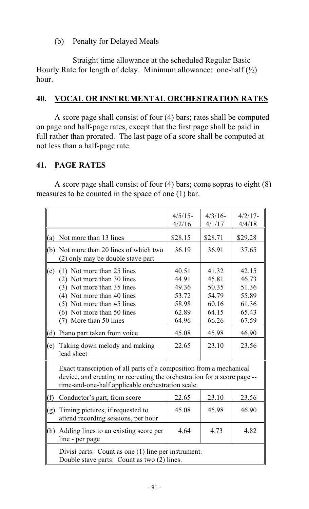(b) Penalty for Delayed Meals

Straight time allowance at the scheduled Regular Basic Hourly Rate for length of delay. Minimum allowance: one-half  $(\frac{1}{2})$ hour.

#### **40. VOCAL OR INSTRUMENTAL ORCHESTRATION RATES**

A score page shall consist of four (4) bars; rates shall be computed on page and half-page rates, except that the first page shall be paid in full rather than prorated. The last page of a score shall be computed at not less than a half-page rate.

#### **41. PAGE RATES**

A score page shall consist of four (4) bars; come sopras to eight (8) measures to be counted in the space of one (1) bar.

|     |                                                                                                                                                                                                               | $4/5/15$ -<br>4/2/16                                        | $4/3/16$ -<br>4/1/17                                        | $4/2/17$ -<br>4/4/18                                        |  |
|-----|---------------------------------------------------------------------------------------------------------------------------------------------------------------------------------------------------------------|-------------------------------------------------------------|-------------------------------------------------------------|-------------------------------------------------------------|--|
| (a) | Not more than 13 lines                                                                                                                                                                                        | \$28.15                                                     | \$28.71                                                     | \$29.28                                                     |  |
| (b) | Not more than 20 lines of which two<br>(2) only may be double stave part                                                                                                                                      | 36.19                                                       | 36.91                                                       | 37.65                                                       |  |
| (c) | (1) Not more than 25 lines<br>(2) Not more than 30 lines<br>(3) Not more than 35 lines<br>(4) Not more than 40 lines<br>(5) Not more than 45 lines<br>(6) Not more than 50 lines<br>More than 50 lines<br>(7) | 40.51<br>44.91<br>49.36<br>53.72<br>58.98<br>62.89<br>64.96 | 41.32<br>45.81<br>50.35<br>54.79<br>60.16<br>64.15<br>66.26 | 42.15<br>46.73<br>51.36<br>55.89<br>61.36<br>65.43<br>67.59 |  |
| (d) | Piano part taken from voice                                                                                                                                                                                   | 45.08                                                       | 45.98                                                       | 46.90                                                       |  |
| (e) | Taking down melody and making<br>lead sheet                                                                                                                                                                   | 22.65                                                       | 23.10                                                       | 23.56                                                       |  |
|     | Exact transcription of all parts of a composition from a mechanical<br>device, and creating or recreating the orchestration for a score page --<br>time-and-one-half applicable orchestration scale.          |                                                             |                                                             |                                                             |  |
| (f) | Conductor's part, from score                                                                                                                                                                                  | 22.65                                                       | 23.10                                                       | 23.56                                                       |  |
| (g) | Timing pictures, if requested to<br>attend recording sessions, per hour                                                                                                                                       | 45.08                                                       | 45.98                                                       | 46.90                                                       |  |
| (h) | Adding lines to an existing score per<br>line - per page                                                                                                                                                      | 4.64                                                        | 4.73                                                        | 4.82                                                        |  |
|     | Divisi parts: Count as one (1) line per instrument.<br>Double stave parts: Count as two (2) lines.                                                                                                            |                                                             |                                                             |                                                             |  |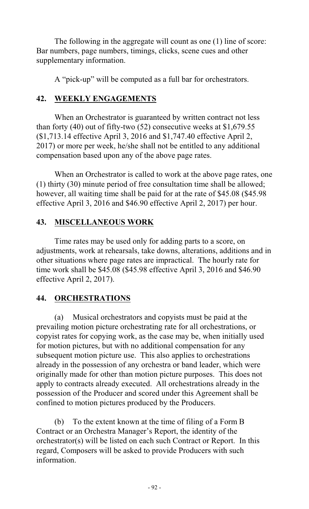The following in the aggregate will count as one (1) line of score: Bar numbers, page numbers, timings, clicks, scene cues and other supplementary information.

A "pick-up" will be computed as a full bar for orchestrators.

## **42. WEEKLY ENGAGEMENTS**

When an Orchestrator is guaranteed by written contract not less than forty (40) out of fifty-two (52) consecutive weeks at \$1,679.55 (\$1,713.14 effective April 3, 2016 and \$1,747.40 effective April 2, 2017) or more per week, he/she shall not be entitled to any additional compensation based upon any of the above page rates.

When an Orchestrator is called to work at the above page rates, one (1) thirty (30) minute period of free consultation time shall be allowed; however, all waiting time shall be paid for at the rate of \$45.08 (\$45.98 effective April 3, 2016 and \$46.90 effective April 2, 2017) per hour.

# **43. MISCELLANEOUS WORK**

Time rates may be used only for adding parts to a score, on adjustments, work at rehearsals, take downs, alterations, additions and in other situations where page rates are impractical. The hourly rate for time work shall be \$45.08 (\$45.98 effective April 3, 2016 and \$46.90 effective April 2, 2017).

# **44. ORCHESTRATIONS**

(a) Musical orchestrators and copyists must be paid at the prevailing motion picture orchestrating rate for all orchestrations, or copyist rates for copying work, as the case may be, when initially used for motion pictures, but with no additional compensation for any subsequent motion picture use. This also applies to orchestrations already in the possession of any orchestra or band leader, which were originally made for other than motion picture purposes. This does not apply to contracts already executed. All orchestrations already in the possession of the Producer and scored under this Agreement shall be confined to motion pictures produced by the Producers.

(b) To the extent known at the time of filing of a Form B Contract or an Orchestra Manager's Report, the identity of the orchestrator(s) will be listed on each such Contract or Report. In this regard, Composers will be asked to provide Producers with such information.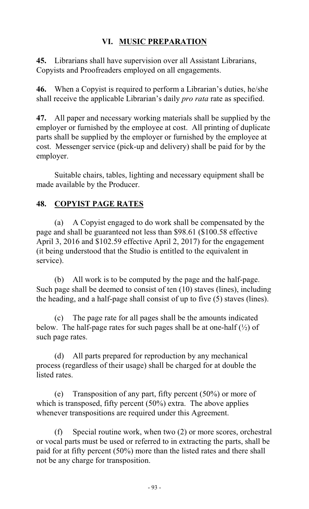## **VI. MUSIC PREPARATION**

**45.** Librarians shall have supervision over all Assistant Librarians, Copyists and Proofreaders employed on all engagements.

**46.** When a Copyist is required to perform a Librarian's duties, he/she shall receive the applicable Librarian's daily *pro rata* rate as specified.

**47.** All paper and necessary working materials shall be supplied by the employer or furnished by the employee at cost. All printing of duplicate parts shall be supplied by the employer or furnished by the employee at cost. Messenger service (pick-up and delivery) shall be paid for by the employer.

Suitable chairs, tables, lighting and necessary equipment shall be made available by the Producer.

## **48. COPYIST PAGE RATES**

(a) A Copyist engaged to do work shall be compensated by the page and shall be guaranteed not less than \$98.61 (\$100.58 effective April 3, 2016 and \$102.59 effective April 2, 2017) for the engagement (it being understood that the Studio is entitled to the equivalent in service).

(b) All work is to be computed by the page and the half-page. Such page shall be deemed to consist of ten (10) staves (lines), including the heading, and a half-page shall consist of up to five (5) staves (lines).

(c) The page rate for all pages shall be the amounts indicated below. The half-page rates for such pages shall be at one-half  $\frac{1}{2}$  of such page rates.

(d) All parts prepared for reproduction by any mechanical process (regardless of their usage) shall be charged for at double the listed rates.

(e) Transposition of any part, fifty percent (50%) or more of which is transposed, fifty percent (50%) extra. The above applies whenever transpositions are required under this Agreement.

(f) Special routine work, when two (2) or more scores, orchestral or vocal parts must be used or referred to in extracting the parts, shall be paid for at fifty percent (50%) more than the listed rates and there shall not be any charge for transposition.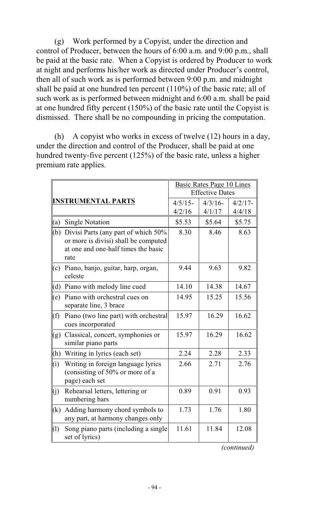(g) Work performed by a Copyist, under the direction and control of Producer, between the hours of 6:00 a.m. and 9:00 p.m., shall be paid at the basic rate. When a Copyist is ordered by Producer to work at night and performs his/her work as directed under Producer's control, then all of such work as is performed between 9:00 p.m. and midnight shall be paid at one hundred ten percent (110%) of the basic rate; all of such work as is performed between midnight and 6:00 a.m. shall be paid at one hundred fifty percent (150%) of the basic rate until the Copyist is dismissed. There shall be no compounding in pricing the computation.

(h) A copyist who works in excess of twelve (12) hours in a day, under the direction and control of the Producer, shall be paid at one hundred twenty-five percent (125%) of the basic rate, unless a higher premium rate applies.

|                   |                                                                                                                            | Basic Rates Page 10 Lines<br><b>Effective Dates</b> |                      |                      |
|-------------------|----------------------------------------------------------------------------------------------------------------------------|-----------------------------------------------------|----------------------|----------------------|
|                   | <b>INSTRUMENTAL PARTS</b>                                                                                                  | $4/5/15$ -<br>4/2/16                                | $4/3/16$ -<br>4/1/17 | $4/2/17$ -<br>4/4/18 |
| (a)               | <b>Single Notation</b>                                                                                                     | \$5.53                                              | \$5.64               | \$5.75               |
| (b)               | Divisi Parts (any part of which 50%<br>or more is divisi) shall be computed<br>at one and one-half times the basic<br>rate | 8.30                                                | 8.46                 | 8.63                 |
| (c)               | Piano, banjo, guitar, harp, organ,<br>celeste                                                                              | 9.44                                                | 9.63                 | 9.82                 |
| (d)               | Piano with melody line cued                                                                                                | 14.10                                               | 14.38                | 14.67                |
| (e)               | Piano with orchestral cues on<br>separate line, 3 brace                                                                    | 14.95                                               | 15.25                | 15.56                |
| (f)               | Piano (two line part) with orchestral<br>cues incorporated                                                                 | 15.97                                               | 16.29                | 16.62                |
| (g)               | Classical, concert, symphonies or<br>similar piano parts                                                                   | 15.97                                               | 16.29                | 16.62                |
| (h)               | Writing in lyrics (each set)                                                                                               | 2.24                                                | 2.28                 | 2.33                 |
| (i)               | Writing in foreign language lyrics<br>(consisting of 50% or more of a<br>page) each set                                    | 2.66                                                | 2.71                 | 2.76                 |
| $\left( j\right)$ | Rehearsal letters, lettering or<br>numbering bars                                                                          | 0.89                                                | 0.91                 | 0.93                 |
| $\left( k\right)$ | Adding harmony chord symbols to<br>any part, at harmony changes only                                                       | 1.73                                                | 1.76                 | 1.80                 |
| (1)               | Song piano parts (including a single)<br>set of lyrics)                                                                    | 11.61                                               | 11.84                | 12.08                |

*(continued)*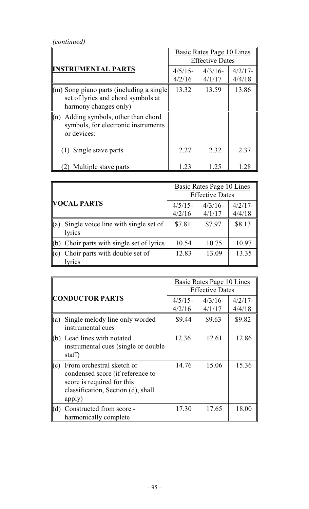*(continued)*

|                                                                                                                  | Basic Rates Page 10 Lines<br><b>Effective Dates</b> |                      |                      |  |
|------------------------------------------------------------------------------------------------------------------|-----------------------------------------------------|----------------------|----------------------|--|
| <b>INSTRUMENTAL PARTS</b>                                                                                        | $4/5/15$ -<br>4/2/16                                | $4/3/16$ -<br>4/1/17 | $4/2/17$ -<br>4/4/18 |  |
| $\langle$ m) Song piano parts (including a single<br>set of lyrics and chord symbols at<br>harmony changes only) | 13.32                                               | 13.59                | 13.86                |  |
| Adding symbols, other than chord<br>(n)<br>symbols, for electronic instruments<br>or devices:                    |                                                     |                      |                      |  |
| (1) Single stave parts                                                                                           | 2.27                                                | 2.32                 | 2.37                 |  |
| Multiple stave parts                                                                                             | 123                                                 | 125                  | 1.28                 |  |

|                 |                                                | Basic Rates Page 10 Lines<br><b>Effective Dates</b> |                      |                      |
|-----------------|------------------------------------------------|-----------------------------------------------------|----------------------|----------------------|
|                 | <b>VOCAL PARTS</b>                             | $4/5/15$ -<br>4/2/16                                | $4/3/16$ -<br>4/1/17 | $4/2/17$ -<br>4/4/18 |
| (a)             | Single voice line with single set of<br>lyrics | \$7.81                                              | \$7.97               | \$8.13               |
|                 | $\ $ (b) Choir parts with single set of lyrics | 10.54                                               | 10.75                | 10.97                |
| $\mathsf{I}(c)$ | Choir parts with double set of<br>lyrics       | 12.83                                               | 13.09                | 13.35                |

|     |                                                                                                                                             | Basic Rates Page 10 Lines<br><b>Effective Dates</b> |                      |                      |
|-----|---------------------------------------------------------------------------------------------------------------------------------------------|-----------------------------------------------------|----------------------|----------------------|
|     | <b>CONDUCTOR PARTS</b>                                                                                                                      | $4/5/15$ -<br>4/2/16                                | $4/3/16$ -<br>4/1/17 | $4/2/17$ -<br>4/4/18 |
| (a) | Single melody line only worded<br>instrumental cues                                                                                         | \$9.44                                              | \$9.63               | \$9.82               |
| (b) | Lead lines with notated<br>instrumental cues (single or double)<br>staff)                                                                   | 12.36                                               | 12.61                | 12.86                |
| (c) | From orchestral sketch or<br>condensed score (if reference to<br>score is required for this<br>classification, Section (d), shall<br>apply) | 14.76                                               | 15.06                | 15.36                |
| (d) | Constructed from score -<br>harmonically complete                                                                                           | 17.30                                               | 17.65                | 18.00                |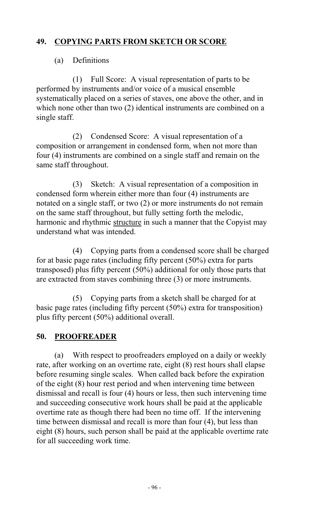### **49. COPYING PARTS FROM SKETCH OR SCORE**

### (a) Definitions

(1) Full Score: A visual representation of parts to be performed by instruments and/or voice of a musical ensemble systematically placed on a series of staves, one above the other, and in which none other than two (2) identical instruments are combined on a single staff.

(2) Condensed Score: A visual representation of a composition or arrangement in condensed form, when not more than four (4) instruments are combined on a single staff and remain on the same staff throughout.

(3) Sketch: A visual representation of a composition in condensed form wherein either more than four (4) instruments are notated on a single staff, or two (2) or more instruments do not remain on the same staff throughout, but fully setting forth the melodic, harmonic and rhythmic structure in such a manner that the Copyist may understand what was intended.

(4) Copying parts from a condensed score shall be charged for at basic page rates (including fifty percent (50%) extra for parts transposed) plus fifty percent (50%) additional for only those parts that are extracted from staves combining three (3) or more instruments.

(5) Copying parts from a sketch shall be charged for at basic page rates (including fifty percent (50%) extra for transposition) plus fifty percent (50%) additional overall.

## **50. PROOFREADER**

(a) With respect to proofreaders employed on a daily or weekly rate, after working on an overtime rate, eight (8) rest hours shall elapse before resuming single scales. When called back before the expiration of the eight (8) hour rest period and when intervening time between dismissal and recall is four (4) hours or less, then such intervening time and succeeding consecutive work hours shall be paid at the applicable overtime rate as though there had been no time off. If the intervening time between dismissal and recall is more than four (4), but less than eight (8) hours, such person shall be paid at the applicable overtime rate for all succeeding work time.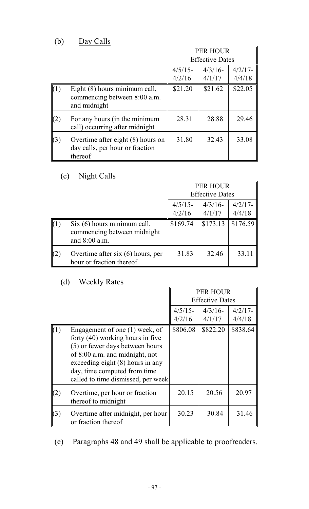# (b) Day Calls

|     |                                                                                   | <b>PER HOUR</b><br><b>Effective Dates</b> |                      |                      |
|-----|-----------------------------------------------------------------------------------|-------------------------------------------|----------------------|----------------------|
|     |                                                                                   | $4/5/15$ -<br>4/2/16                      | $4/3/16$ -<br>4/1/17 | $4/2/17$ -<br>4/4/18 |
| (1) | Eight (8) hours minimum call,<br>commencing between 8:00 a.m.<br>and midnight     | \$21.20                                   | \$21.62              | \$22.05              |
| (2) | For any hours (in the minimum<br>call) occurring after midnight                   | 28.31                                     | 28.88                | 29.46                |
| (3) | Overtime after eight $(8)$ hours on<br>day calls, per hour or fraction<br>thereof | 31.80                                     | 32.43                | 33.08                |

# (c) Night Calls

|     |                                                                               | PER HOUR<br><b>Effective Dates</b> |                      |                      |
|-----|-------------------------------------------------------------------------------|------------------------------------|----------------------|----------------------|
|     |                                                                               | $4/5/15$ -<br>4/2/16               | $4/3/16$ -<br>4/1/17 | $4/2/17$ -<br>4/4/18 |
| (1) | Six (6) hours minimum call,<br>commencing between midnight<br>and $8:00$ a.m. | \$169.74                           | \$173.13             | \$176.59             |
| (2) | Overtime after six $(6)$ hours, per<br>hour or fraction thereof               | 31.83                              | 32.46                | 33.11                |

# (d) Weekly Rates

|     |                                                                                                                                                                                                                                                     | <b>PER HOUR</b><br><b>Effective Dates</b> |                      |                      |
|-----|-----------------------------------------------------------------------------------------------------------------------------------------------------------------------------------------------------------------------------------------------------|-------------------------------------------|----------------------|----------------------|
|     |                                                                                                                                                                                                                                                     | $4/5/15$ -<br>4/2/16                      | $4/3/16$ -<br>4/1/17 | $4/2/17$ -<br>4/4/18 |
|     | Engagement of one $(1)$ week, of<br>forty (40) working hours in five<br>(5) or fewer days between hours<br>of 8:00 a.m. and midnight, not<br>exceeding eight (8) hours in any<br>day, time computed from time<br>called to time dismissed, per week | \$806.08                                  | \$822.20             | \$838.64             |
| (2) | Overtime, per hour or fraction<br>thereof to midnight                                                                                                                                                                                               | 20.15                                     | 20.56                | 20.97                |
| (3) | Overtime after midnight, per hour<br>or fraction thereof                                                                                                                                                                                            | 30.23                                     | 30.84                | 31.46                |

(e) Paragraphs 48 and 49 shall be applicable to proofreaders.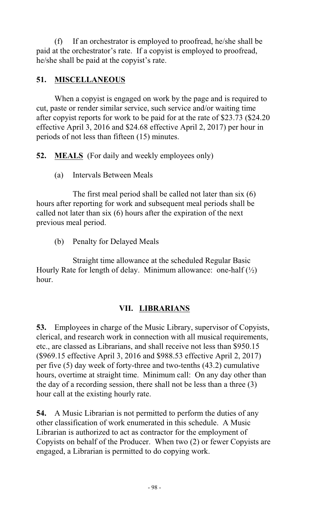(f) If an orchestrator is employed to proofread, he/she shall be paid at the orchestrator's rate. If a copyist is employed to proofread, he/she shall be paid at the copyist's rate.

### **51. MISCELLANEOUS**

When a copyist is engaged on work by the page and is required to cut, paste or render similar service, such service and/or waiting time after copyist reports for work to be paid for at the rate of \$23.73 (\$24.20 effective April 3, 2016 and \$24.68 effective April 2, 2017) per hour in periods of not less than fifteen (15) minutes.

**52. MEALS** (For daily and weekly employees only)

(a) Intervals Between Meals

The first meal period shall be called not later than six (6) hours after reporting for work and subsequent meal periods shall be called not later than six (6) hours after the expiration of the next previous meal period.

(b) Penalty for Delayed Meals

Straight time allowance at the scheduled Regular Basic Hourly Rate for length of delay. Minimum allowance: one-half  $(\frac{1}{2})$ hour.

### **VII. LIBRARIANS**

**53.** Employees in charge of the Music Library, supervisor of Copyists, clerical, and research work in connection with all musical requirements, etc., are classed as Librarians, and shall receive not less than \$950.15 (\$969.15 effective April 3, 2016 and \$988.53 effective April 2, 2017) per five (5) day week of forty-three and two-tenths (43.2) cumulative hours, overtime at straight time. Minimum call: On any day other than the day of a recording session, there shall not be less than a three (3) hour call at the existing hourly rate.

**54.** A Music Librarian is not permitted to perform the duties of any other classification of work enumerated in this schedule. A Music Librarian is authorized to act as contractor for the employment of Copyists on behalf of the Producer. When two (2) or fewer Copyists are engaged, a Librarian is permitted to do copying work.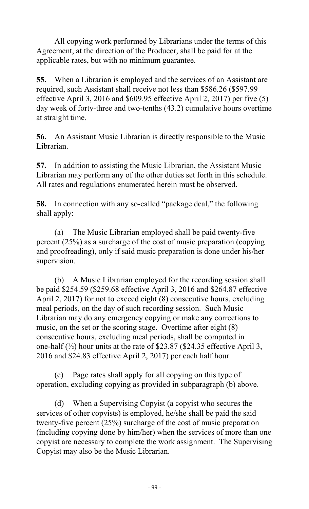All copying work performed by Librarians under the terms of this Agreement, at the direction of the Producer, shall be paid for at the applicable rates, but with no minimum guarantee.

**55.** When a Librarian is employed and the services of an Assistant are required, such Assistant shall receive not less than \$586.26 (\$597.99 effective April 3, 2016 and \$609.95 effective April 2, 2017) per five (5) day week of forty-three and two-tenths (43.2) cumulative hours overtime at straight time.

**56.** An Assistant Music Librarian is directly responsible to the Music Librarian.

**57.** In addition to assisting the Music Librarian, the Assistant Music Librarian may perform any of the other duties set forth in this schedule. All rates and regulations enumerated herein must be observed.

**58.** In connection with any so-called "package deal," the following shall apply:

(a) The Music Librarian employed shall be paid twenty-five percent (25%) as a surcharge of the cost of music preparation (copying and proofreading), only if said music preparation is done under his/her supervision.

(b) A Music Librarian employed for the recording session shall be paid \$254.59 (\$259.68 effective April 3, 2016 and \$264.87 effective April 2, 2017) for not to exceed eight (8) consecutive hours, excluding meal periods, on the day of such recording session. Such Music Librarian may do any emergency copying or make any corrections to music, on the set or the scoring stage. Overtime after eight (8) consecutive hours, excluding meal periods, shall be computed in one-half  $(\frac{1}{2})$  hour units at the rate of \$23.87 (\$24.35 effective April 3, 2016 and \$24.83 effective April 2, 2017) per each half hour.

(c) Page rates shall apply for all copying on this type of operation, excluding copying as provided in subparagraph (b) above.

(d) When a Supervising Copyist (a copyist who secures the services of other copyists) is employed, he/she shall be paid the said twenty-five percent (25%) surcharge of the cost of music preparation (including copying done by him/her) when the services of more than one copyist are necessary to complete the work assignment. The Supervising Copyist may also be the Music Librarian.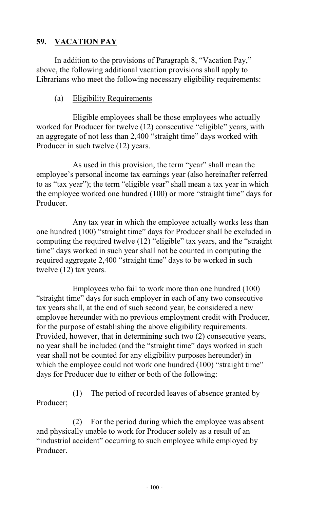## **59. VACATION PAY**

In addition to the provisions of Paragraph 8, "Vacation Pay," above, the following additional vacation provisions shall apply to Librarians who meet the following necessary eligibility requirements:

### (a) Eligibility Requirements

Eligible employees shall be those employees who actually worked for Producer for twelve (12) consecutive "eligible" years, with an aggregate of not less than 2,400 "straight time" days worked with Producer in such twelve (12) years.

As used in this provision, the term "year" shall mean the employee's personal income tax earnings year (also hereinafter referred to as "tax year"); the term "eligible year" shall mean a tax year in which the employee worked one hundred (100) or more "straight time" days for Producer.

Any tax year in which the employee actually works less than one hundred (100) "straight time" days for Producer shall be excluded in computing the required twelve (12) "eligible" tax years, and the "straight time" days worked in such year shall not be counted in computing the required aggregate 2,400 "straight time" days to be worked in such twelve (12) tax years.

Employees who fail to work more than one hundred (100) "straight time" days for such employer in each of any two consecutive tax years shall, at the end of such second year, be considered a new employee hereunder with no previous employment credit with Producer, for the purpose of establishing the above eligibility requirements. Provided, however, that in determining such two (2) consecutive years, no year shall be included (and the "straight time" days worked in such year shall not be counted for any eligibility purposes hereunder) in which the employee could not work one hundred (100) "straight time" days for Producer due to either or both of the following:

(1) The period of recorded leaves of absence granted by Producer;

(2) For the period during which the employee was absent and physically unable to work for Producer solely as a result of an "industrial accident" occurring to such employee while employed by Producer.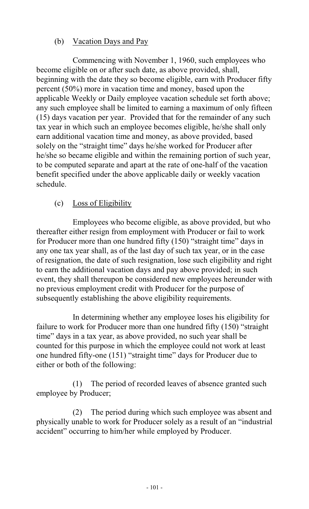### (b) Vacation Days and Pay

Commencing with November 1, 1960, such employees who become eligible on or after such date, as above provided, shall, beginning with the date they so become eligible, earn with Producer fifty percent (50%) more in vacation time and money, based upon the applicable Weekly or Daily employee vacation schedule set forth above; any such employee shall be limited to earning a maximum of only fifteen (15) days vacation per year. Provided that for the remainder of any such tax year in which such an employee becomes eligible, he/she shall only earn additional vacation time and money, as above provided, based solely on the "straight time" days he/she worked for Producer after he/she so became eligible and within the remaining portion of such year, to be computed separate and apart at the rate of one-half of the vacation benefit specified under the above applicable daily or weekly vacation schedule.

### (c) Loss of Eligibility

Employees who become eligible, as above provided, but who thereafter either resign from employment with Producer or fail to work for Producer more than one hundred fifty (150) "straight time" days in any one tax year shall, as of the last day of such tax year, or in the case of resignation, the date of such resignation, lose such eligibility and right to earn the additional vacation days and pay above provided; in such event, they shall thereupon be considered new employees hereunder with no previous employment credit with Producer for the purpose of subsequently establishing the above eligibility requirements.

In determining whether any employee loses his eligibility for failure to work for Producer more than one hundred fifty (150) "straight time" days in a tax year, as above provided, no such year shall be counted for this purpose in which the employee could not work at least one hundred fifty-one (151) "straight time" days for Producer due to either or both of the following:

(1) The period of recorded leaves of absence granted such employee by Producer;

(2) The period during which such employee was absent and physically unable to work for Producer solely as a result of an "industrial accident" occurring to him/her while employed by Producer.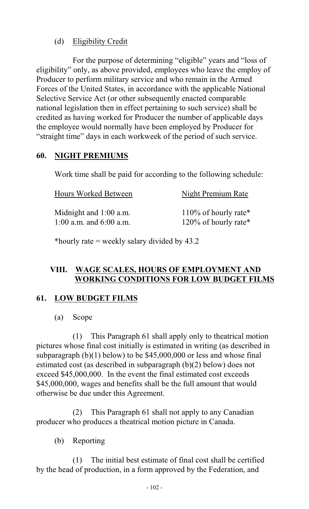## (d) Eligibility Credit

For the purpose of determining "eligible" years and "loss of eligibility" only, as above provided, employees who leave the employ of Producer to perform military service and who remain in the Armed Forces of the United States, in accordance with the applicable National Selective Service Act (or other subsequently enacted comparable national legislation then in effect pertaining to such service) shall be credited as having worked for Producer the number of applicable days the employee would normally have been employed by Producer for "straight time" days in each workweek of the period of such service.

### **60. NIGHT PREMIUMS**

Work time shall be paid for according to the following schedule:

| <b>Hours Worked Between</b> | Night Premium Rate   |
|-----------------------------|----------------------|
| Midnight and 1:00 a.m.      | 110% of hourly rate* |
| 1:00 a.m. and $6:00$ a.m.   | 120% of hourly rate* |

\*hourly rate = weekly salary divided by 43.2

#### **VIII. WAGE SCALES, HOURS OF EMPLOYMENT AND WORKING CONDITIONS FOR LOW BUDGET FILMS**

#### **61. LOW BUDGET FILMS**

(a) Scope

(1) This Paragraph 61 shall apply only to theatrical motion pictures whose final cost initially is estimated in writing (as described in subparagraph (b)(1) below) to be \$45,000,000 or less and whose final estimated cost (as described in subparagraph (b)(2) below) does not exceed \$45,000,000. In the event the final estimated cost exceeds \$45,000,000, wages and benefits shall be the full amount that would otherwise be due under this Agreement.

(2) This Paragraph 61 shall not apply to any Canadian producer who produces a theatrical motion picture in Canada.

(b) Reporting

(1) The initial best estimate of final cost shall be certified by the head of production, in a form approved by the Federation, and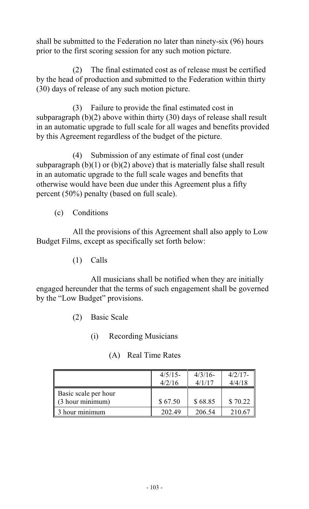shall be submitted to the Federation no later than ninety-six (96) hours prior to the first scoring session for any such motion picture.

(2) The final estimated cost as of release must be certified by the head of production and submitted to the Federation within thirty (30) days of release of any such motion picture.

(3) Failure to provide the final estimated cost in subparagraph (b)(2) above within thirty (30) days of release shall result in an automatic upgrade to full scale for all wages and benefits provided by this Agreement regardless of the budget of the picture.

(4) Submission of any estimate of final cost (under subparagraph  $(b)(1)$  or  $(b)(2)$  above) that is materially false shall result in an automatic upgrade to the full scale wages and benefits that otherwise would have been due under this Agreement plus a fifty percent (50%) penalty (based on full scale).

(c) Conditions

All the provisions of this Agreement shall also apply to Low Budget Films, except as specifically set forth below:

(1) Calls

All musicians shall be notified when they are initially engaged hereunder that the terms of such engagement shall be governed by the "Low Budget" provisions.

- (2) Basic Scale
	- (i) Recording Musicians

|                                                             | $4/5/15$ -<br>4/2/16 | 4/3/16<br>4/1/17 | $4/2/17$ -<br>4/4/18 |
|-------------------------------------------------------------|----------------------|------------------|----------------------|
| <b>Basic scale per hour</b><br>$\parallel$ (3 hour minimum) | \$67.50              | \$68.85          | \$70.22              |
| 3 hour minimum                                              | 202.49               | 206.54           | 210.67               |

#### (A) Real Time Rates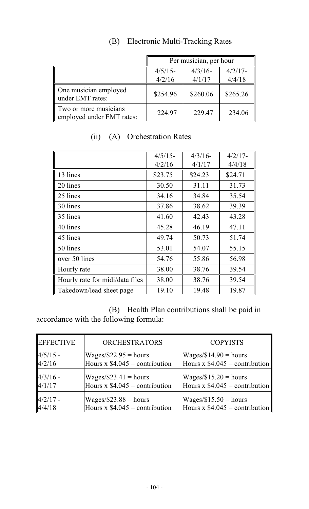|                                                    | Per musician, per hour                                               |          |          |  |
|----------------------------------------------------|----------------------------------------------------------------------|----------|----------|--|
|                                                    | $4/2/17$ -<br>$4/3/16$ -<br>$4/5/15$ -<br>4/2/16<br>4/1/17<br>4/4/18 |          |          |  |
| One musician employed<br>under EMT rates:          | \$254.96                                                             | \$260.06 | \$265.26 |  |
| Two or more musicians<br>employed under EMT rates: | 224.97                                                               | 229.47   | 234.06   |  |

## (B) Electronic Multi-Tracking Rates

# (ii) (A) Orchestration Rates

|                                 | $4/5/15$ - | $4/3/16$ - | $4/2/17$ - |
|---------------------------------|------------|------------|------------|
|                                 | 4/2/16     | 4/1/17     | 4/4/18     |
| 13 lines                        | \$23.75    | \$24.23    | \$24.71    |
| 20 lines                        | 30.50      | 31.11      | 31.73      |
| 25 lines                        | 34.16      | 34.84      | 35.54      |
| 30 lines                        | 37.86      | 38.62      | 39.39      |
| 35 lines                        | 41.60      | 42.43      | 43.28      |
| 40 lines                        | 45.28      | 46.19      | 47.11      |
| 45 lines                        | 49.74      | 50.73      | 51.74      |
| 50 lines                        | 53.01      | 54.07      | 55.15      |
| over 50 lines                   | 54.76      | 55.86      | 56.98      |
| Hourly rate                     | 38.00      | 38.76      | 39.54      |
| Hourly rate for midi/data files | 38.00      | 38.76      | 39.54      |
| Takedown/lead sheet page        | 19.10      | 19.48      | 19.87      |

(B) Health Plan contributions shall be paid in accordance with the following formula:

| <b>EFFECTIVE</b> | <b>ORCHESTRATORS</b>             | <b>COPYISTS</b>                  |
|------------------|----------------------------------|----------------------------------|
| $4/5/15 -$       | $Wages$ /\$22.95 = hours         | $Wages/\$14.90 = hours$          |
| 4/2/16           | Hours $x$ \$4.045 = contribution | Hours $x$ \$4.045 = contribution |
| $4/3/16$ -       | $Wages$ /\$23.41 = hours         | $Wages/\$15.20 = hours$          |
| 4/1/17           | Hours $x$ \$4.045 = contribution | Hours x $$4.045 =$ contribution  |
| $4/2/17 -$       | $Wages$ /\$23.88 = hours         | $Wages/\$15.50 = hours$          |
| 4/4/18           | Hours x $$4.045 =$ contribution  | Hours x $$4.045 =$ contribution  |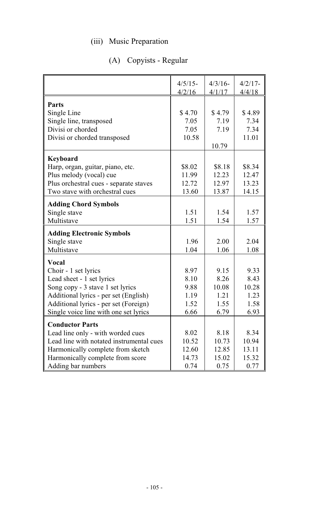# (iii) Music Preparation

| (A) Copyists - Regular |  |
|------------------------|--|
|                        |  |

|                                          | $4/5/15$ - | $4/3/16$ - | $4/2/17-$ |
|------------------------------------------|------------|------------|-----------|
|                                          | 4/2/16     | 4/1/17     | 4/4/18    |
| Parts                                    |            |            |           |
| Single Line                              | \$4.70     | \$4.79     | \$4.89    |
| Single line, transposed                  | 7.05       | 7.19       | 7.34      |
| Divisi or chorded                        | 7.05       | 7.19       | 7.34      |
| Divisi or chorded transposed             | 10.58      |            | 11.01     |
|                                          |            | 10.79      |           |
|                                          |            |            |           |
| Keyboard                                 |            |            |           |
| Harp, organ, guitar, piano, etc.         | \$8.02     | \$8.18     | \$8.34    |
| Plus melody (vocal) cue                  | 11.99      | 12.23      | 12.47     |
| Plus orchestral cues - separate staves   | 12.72      | 12.97      | 13.23     |
| Two stave with orchestral cues           | 13.60      | 13.87      | 14.15     |
| <b>Adding Chord Symbols</b>              |            |            |           |
| Single stave                             | 1.51       | 1.54       | 1.57      |
| Multistave                               | 1.51       | 1.54       | 1.57      |
| <b>Adding Electronic Symbols</b>         |            |            |           |
| Single stave                             | 1.96       | 2.00       | 2.04      |
| Multistave                               | 1.04       | 1.06       | 1.08      |
|                                          |            |            |           |
| <b>Vocal</b>                             |            |            |           |
| Choir - 1 set lyrics                     | 8.97       | 9.15       | 9.33      |
| Lead sheet - 1 set lyrics                | 8.10       | 8.26       | 8.43      |
| Song copy - 3 stave 1 set lyrics         | 9.88       | 10.08      | 10.28     |
| Additional lyrics - per set (English)    | 1.19       | 1.21       | 1.23      |
| Additional lyrics - per set (Foreign)    | 1.52       | 1.55       | 1.58      |
| Single voice line with one set lyrics    | 6.66       | 6.79       | 6.93      |
| <b>Conductor Parts</b>                   |            |            |           |
| Lead line only - with worded cues        | 8.02       | 8.18       | 8.34      |
| Lead line with notated instrumental cues | 10.52      | 10.73      | 10.94     |
| Harmonically complete from sketch        | 12.60      | 12.85      | 13.11     |
| Harmonically complete from score         | 14.73      | 15.02      | 15.32     |
| Adding bar numbers                       | 0.74       | 0.75       | 0.77      |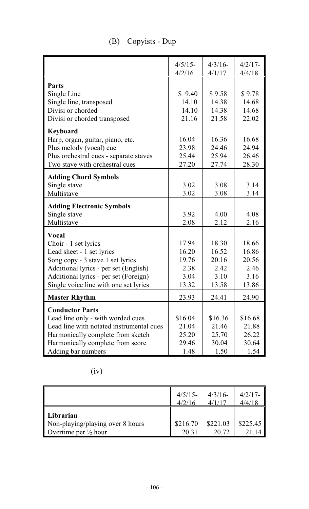|                                          | $4/5/15$ - | $4/3/16$ - | $4/2/17-$ |
|------------------------------------------|------------|------------|-----------|
|                                          | 4/2/16     | 4/1/17     | 4/4/18    |
|                                          |            |            |           |
| <b>Parts</b>                             |            |            |           |
| Single Line                              | \$9.40     | \$9.58     | \$9.78    |
| Single line, transposed                  | 14.10      | 14.38      | 14.68     |
| Divisi or chorded                        | 14.10      | 14.38      | 14.68     |
| Divisi or chorded transposed             | 21.16      | 21.58      | 22.02     |
| <b>Keyboard</b>                          |            |            |           |
| Harp, organ, guitar, piano, etc.         | 16.04      | 16.36      | 16.68     |
| Plus melody (vocal) cue                  | 23.98      | 24.46      | 24.94     |
| Plus orchestral cues - separate staves   | 25.44      | 25.94      | 26.46     |
| Two stave with orchestral cues           | 27.20      | 27.74      | 28.30     |
| <b>Adding Chord Symbols</b>              |            |            |           |
| Single stave                             | 3.02       | 3.08       | 3.14      |
| Multistave                               | 3.02       | 3.08       | 3.14      |
|                                          |            |            |           |
| <b>Adding Electronic Symbols</b>         |            |            |           |
| Single stave                             | 3.92       | 4.00       | 4.08      |
| Multistave                               | 2.08       | 2.12       | 2.16      |
| <b>Vocal</b>                             |            |            |           |
| Choir - 1 set lyrics                     | 17.94      | 18.30      | 18.66     |
| Lead sheet - 1 set lyrics                | 16.20      | 16.52      | 16.86     |
| Song copy - 3 stave 1 set lyrics         | 19.76      | 20.16      | 20.56     |
| Additional lyrics - per set (English)    | 2.38       | 2.42       | 2.46      |
| Additional lyrics - per set (Foreign)    | 3.04       | 3.10       | 3.16      |
| Single voice line with one set lyrics    | 13.32      | 13.58      | 13.86     |
| <b>Master Rhythm</b>                     | 23.93      | 24.41      | 24.90     |
| <b>Conductor Parts</b>                   |            |            |           |
| Lead line only - with worded cues        | \$16.04    | \$16.36    | \$16.68   |
| Lead line with notated instrumental cues | 21.04      | 21.46      | 21.88     |
| Harmonically complete from sketch        | 25.20      | 25.70      | 26.22     |
| Harmonically complete from score         | 29.46      | 30.04      | 30.64     |
| Adding bar numbers                       | 1.48       | 1.50       | 1.54      |

| (B) | Copyists - Dup |  |
|-----|----------------|--|
|     |                |  |

|                                  | $4/5/15$ -<br>4/2/16 | $4/3/16$ - | $4/2/17-$<br>4/4/18 |
|----------------------------------|----------------------|------------|---------------------|
| Librarian                        |                      |            |                     |
| Non-playing/playing over 8 hours | \$216.70             | \$221.03   | \$225.45            |
| Overtime per $\frac{1}{2}$ hour  | 20.31                | 20.72      | 21 14               |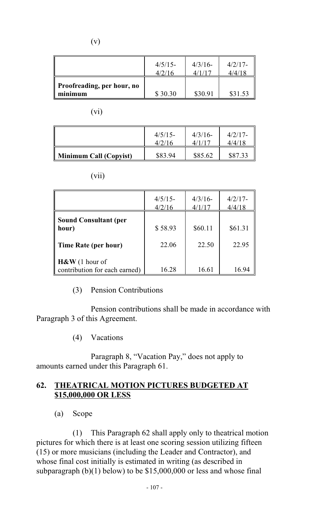(v)

|                                       | $4/5/15$ - | $4/3/16$ - | $4/2/17$ - |
|---------------------------------------|------------|------------|------------|
| Proofreading, per hour, no<br>minimum | \$30.30    | \$30.91    | \$31.53    |

(vi)

|                               | $4/5/15$ -<br>4/2/ | 4/3/16  | $4/2/17$ -<br>4/4/1 |
|-------------------------------|--------------------|---------|---------------------|
| <b>Minimum Call (Copyist)</b> | \$83.94            | \$85.62 | \$87.33             |

|                                                    | $4/5/15$ -<br>4/2/16 | $4/3/16$ - | $4/2/17$ -<br>4/4/18 |
|----------------------------------------------------|----------------------|------------|----------------------|
| <b>Sound Consultant (per</b><br>hour)              | \$58.93              | \$60.11    | \$61.31              |
| Time Rate (per hour)                               | 22.06                | 22.50      | 22.95                |
| $H\&W$ (1 hour of<br>contribution for each earned) | 16.28                | 16.61      | 16.94                |

#### (3) Pension Contributions

Pension contributions shall be made in accordance with Paragraph 3 of this Agreement.

(4) Vacations

Paragraph 8, "Vacation Pay," does not apply to amounts earned under this Paragraph 61.

#### **62. THEATRICAL MOTION PICTURES BUDGETED AT \$15,000,000 OR LESS**

(a) Scope

(1) This Paragraph 62 shall apply only to theatrical motion pictures for which there is at least one scoring session utilizing fifteen (15) or more musicians (including the Leader and Contractor), and whose final cost initially is estimated in writing (as described in subparagraph (b)(1) below) to be \$15,000,000 or less and whose final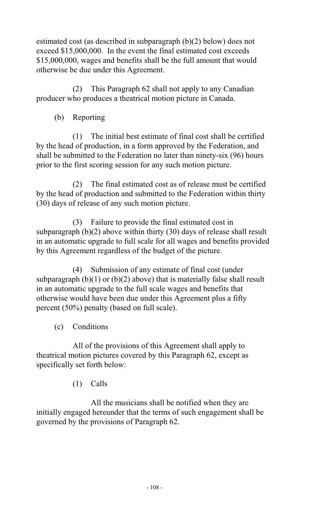estimated cost (as described in subparagraph (b)(2) below) does not exceed \$15,000,000. In the event the final estimated cost exceeds \$15,000,000, wages and benefits shall be the full amount that would otherwise be due under this Agreement.

(2) This Paragraph 62 shall not apply to any Canadian producer who produces a theatrical motion picture in Canada.

(b) Reporting

(1) The initial best estimate of final cost shall be certified by the head of production, in a form approved by the Federation, and shall be submitted to the Federation no later than ninety-six (96) hours prior to the first scoring session for any such motion picture.

(2) The final estimated cost as of release must be certified by the head of production and submitted to the Federation within thirty (30) days of release of any such motion picture.

(3) Failure to provide the final estimated cost in subparagraph (b)(2) above within thirty (30) days of release shall result in an automatic upgrade to full scale for all wages and benefits provided by this Agreement regardless of the budget of the picture.

(4) Submission of any estimate of final cost (under subparagraph  $(b)(1)$  or  $(b)(2)$  above) that is materially false shall result in an automatic upgrade to the full scale wages and benefits that otherwise would have been due under this Agreement plus a fifty percent (50%) penalty (based on full scale).

(c) Conditions

All of the provisions of this Agreement shall apply to theatrical motion pictures covered by this Paragraph 62, except as specifically set forth below:

(1) Calls

All the musicians shall be notified when they are initially engaged hereunder that the terms of such engagement shall be governed by the provisions of Paragraph 62.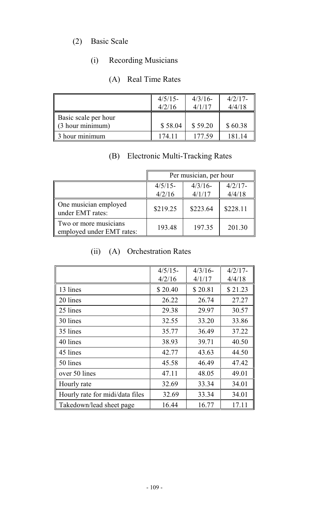## (2) Basic Scale

## (i) Recording Musicians

## (A) Real Time Rates

|                                                 | $4/5/15$ -<br>4/2/16 | $4/3/16$ -<br>4/1/17 | $4/2/17$ -<br>4/4/18 |
|-------------------------------------------------|----------------------|----------------------|----------------------|
| Basic scale per hour<br>$\mid$ (3 hour minimum) | \$58.04              | \$59.20              | \$60.38              |
| 3 hour minimum                                  | 174.11               | 177.59               | 181.14               |

## (B) Electronic Multi-Tracking Rates

|                                                    | Per musician, per hour |                      |                      |
|----------------------------------------------------|------------------------|----------------------|----------------------|
|                                                    | $4/5/15$ -<br>4/2/16   | $4/3/16$ -<br>4/1/17 | $4/2/17$ -<br>4/4/18 |
| One musician employed<br>under EMT rates:          | \$219.25               | \$223.64             | \$228.11             |
| Two or more musicians<br>employed under EMT rates: | 193.48                 | 197.35               | 201.30               |

## (ii) (A) Orchestration Rates

|                                 | $4/5/15$ - | 4/3/16  | $4/2/17-$ |
|---------------------------------|------------|---------|-----------|
|                                 | 4/2/16     | 4/1/17  | 4/4/18    |
| 13 lines                        | \$20.40    | \$20.81 | \$21.23   |
| 20 lines                        | 26.22      | 26.74   | 27.27     |
| 25 lines                        | 29.38      | 29.97   | 30.57     |
| 30 lines                        | 32.55      | 33.20   | 33.86     |
| 35 lines                        | 35.77      | 36.49   | 37.22     |
| 40 lines                        | 38.93      | 39.71   | 40.50     |
| 45 lines                        | 42.77      | 43.63   | 44.50     |
| 50 lines                        | 45.58      | 46.49   | 47.42     |
| over 50 lines                   | 47.11      | 48.05   | 49.01     |
| Hourly rate                     | 32.69      | 33.34   | 34.01     |
| Hourly rate for midi/data files | 32.69      | 33.34   | 34.01     |
| Takedown/lead sheet page        | 16.44      | 16.77   | 17.11     |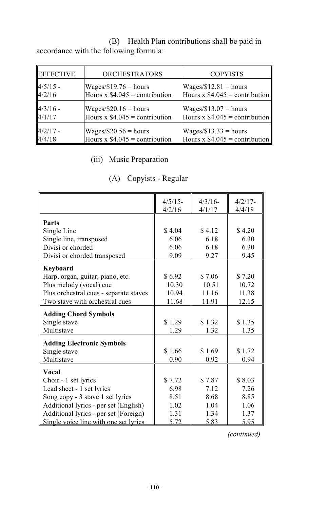(B) Health Plan contributions shall be paid in accordance with the following formula:

| <b>EFFECTIVE</b> | <b>ORCHESTRATORS</b>            | <b>COPYISTS</b>                  |
|------------------|---------------------------------|----------------------------------|
| $4/5/15 -$       | $Wages/\$19.76 = hours$         | $Wages/\$12.81 = hours$          |
| 4/2/16           | Hours x $$4.045 =$ contribution | Hours x $$4.045 =$ contribution  |
| $4/3/16$ -       | $Wages$ /\$20.16 = hours        | $Wages/\$13.07 = hours$          |
| 4/1/17           | Hours x $$4.045 =$ contribution | Hours $x$ \$4.045 = contribution |
| $4/2/17 -$       | Wages/ $$20.56 = hours$         | $Wages/\$13.33 = hours$          |
| 4/4/18           | Hours x $$4.045 =$ contribution | Hours x $$4.045 =$ contribution  |

# (iii) Music Preparation

|  |  | (A) Copyists - Regular |  |
|--|--|------------------------|--|
|--|--|------------------------|--|

|                                        | $4/5/15$ - | $4/3/16$ - | $4/2/17-$ |
|----------------------------------------|------------|------------|-----------|
|                                        | 4/2/16     | 4/1/17     | 4/4/18    |
|                                        |            |            |           |
| <b>Parts</b>                           |            |            |           |
| Single Line                            | \$4.04     | \$4.12     | \$4.20    |
| Single line, transposed                | 6.06       | 6.18       | 6.30      |
| Divisi or chorded                      | 6.06       | 6.18       | 6.30      |
| Divisi or chorded transposed           | 9.09       | 9.27       | 9.45      |
| <b>Keyboard</b>                        |            |            |           |
| Harp, organ, guitar, piano, etc.       | \$6.92     | \$7.06     | \$7.20    |
| Plus melody (vocal) cue                | 10.30      | 10.51      | 10.72     |
| Plus orchestral cues - separate staves | 10.94      | 11.16      | 11.38     |
| Two stave with orchestral cues         | 11.68      | 11.91      | 12.15     |
| <b>Adding Chord Symbols</b>            |            |            |           |
| Single stave                           | \$1.29     | \$1.32     | \$1.35    |
| Multistave                             | 1.29       | 1.32       | 1.35      |
| <b>Adding Electronic Symbols</b>       |            |            |           |
| Single stave                           | \$1.66     | \$1.69     | \$1.72    |
| Multistave                             | 0.90       | 0.92       | 0.94      |
| <b>Vocal</b>                           |            |            |           |
| Choir - 1 set lyrics                   | \$7.72     | \$7.87     | \$8.03    |
| Lead sheet - 1 set lyrics              | 6.98       | 7.12       | 7.26      |
| Song copy - 3 stave 1 set lyrics       | 8.51       | 8.68       | 8.85      |
| Additional lyrics - per set (English)  | 1.02       | 1.04       | 1.06      |
| Additional lyrics - per set (Foreign)  | 1.31       | 1.34       | 1.37      |
| Single voice line with one set lyrics  | 5.72       | 5.83       | 5.95      |

*(continued)*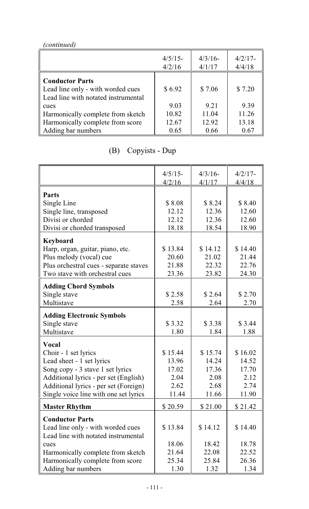*(continued)*

|                                                                                                    | $4/5/15$ -<br>4/2/16 | $4/3/16$ -<br>4/1/17 | $4/2/17$ -<br>4/4/18 |
|----------------------------------------------------------------------------------------------------|----------------------|----------------------|----------------------|
| <b>Conductor Parts</b><br>Lead line only - with worded cues<br>Lead line with notated instrumental | \$6.92               | \$7.06               | \$7.20               |
| cues                                                                                               | 9.03                 | 9.21                 | 9.39                 |
| Harmonically complete from sketch                                                                  | 10.82                | 11.04                | 11.26                |
| Harmonically complete from score                                                                   | 12.67                | 12.92                | 13.18                |
| Adding bar numbers                                                                                 | 0.65                 | 0.66                 | 0.67                 |

(B) Copyists - Dup

| $4/5/15$ - | $4/3/16$ -                                                                                                                                                                              | $4/2/17$ -<br>4/4/18                                                                                                                                                                              |
|------------|-----------------------------------------------------------------------------------------------------------------------------------------------------------------------------------------|---------------------------------------------------------------------------------------------------------------------------------------------------------------------------------------------------|
|            |                                                                                                                                                                                         |                                                                                                                                                                                                   |
|            |                                                                                                                                                                                         | \$8.40                                                                                                                                                                                            |
|            |                                                                                                                                                                                         | 12.60                                                                                                                                                                                             |
|            |                                                                                                                                                                                         | 12.60                                                                                                                                                                                             |
|            |                                                                                                                                                                                         | 18.90                                                                                                                                                                                             |
|            |                                                                                                                                                                                         |                                                                                                                                                                                                   |
|            |                                                                                                                                                                                         |                                                                                                                                                                                                   |
|            |                                                                                                                                                                                         | \$14.40                                                                                                                                                                                           |
|            |                                                                                                                                                                                         | 21.44                                                                                                                                                                                             |
|            |                                                                                                                                                                                         | 22.76                                                                                                                                                                                             |
|            |                                                                                                                                                                                         | 24.30                                                                                                                                                                                             |
|            |                                                                                                                                                                                         |                                                                                                                                                                                                   |
| \$2.58     | \$2.64                                                                                                                                                                                  | \$2.70                                                                                                                                                                                            |
| 2.58       | 2.64                                                                                                                                                                                    | 2.70                                                                                                                                                                                              |
|            |                                                                                                                                                                                         |                                                                                                                                                                                                   |
| \$3.32     |                                                                                                                                                                                         | \$3.44                                                                                                                                                                                            |
| 1.80       | 1.84                                                                                                                                                                                    | 1.88                                                                                                                                                                                              |
|            |                                                                                                                                                                                         |                                                                                                                                                                                                   |
|            |                                                                                                                                                                                         | \$16.02                                                                                                                                                                                           |
|            |                                                                                                                                                                                         | 14.52                                                                                                                                                                                             |
|            |                                                                                                                                                                                         | 17.70                                                                                                                                                                                             |
|            |                                                                                                                                                                                         | 2.12                                                                                                                                                                                              |
|            |                                                                                                                                                                                         | 2.74                                                                                                                                                                                              |
| 11.44      | 11.66                                                                                                                                                                                   | 11.90                                                                                                                                                                                             |
|            |                                                                                                                                                                                         | \$21.42                                                                                                                                                                                           |
|            |                                                                                                                                                                                         |                                                                                                                                                                                                   |
|            |                                                                                                                                                                                         | \$14.40                                                                                                                                                                                           |
|            |                                                                                                                                                                                         |                                                                                                                                                                                                   |
|            |                                                                                                                                                                                         | 18.78                                                                                                                                                                                             |
|            |                                                                                                                                                                                         | 22.52                                                                                                                                                                                             |
|            |                                                                                                                                                                                         | 26.36                                                                                                                                                                                             |
|            |                                                                                                                                                                                         | 1.34                                                                                                                                                                                              |
|            | 4/2/16<br>\$8.08<br>12.12<br>12.12<br>18.18<br>\$13.84<br>20.60<br>21.88<br>23.36<br>\$15.44<br>13.96<br>17.02<br>2.04<br>2.62<br>\$20.59<br>\$13.84<br>18.06<br>21.64<br>25.34<br>1.30 | 4/1/17<br>\$8.24<br>12.36<br>12.36<br>18.54<br>\$14.12<br>21.02<br>22.32<br>23.82<br>\$3.38<br>\$15.74<br>14.24<br>17.36<br>2.08<br>2.68<br>\$21.00<br>\$14.12<br>18.42<br>22.08<br>25.84<br>1.32 |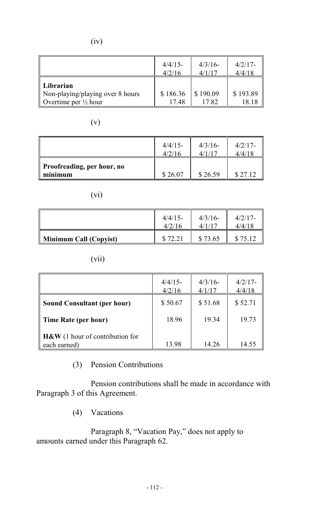(iv)

|                                  | $4/4/15$ -<br>4/2/16 | 4/3/16   | $4/2/17$ -<br>4/4/18 |
|----------------------------------|----------------------|----------|----------------------|
| Librarian                        |                      |          |                      |
| Non-playing/playing over 8 hours | \$186.36             | \$190.09 | \$193.89             |
| Overtime per $\frac{1}{2}$ hour  | 17.48                | 17.82    | 18.18                |

(v)

|                                       | $4/4/15$ - | $4/3/16$ - | $4/2/17$ - |
|---------------------------------------|------------|------------|------------|
| Proofreading, per hour, no<br>minimum | \$26.07    | \$26.59    | \$27.12    |

(vi)

|                               | 4/4/15      | 4/3/16    | $4/2/17$ - |
|-------------------------------|-------------|-----------|------------|
|                               | $\Delta$ /' | $\Delta/$ | 4/4/13     |
| <b>Minimum Call (Copyist)</b> | \$72.2      | \$73.65   | \$75.12    |

(vii)

|                                                    | $4/4/15$ -<br>4/2/16 | $4/3/16$ - | $4/2/17$ - |
|----------------------------------------------------|----------------------|------------|------------|
| <b>Sound Consultant (per hour)</b>                 | \$50.67              | \$51.68    | \$52.71    |
| Time Rate (per hour)                               | 18.96                | 19.34      | 19.73      |
| $H\&W$ (1 hour of contribution for<br>each earned) | 13.98                | 14.26      | 14.55      |

(3) Pension Contributions

Pension contributions shall be made in accordance with Paragraph 3 of this Agreement.

(4) Vacations

Paragraph 8, "Vacation Pay," does not apply to amounts earned under this Paragraph 62.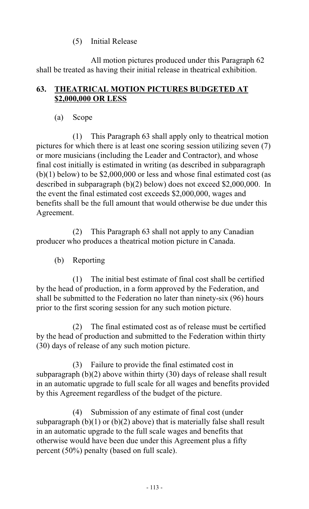(5) Initial Release

All motion pictures produced under this Paragraph 62 shall be treated as having their initial release in theatrical exhibition.

### **63. THEATRICAL MOTION PICTURES BUDGETED AT \$2,000,000 OR LESS**

(a) Scope

(1) This Paragraph 63 shall apply only to theatrical motion pictures for which there is at least one scoring session utilizing seven (7) or more musicians (including the Leader and Contractor), and whose final cost initially is estimated in writing (as described in subparagraph  $(b)(1)$  below) to be \$2,000,000 or less and whose final estimated cost (as described in subparagraph (b)(2) below) does not exceed \$2,000,000. In the event the final estimated cost exceeds \$2,000,000, wages and benefits shall be the full amount that would otherwise be due under this Agreement.

(2) This Paragraph 63 shall not apply to any Canadian producer who produces a theatrical motion picture in Canada.

(b) Reporting

(1) The initial best estimate of final cost shall be certified by the head of production, in a form approved by the Federation, and shall be submitted to the Federation no later than ninety-six (96) hours prior to the first scoring session for any such motion picture.

(2) The final estimated cost as of release must be certified by the head of production and submitted to the Federation within thirty (30) days of release of any such motion picture.

(3) Failure to provide the final estimated cost in subparagraph (b)(2) above within thirty (30) days of release shall result in an automatic upgrade to full scale for all wages and benefits provided by this Agreement regardless of the budget of the picture.

(4) Submission of any estimate of final cost (under subparagraph  $(b)(1)$  or  $(b)(2)$  above) that is materially false shall result in an automatic upgrade to the full scale wages and benefits that otherwise would have been due under this Agreement plus a fifty percent (50%) penalty (based on full scale).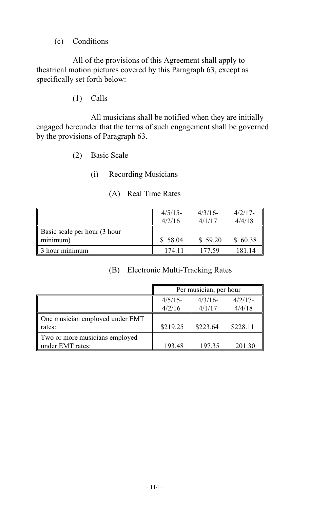(c) Conditions

All of the provisions of this Agreement shall apply to theatrical motion pictures covered by this Paragraph 63, except as specifically set forth below:

(1) Calls

All musicians shall be notified when they are initially engaged hereunder that the terms of such engagement shall be governed by the provisions of Paragraph 63.

- (2) Basic Scale
	- (i) Recording Musicians

|                                          | $4/5/15$ -<br>4/2/16 | $4/3/16$ -<br>4/1/17 | $4/2/17$ -<br>4/4/18 |
|------------------------------------------|----------------------|----------------------|----------------------|
| Basic scale per hour (3 hour<br>minimum) | \$58.04              | \$59.20              | \$60.38              |
| 3 hour minimum                           | 174.11               | 177.59               | 181.14               |

#### (A) Real Time Rates

|                                 |            | Per musician, per hour |            |  |
|---------------------------------|------------|------------------------|------------|--|
|                                 | $4/5/15$ - | $4/3/16$ -             | $4/2/17$ - |  |
|                                 | 4/2/16     | 4/1/17                 | 4/4/18     |  |
| One musician employed under EMT |            |                        |            |  |
| rates:                          | \$219.25   | \$223.64               | \$228.11   |  |
| Two or more musicians employed  |            |                        |            |  |

under EMT rates: 193.48 197.35 201.30

## (B) Electronic Multi-Tracking Rates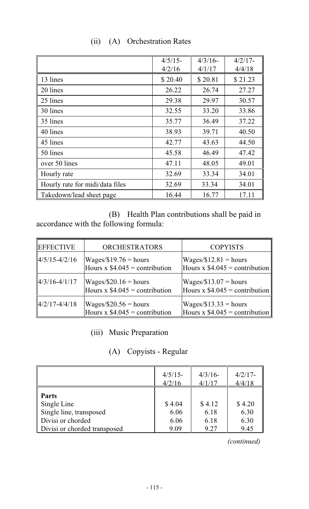|                                 | $4/5/15$ - | $4/3/16$ - | $4/2/17$ - |
|---------------------------------|------------|------------|------------|
|                                 | 4/2/16     | 4/1/17     | 4/4/18     |
| 13 lines                        | \$20.40    | \$20.81    | \$21.23    |
| 20 lines                        | 26.22      | 26.74      | 27.27      |
| 25 lines                        | 29.38      | 29.97      | 30.57      |
| 30 lines                        | 32.55      | 33.20      | 33.86      |
| 35 lines                        | 35.77      | 36.49      | 37.22      |
| 40 lines                        | 38.93      | 39.71      | 40.50      |
| 45 lines                        | 42.77      | 43.63      | 44.50      |
| 50 lines                        | 45.58      | 46.49      | 47.42      |
| over 50 lines                   | 47.11      | 48.05      | 49.01      |
| Hourly rate                     | 32.69      | 33.34      | 34.01      |
| Hourly rate for midi/data files | 32.69      | 33.34      | 34.01      |
| Takedown/lead sheet page        | 16.44      | 16.77      | 17.11      |

## (ii) (A) Orchestration Rates

(B) Health Plan contributions shall be paid in accordance with the following formula:

| <b>EFFECTIVE</b>    | <b>ORCHESTRATORS</b>                                        | <b>COPYISTS</b>                                            |
|---------------------|-------------------------------------------------------------|------------------------------------------------------------|
| $4/5/15 - 4/2/16$   | Wages/ $$19.76 = hours$<br>Hours $x$ \$4.045 = contribution | $Wages/\$12.81 = hours$<br>Hours x $$4.045 =$ contribution |
| $ 4/3/16 - 4/1/17 $ | Wages/ $$20.16 = hours$<br>Hours x $$4.045 =$ contribution  | $Wages/\$13.07 = hours$<br>Hours x $$4.045 =$ contribution |
| $ 4/2/17 - 4/4/18 $ | Wages/ $$20.56 = hours$<br>Hours x $$4.045 =$ contribution  | $Wages/\$13.33 = hours$<br>Hours x $$4.045 =$ contribution |

## (iii) Music Preparation

## (A) Copyists - Regular

|                              | $4/5/15$ -<br>4/2/16 | $4/3/16$ - | $4/2/17$ -<br>4/4/18 |
|------------------------------|----------------------|------------|----------------------|
| <b>Parts</b>                 |                      |            |                      |
| Single Line                  | \$4.04               | \$4.12     | \$4.20               |
| Single line, transposed      | 6.06                 | 6.18       | 6.30                 |
| Divisi or chorded            | 6.06                 | 6.18       | 6.30                 |
| Divisi or chorded transposed | 9.09                 | 9.27       | 9.45                 |

*(continued)*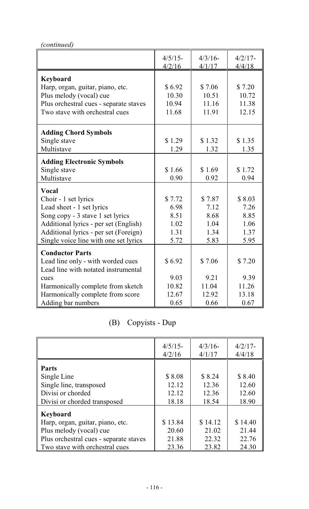*(continued)*

|                                        | $4/5/15$ - | $4/3/16$ - | $4/2/17$ - |
|----------------------------------------|------------|------------|------------|
|                                        | 4/2/16     | 4/1/17     | 4/4/18     |
| Keyboard                               |            |            |            |
| Harp, organ, guitar, piano, etc.       | \$6.92     | \$7.06     | \$7.20     |
| Plus melody (vocal) cue                | 10.30      | 10.51      | 10.72      |
| Plus orchestral cues - separate staves | 10.94      | 11.16      | 11.38      |
| Two stave with orchestral cues         | 11.68      | 11.91      | 12.15      |
|                                        |            |            |            |
| <b>Adding Chord Symbols</b>            |            |            |            |
| Single stave                           | \$1.29     | \$1.32     | \$1.35     |
| Multistave                             | 1.29       | 1.32       | 1.35       |
| <b>Adding Electronic Symbols</b>       |            |            |            |
| Single stave                           | \$1.66     | \$1.69     | \$1.72     |
| Multistave                             | 0.90       | 0.92       | 0.94       |
| <b>Vocal</b>                           |            |            |            |
| Choir - 1 set lyrics                   | \$7.72     | \$7.87     | \$8.03     |
| Lead sheet - 1 set lyrics              | 6.98       | 7.12       | 7.26       |
| Song copy - 3 stave 1 set lyrics       | 8.51       | 8.68       | 8.85       |
| Additional lyrics - per set (English)  | 1.02       | 1.04       | 1.06       |
| Additional lyrics - per set (Foreign)  | 1.31       | 1.34       | 1.37       |
| Single voice line with one set lyrics  | 5.72       | 5.83       | 5.95       |
|                                        |            |            |            |
| <b>Conductor Parts</b>                 |            |            |            |
| Lead line only - with worded cues      | \$6.92     | \$7.06     | \$7.20     |
| Lead line with notated instrumental    |            |            |            |
| cues                                   | 9.03       | 9.21       | 9.39       |
| Harmonically complete from sketch      | 10.82      | 11.04      | 11.26      |
| Harmonically complete from score       | 12.67      | 12.92      | 13.18      |
| Adding bar numbers                     | 0.65       | 0.66       | 0.67       |

(B) Copyists - Dup

|                                        | $4/5/15$ -<br>4/2/16 | $4/3/16$ -<br>4/1/17 | $4/2/17$ -<br>4/4/18 |
|----------------------------------------|----------------------|----------------------|----------------------|
| <b>Parts</b>                           |                      |                      |                      |
| Single Line                            | \$8.08               | \$8.24               | \$8.40               |
| Single line, transposed                | 12.12                | 12.36                | 12.60                |
| Divisi or chorded                      | 12.12                | 12.36                | 12.60                |
| Divisi or chorded transposed           | 18.18                | 18.54                | 18.90                |
| Keyboard                               |                      |                      |                      |
| Harp, organ, guitar, piano, etc.       | \$13.84              | \$14.12              | \$14.40              |
| Plus melody (vocal) cue                | 20.60                | 21.02                | 21.44                |
| Plus orchestral cues - separate staves | 21.88                | 22.32                | 22.76                |
| Two stave with orchestral cues         | 23.36                | 23.82                | 24.30                |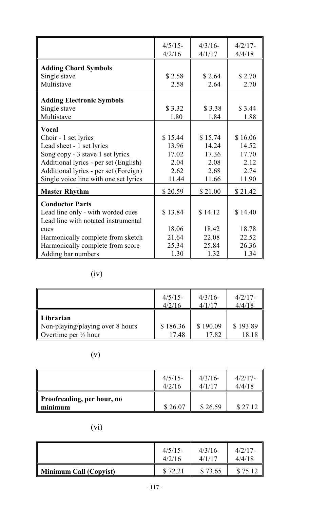|                                       | $4/5/15$ -<br>4/2/16 | $4/3/16$ -<br>4/1/17 | $4/2/17$ -<br>4/4/18 |
|---------------------------------------|----------------------|----------------------|----------------------|
| <b>Adding Chord Symbols</b>           |                      |                      |                      |
| Single stave                          | \$2.58               | \$2.64               | \$2.70               |
| Multistave                            | 2.58                 | 2.64                 | 2.70                 |
| <b>Adding Electronic Symbols</b>      |                      |                      |                      |
| Single stave                          | \$3.32               | \$3.38               | \$3.44               |
| Multistave                            | 1.80                 | 1.84                 | 1.88                 |
| <b>Vocal</b>                          |                      |                      |                      |
| Choir - 1 set lyrics                  | \$15.44              | \$15.74              | \$16.06              |
| Lead sheet - 1 set lyrics             | 13.96                | 14.24                | 14.52                |
| Song copy - 3 stave 1 set lyrics      | 17.02                | 17.36                | 17.70                |
| Additional lyrics - per set (English) | 2.04                 | 2.08                 | 2.12                 |
| Additional lyrics - per set (Foreign) | 2.62                 | 2.68                 | 2.74                 |
| Single voice line with one set lyrics | 11.44                | 11.66                | 11.90                |
| <b>Master Rhythm</b>                  | \$20.59              | \$21.00              | \$21.42              |
| <b>Conductor Parts</b>                |                      |                      |                      |
| Lead line only - with worded cues     | \$13.84              | \$14.12              | \$14.40              |
| Lead line with notated instrumental   |                      |                      |                      |
| cues                                  | 18.06                | 18.42                | 18.78                |
| Harmonically complete from sketch     | 21.64                | 22.08                | 22.52                |
| Harmonically complete from score      | 25.34                | 25.84                | 26.36                |
| Adding bar numbers                    | 1.30                 | 1.32                 | 1.34                 |

(iv)

|                                  | $4/5/15$ -<br>4/2/16 | $4/3/16$ - | $4/2/17$ -<br>4/4/18 |
|----------------------------------|----------------------|------------|----------------------|
| Librarian                        |                      |            |                      |
| Non-playing/playing over 8 hours | \$186.36             | \$190.09   | \$193.89             |
| Overtime per $\frac{1}{2}$ hour  | 17.48                | 17.82      | 18.18                |

(v)

|                                       | $4/5/15$ - | $4/3/16$ - | $4/2/17$ - |
|---------------------------------------|------------|------------|------------|
|                                       | 4/2/16     | 4/1/17     | 4/4/18     |
| Proofreading, per hour, no<br>minimum | \$26.07    | \$26.59    | \$27.12    |

(vi)

|                               | $4/5/15$ - | 4/3/16  | $4/2/17$ - |
|-------------------------------|------------|---------|------------|
|                               | 4/2/16     | 4/1/17  | 4/4/18     |
| <b>Minimum Call (Copyist)</b> | \$72.21    | \$73.65 | \$75.12    |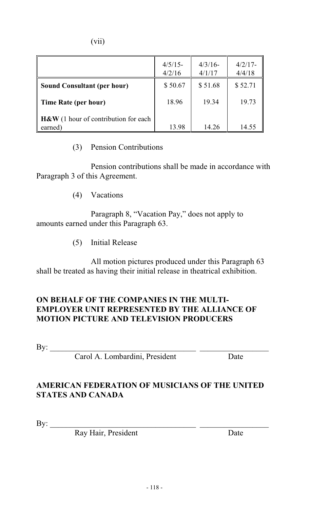|                                                    | $4/5/15$ -<br>4/2/16 | 4/3/16<br>4/1/17 | $4/2/17$ -<br>4/4/18 |
|----------------------------------------------------|----------------------|------------------|----------------------|
| <b>Sound Consultant (per hour)</b>                 | \$50.67              | \$51.68          | \$52.71              |
| Time Rate (per hour)                               | 18.96                | 19.34            | 19.73                |
| $H\&W$ (1 hour of contribution for each<br>earned) | 13.98                | 14.26            | 14.55                |

(3) Pension Contributions

Pension contributions shall be made in accordance with Paragraph 3 of this Agreement.

(4) Vacations

(vii)

Paragraph 8, "Vacation Pay," does not apply to amounts earned under this Paragraph 63.

(5) Initial Release

All motion pictures produced under this Paragraph 63 shall be treated as having their initial release in theatrical exhibition.

### **ON BEHALF OF THE COMPANIES IN THE MULTI-EMPLOYER UNIT REPRESENTED BY THE ALLIANCE OF MOTION PICTURE AND TELEVISION PRODUCERS**

By: \_\_\_\_\_\_\_\_\_\_\_\_\_\_\_\_\_\_\_\_\_\_\_\_\_\_\_\_\_\_\_\_\_\_\_\_ \_\_\_\_\_\_\_\_\_\_\_\_\_\_\_\_\_

Carol A. Lombardini, President Date

## **AMERICAN FEDERATION OF MUSICIANS OF THE UNITED STATES AND CANADA**

By: \_\_\_\_\_\_\_\_\_\_\_\_\_\_\_\_\_\_\_\_\_\_\_\_\_\_\_\_\_\_\_\_\_\_\_\_ \_\_\_\_\_\_\_\_\_\_\_\_\_\_\_\_\_

Ray Hair, President Date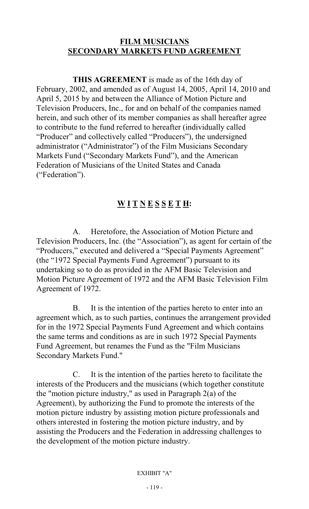#### **FILM MUSICIANS SECONDARY MARKETS FUND AGREEMENT**

**THIS AGREEMENT** is made as of the 16th day of February, 2002, and amended as of August 14, 2005, April 14, 2010 and April 5, 2015 by and between the Alliance of Motion Picture and Television Producers, Inc., for and on behalf of the companies named herein, and such other of its member companies as shall hereafter agree to contribute to the fund referred to hereafter (individually called "Producer" and collectively called "Producers"), the undersigned administrator ("Administrator") of the Film Musicians Secondary Markets Fund ("Secondary Markets Fund"), and the American Federation of Musicians of the United States and Canada ("Federation").

#### **W I T N E S S E T H:**

A. Heretofore, the Association of Motion Picture and Television Producers, Inc. (the "Association"), as agent for certain of the "Producers," executed and delivered a "Special Payments Agreement" (the "1972 Special Payments Fund Agreement") pursuant to its undertaking so to do as provided in the AFM Basic Television and Motion Picture Agreement of 1972 and the AFM Basic Television Film Agreement of 1972.

B. It is the intention of the parties hereto to enter into an agreement which, as to such parties, continues the arrangement provided for in the 1972 Special Payments Fund Agreement and which contains the same terms and conditions as are in such 1972 Special Payments Fund Agreement, but renames the Fund as the "Film Musicians Secondary Markets Fund."

C. It is the intention of the parties hereto to facilitate the interests of the Producers and the musicians (which together constitute the "motion picture industry," as used in Paragraph 2(a) of the Agreement), by authorizing the Fund to promote the interests of the motion picture industry by assisting motion picture professionals and others interested in fostering the motion picture industry, and by assisting the Producers and the Federation in addressing challenges to the development of the motion picture industry.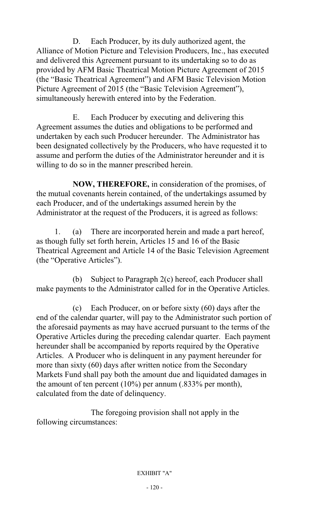D. Each Producer, by its duly authorized agent, the Alliance of Motion Picture and Television Producers, Inc., has executed and delivered this Agreement pursuant to its undertaking so to do as provided by AFM Basic Theatrical Motion Picture Agreement of 2015 (the "Basic Theatrical Agreement") and AFM Basic Television Motion Picture Agreement of 2015 (the "Basic Television Agreement"), simultaneously herewith entered into by the Federation.

E. Each Producer by executing and delivering this Agreement assumes the duties and obligations to be performed and undertaken by each such Producer hereunder. The Administrator has been designated collectively by the Producers, who have requested it to assume and perform the duties of the Administrator hereunder and it is willing to do so in the manner prescribed herein.

**NOW, THEREFORE,** in consideration of the promises, of the mutual covenants herein contained, of the undertakings assumed by each Producer, and of the undertakings assumed herein by the Administrator at the request of the Producers, it is agreed as follows:

1. (a) There are incorporated herein and made a part hereof, as though fully set forth herein, Articles 15 and 16 of the Basic Theatrical Agreement and Article 14 of the Basic Television Agreement (the "Operative Articles").

(b) Subject to Paragraph 2(c) hereof, each Producer shall make payments to the Administrator called for in the Operative Articles.

(c) Each Producer, on or before sixty (60) days after the end of the calendar quarter, will pay to the Administrator such portion of the aforesaid payments as may have accrued pursuant to the terms of the Operative Articles during the preceding calendar quarter. Each payment hereunder shall be accompanied by reports required by the Operative Articles. A Producer who is delinquent in any payment hereunder for more than sixty (60) days after written notice from the Secondary Markets Fund shall pay both the amount due and liquidated damages in the amount of ten percent  $(10\%)$  per annum  $(.833\%)$  per month), calculated from the date of delinquency.

The foregoing provision shall not apply in the following circumstances: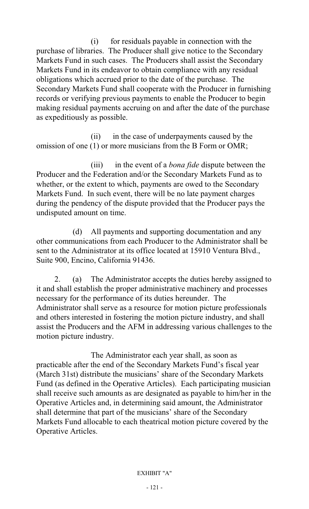(i) for residuals payable in connection with the purchase of libraries. The Producer shall give notice to the Secondary Markets Fund in such cases. The Producers shall assist the Secondary Markets Fund in its endeavor to obtain compliance with any residual obligations which accrued prior to the date of the purchase. The Secondary Markets Fund shall cooperate with the Producer in furnishing records or verifying previous payments to enable the Producer to begin making residual payments accruing on and after the date of the purchase as expeditiously as possible.

(ii) in the case of underpayments caused by the omission of one (1) or more musicians from the B Form or OMR;

(iii) in the event of a *bona fide* dispute between the Producer and the Federation and/or the Secondary Markets Fund as to whether, or the extent to which, payments are owed to the Secondary Markets Fund. In such event, there will be no late payment charges during the pendency of the dispute provided that the Producer pays the undisputed amount on time.

(d) All payments and supporting documentation and any other communications from each Producer to the Administrator shall be sent to the Administrator at its office located at 15910 Ventura Blvd., Suite 900, Encino, California 91436.

2. (a) The Administrator accepts the duties hereby assigned to it and shall establish the proper administrative machinery and processes necessary for the performance of its duties hereunder. The Administrator shall serve as a resource for motion picture professionals and others interested in fostering the motion picture industry, and shall assist the Producers and the AFM in addressing various challenges to the motion picture industry.

The Administrator each year shall, as soon as practicable after the end of the Secondary Markets Fund's fiscal year (March 31st) distribute the musicians' share of the Secondary Markets Fund (as defined in the Operative Articles). Each participating musician shall receive such amounts as are designated as payable to him/her in the Operative Articles and, in determining said amount, the Administrator shall determine that part of the musicians' share of the Secondary Markets Fund allocable to each theatrical motion picture covered by the Operative Articles.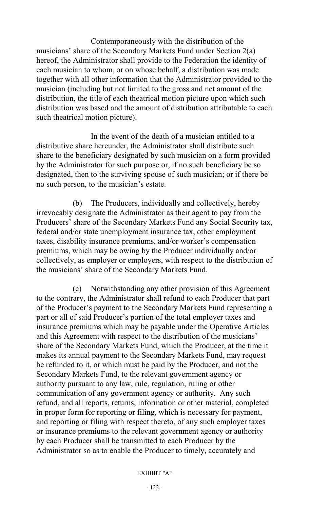Contemporaneously with the distribution of the musicians' share of the Secondary Markets Fund under Section 2(a) hereof, the Administrator shall provide to the Federation the identity of each musician to whom, or on whose behalf, a distribution was made together with all other information that the Administrator provided to the musician (including but not limited to the gross and net amount of the distribution, the title of each theatrical motion picture upon which such distribution was based and the amount of distribution attributable to each such theatrical motion picture).

In the event of the death of a musician entitled to a distributive share hereunder, the Administrator shall distribute such share to the beneficiary designated by such musician on a form provided by the Administrator for such purpose or, if no such beneficiary be so designated, then to the surviving spouse of such musician; or if there be no such person, to the musician's estate.

(b) The Producers, individually and collectively, hereby irrevocably designate the Administrator as their agent to pay from the Producers' share of the Secondary Markets Fund any Social Security tax, federal and/or state unemployment insurance tax, other employment taxes, disability insurance premiums, and/or worker's compensation premiums, which may be owing by the Producer individually and/or collectively, as employer or employers, with respect to the distribution of the musicians' share of the Secondary Markets Fund.

(c) Notwithstanding any other provision of this Agreement to the contrary, the Administrator shall refund to each Producer that part of the Producer's payment to the Secondary Markets Fund representing a part or all of said Producer's portion of the total employer taxes and insurance premiums which may be payable under the Operative Articles and this Agreement with respect to the distribution of the musicians' share of the Secondary Markets Fund, which the Producer, at the time it makes its annual payment to the Secondary Markets Fund, may request be refunded to it, or which must be paid by the Producer, and not the Secondary Markets Fund, to the relevant government agency or authority pursuant to any law, rule, regulation, ruling or other communication of any government agency or authority. Any such refund, and all reports, returns, information or other material, completed in proper form for reporting or filing, which is necessary for payment, and reporting or filing with respect thereto, of any such employer taxes or insurance premiums to the relevant government agency or authority by each Producer shall be transmitted to each Producer by the Administrator so as to enable the Producer to timely, accurately and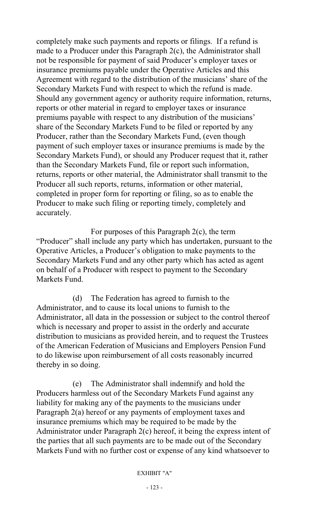completely make such payments and reports or filings. If a refund is made to a Producer under this Paragraph 2(c), the Administrator shall not be responsible for payment of said Producer's employer taxes or insurance premiums payable under the Operative Articles and this Agreement with regard to the distribution of the musicians' share of the Secondary Markets Fund with respect to which the refund is made. Should any government agency or authority require information, returns, reports or other material in regard to employer taxes or insurance premiums payable with respect to any distribution of the musicians' share of the Secondary Markets Fund to be filed or reported by any Producer, rather than the Secondary Markets Fund, (even though payment of such employer taxes or insurance premiums is made by the Secondary Markets Fund), or should any Producer request that it, rather than the Secondary Markets Fund, file or report such information, returns, reports or other material, the Administrator shall transmit to the Producer all such reports, returns, information or other material, completed in proper form for reporting or filing, so as to enable the Producer to make such filing or reporting timely, completely and accurately.

For purposes of this Paragraph 2(c), the term "Producer" shall include any party which has undertaken, pursuant to the Operative Articles, a Producer's obligation to make payments to the Secondary Markets Fund and any other party which has acted as agent on behalf of a Producer with respect to payment to the Secondary Markets Fund.

(d) The Federation has agreed to furnish to the Administrator, and to cause its local unions to furnish to the Administrator, all data in the possession or subject to the control thereof which is necessary and proper to assist in the orderly and accurate distribution to musicians as provided herein, and to request the Trustees of the American Federation of Musicians and Employers Pension Fund to do likewise upon reimbursement of all costs reasonably incurred thereby in so doing.

(e) The Administrator shall indemnify and hold the Producers harmless out of the Secondary Markets Fund against any liability for making any of the payments to the musicians under Paragraph 2(a) hereof or any payments of employment taxes and insurance premiums which may be required to be made by the Administrator under Paragraph 2(c) hereof, it being the express intent of the parties that all such payments are to be made out of the Secondary Markets Fund with no further cost or expense of any kind whatsoever to

#### EXHIBIT "A"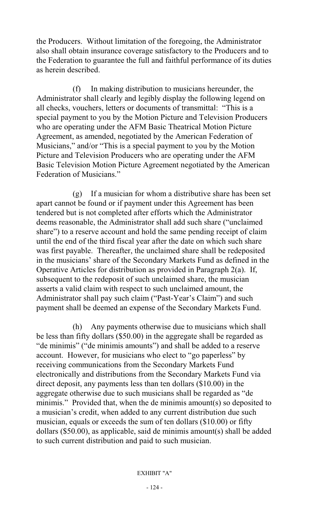the Producers. Without limitation of the foregoing, the Administrator also shall obtain insurance coverage satisfactory to the Producers and to the Federation to guarantee the full and faithful performance of its duties as herein described.

(f) In making distribution to musicians hereunder, the Administrator shall clearly and legibly display the following legend on all checks, vouchers, letters or documents of transmittal: "This is a special payment to you by the Motion Picture and Television Producers who are operating under the AFM Basic Theatrical Motion Picture Agreement, as amended, negotiated by the American Federation of Musicians," and/or "This is a special payment to you by the Motion Picture and Television Producers who are operating under the AFM Basic Television Motion Picture Agreement negotiated by the American Federation of Musicians."

(g) If a musician for whom a distributive share has been set apart cannot be found or if payment under this Agreement has been tendered but is not completed after efforts which the Administrator deems reasonable, the Administrator shall add such share ("unclaimed share") to a reserve account and hold the same pending receipt of claim until the end of the third fiscal year after the date on which such share was first payable. Thereafter, the unclaimed share shall be redeposited in the musicians' share of the Secondary Markets Fund as defined in the Operative Articles for distribution as provided in Paragraph 2(a). If, subsequent to the redeposit of such unclaimed share, the musician asserts a valid claim with respect to such unclaimed amount, the Administrator shall pay such claim ("Past-Year's Claim") and such payment shall be deemed an expense of the Secondary Markets Fund.

(h) Any payments otherwise due to musicians which shall be less than fifty dollars (\$50.00) in the aggregate shall be regarded as "de minimis" ("de minimis amounts") and shall be added to a reserve account. However, for musicians who elect to "go paperless" by receiving communications from the Secondary Markets Fund electronically and distributions from the Secondary Markets Fund via direct deposit, any payments less than ten dollars (\$10.00) in the aggregate otherwise due to such musicians shall be regarded as "de minimis." Provided that, when the de minimis amount(s) so deposited to a musician's credit, when added to any current distribution due such musician, equals or exceeds the sum of ten dollars (\$10.00) or fifty dollars (\$50.00), as applicable, said de minimis amount(s) shall be added to such current distribution and paid to such musician.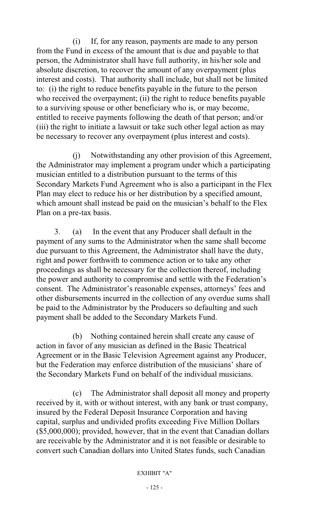(i) If, for any reason, payments are made to any person from the Fund in excess of the amount that is due and payable to that person, the Administrator shall have full authority, in his/her sole and absolute discretion, to recover the amount of any overpayment (plus interest and costs). That authority shall include, but shall not be limited to: (i) the right to reduce benefits payable in the future to the person who received the overpayment; (ii) the right to reduce benefits payable to a surviving spouse or other beneficiary who is, or may become, entitled to receive payments following the death of that person; and/or (iii) the right to initiate a lawsuit or take such other legal action as may be necessary to recover any overpayment (plus interest and costs).

(j) Notwithstanding any other provision of this Agreement, the Administrator may implement a program under which a participating musician entitled to a distribution pursuant to the terms of this Secondary Markets Fund Agreement who is also a participant in the Flex Plan may elect to reduce his or her distribution by a specified amount, which amount shall instead be paid on the musician's behalf to the Flex Plan on a pre-tax basis.

3. (a) In the event that any Producer shall default in the payment of any sums to the Administrator when the same shall become due pursuant to this Agreement, the Administrator shall have the duty, right and power forthwith to commence action or to take any other proceedings as shall be necessary for the collection thereof, including the power and authority to compromise and settle with the Federation's consent. The Administrator's reasonable expenses, attorneys' fees and other disbursements incurred in the collection of any overdue sums shall be paid to the Administrator by the Producers so defaulting and such payment shall be added to the Secondary Markets Fund.

(b) Nothing contained herein shall create any cause of action in favor of any musician as defined in the Basic Theatrical Agreement or in the Basic Television Agreement against any Producer, but the Federation may enforce distribution of the musicians' share of the Secondary Markets Fund on behalf of the individual musicians.

(c) The Administrator shall deposit all money and property received by it, with or without interest, with any bank or trust company, insured by the Federal Deposit Insurance Corporation and having capital, surplus and undivided profits exceeding Five Million Dollars (\$5,000,000); provided, however, that in the event that Canadian dollars are receivable by the Administrator and it is not feasible or desirable to convert such Canadian dollars into United States funds, such Canadian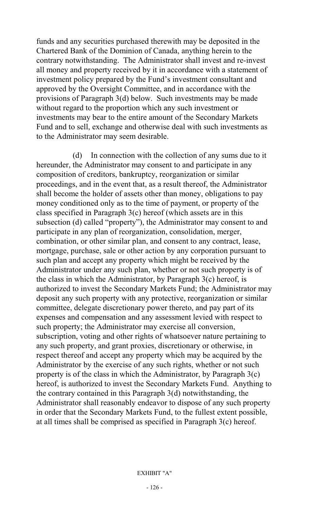funds and any securities purchased therewith may be deposited in the Chartered Bank of the Dominion of Canada, anything herein to the contrary notwithstanding. The Administrator shall invest and re-invest all money and property received by it in accordance with a statement of investment policy prepared by the Fund's investment consultant and approved by the Oversight Committee, and in accordance with the provisions of Paragraph 3(d) below. Such investments may be made without regard to the proportion which any such investment or investments may bear to the entire amount of the Secondary Markets Fund and to sell, exchange and otherwise deal with such investments as to the Administrator may seem desirable.

(d) In connection with the collection of any sums due to it hereunder, the Administrator may consent to and participate in any composition of creditors, bankruptcy, reorganization or similar proceedings, and in the event that, as a result thereof, the Administrator shall become the holder of assets other than money, obligations to pay money conditioned only as to the time of payment, or property of the class specified in Paragraph 3(c) hereof (which assets are in this subsection (d) called "property"), the Administrator may consent to and participate in any plan of reorganization, consolidation, merger, combination, or other similar plan, and consent to any contract, lease, mortgage, purchase, sale or other action by any corporation pursuant to such plan and accept any property which might be received by the Administrator under any such plan, whether or not such property is of the class in which the Administrator, by Paragraph 3(c) hereof, is authorized to invest the Secondary Markets Fund; the Administrator may deposit any such property with any protective, reorganization or similar committee, delegate discretionary power thereto, and pay part of its expenses and compensation and any assessment levied with respect to such property; the Administrator may exercise all conversion, subscription, voting and other rights of whatsoever nature pertaining to any such property, and grant proxies, discretionary or otherwise, in respect thereof and accept any property which may be acquired by the Administrator by the exercise of any such rights, whether or not such property is of the class in which the Administrator, by Paragraph 3(c) hereof, is authorized to invest the Secondary Markets Fund. Anything to the contrary contained in this Paragraph 3(d) notwithstanding, the Administrator shall reasonably endeavor to dispose of any such property in order that the Secondary Markets Fund, to the fullest extent possible, at all times shall be comprised as specified in Paragraph 3(c) hereof.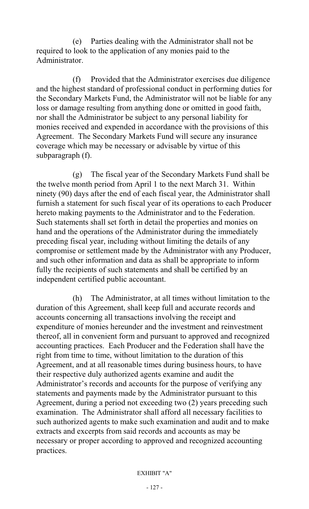(e) Parties dealing with the Administrator shall not be required to look to the application of any monies paid to the Administrator.

(f) Provided that the Administrator exercises due diligence and the highest standard of professional conduct in performing duties for the Secondary Markets Fund, the Administrator will not be liable for any loss or damage resulting from anything done or omitted in good faith, nor shall the Administrator be subject to any personal liability for monies received and expended in accordance with the provisions of this Agreement. The Secondary Markets Fund will secure any insurance coverage which may be necessary or advisable by virtue of this subparagraph (f).

(g) The fiscal year of the Secondary Markets Fund shall be the twelve month period from April 1 to the next March 31. Within ninety (90) days after the end of each fiscal year, the Administrator shall furnish a statement for such fiscal year of its operations to each Producer hereto making payments to the Administrator and to the Federation. Such statements shall set forth in detail the properties and monies on hand and the operations of the Administrator during the immediately preceding fiscal year, including without limiting the details of any compromise or settlement made by the Administrator with any Producer, and such other information and data as shall be appropriate to inform fully the recipients of such statements and shall be certified by an independent certified public accountant.

(h) The Administrator, at all times without limitation to the duration of this Agreement, shall keep full and accurate records and accounts concerning all transactions involving the receipt and expenditure of monies hereunder and the investment and reinvestment thereof, all in convenient form and pursuant to approved and recognized accounting practices. Each Producer and the Federation shall have the right from time to time, without limitation to the duration of this Agreement, and at all reasonable times during business hours, to have their respective duly authorized agents examine and audit the Administrator's records and accounts for the purpose of verifying any statements and payments made by the Administrator pursuant to this Agreement, during a period not exceeding two (2) years preceding such examination. The Administrator shall afford all necessary facilities to such authorized agents to make such examination and audit and to make extracts and excerpts from said records and accounts as may be necessary or proper according to approved and recognized accounting practices.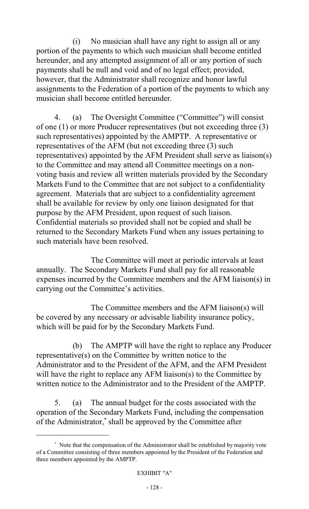(i) No musician shall have any right to assign all or any portion of the payments to which such musician shall become entitled hereunder, and any attempted assignment of all or any portion of such payments shall be null and void and of no legal effect; provided, however, that the Administrator shall recognize and honor lawful assignments to the Federation of a portion of the payments to which any musician shall become entitled hereunder.

4. (a) The Oversight Committee ("Committee") will consist of one (1) or more Producer representatives (but not exceeding three (3) such representatives) appointed by the AMPTP. A representative or representatives of the AFM (but not exceeding three (3) such representatives) appointed by the AFM President shall serve as liaison(s) to the Committee and may attend all Committee meetings on a nonvoting basis and review all written materials provided by the Secondary Markets Fund to the Committee that are not subject to a confidentiality agreement. Materials that are subject to a confidentiality agreement shall be available for review by only one liaison designated for that purpose by the AFM President, upon request of such liaison. Confidential materials so provided shall not be copied and shall be returned to the Secondary Markets Fund when any issues pertaining to such materials have been resolved.

The Committee will meet at periodic intervals at least annually. The Secondary Markets Fund shall pay for all reasonable expenses incurred by the Committee members and the AFM liaison(s) in carrying out the Committee's activities.

The Committee members and the AFM liaison(s) will be covered by any necessary or advisable liability insurance policy, which will be paid for by the Secondary Markets Fund.

(b) The AMPTP will have the right to replace any Producer representative(s) on the Committee by written notice to the Administrator and to the President of the AFM, and the AFM President will have the right to replace any AFM liaison(s) to the Committee by written notice to the Administrator and to the President of the AMPTP.

5. (a) The annual budget for the costs associated with the operation of the Secondary Markets Fund, including the compensation of the Administrator,\* shall be approved by the Committee after

<sup>\*</sup> Note that the compensation of the Administrator shall be established by majority vote of a Committee consisting of three members appointed by the President of the Federation and three members appointed by the AMPTP.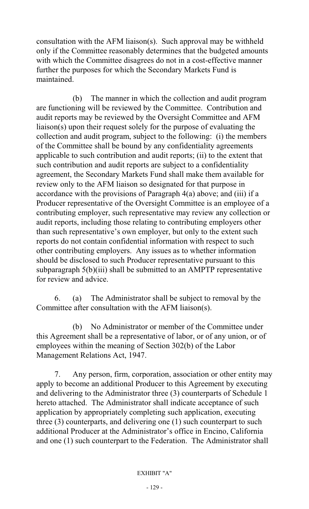consultation with the AFM liaison(s). Such approval may be withheld only if the Committee reasonably determines that the budgeted amounts with which the Committee disagrees do not in a cost-effective manner further the purposes for which the Secondary Markets Fund is maintained.

(b) The manner in which the collection and audit program are functioning will be reviewed by the Committee. Contribution and audit reports may be reviewed by the Oversight Committee and AFM liaison(s) upon their request solely for the purpose of evaluating the collection and audit program, subject to the following: (i) the members of the Committee shall be bound by any confidentiality agreements applicable to such contribution and audit reports; (ii) to the extent that such contribution and audit reports are subject to a confidentiality agreement, the Secondary Markets Fund shall make them available for review only to the AFM liaison so designated for that purpose in accordance with the provisions of Paragraph 4(a) above; and (iii) if a Producer representative of the Oversight Committee is an employee of a contributing employer, such representative may review any collection or audit reports, including those relating to contributing employers other than such representative's own employer, but only to the extent such reports do not contain confidential information with respect to such other contributing employers. Any issues as to whether information should be disclosed to such Producer representative pursuant to this subparagraph 5(b)(iii) shall be submitted to an AMPTP representative for review and advice.

6. (a) The Administrator shall be subject to removal by the Committee after consultation with the AFM liaison(s).

(b) No Administrator or member of the Committee under this Agreement shall be a representative of labor, or of any union, or of employees within the meaning of Section 302(b) of the Labor Management Relations Act, 1947.

7. Any person, firm, corporation, association or other entity may apply to become an additional Producer to this Agreement by executing and delivering to the Administrator three (3) counterparts of Schedule 1 hereto attached. The Administrator shall indicate acceptance of such application by appropriately completing such application, executing three (3) counterparts, and delivering one (1) such counterpart to such additional Producer at the Administrator's office in Encino, California and one (1) such counterpart to the Federation. The Administrator shall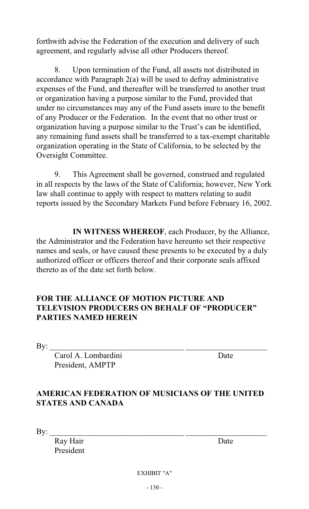forthwith advise the Federation of the execution and delivery of such agreement, and regularly advise all other Producers thereof.

8. Upon termination of the Fund, all assets not distributed in accordance with Paragraph 2(a) will be used to defray administrative expenses of the Fund, and thereafter will be transferred to another trust or organization having a purpose similar to the Fund, provided that under no circumstances may any of the Fund assets inure to the benefit of any Producer or the Federation. In the event that no other trust or organization having a purpose similar to the Trust's can be identified, any remaining fund assets shall be transferred to a tax-exempt charitable organization operating in the State of California, to be selected by the Oversight Committee.

9. This Agreement shall be governed, construed and regulated in all respects by the laws of the State of California; however, New York law shall continue to apply with respect to matters relating to audit reports issued by the Secondary Markets Fund before February 16, 2002.

**IN WITNESS WHEREOF**, each Producer, by the Alliance, the Administrator and the Federation have hereunto set their respective names and seals, or have caused these presents to be executed by a duly authorized officer or officers thereof and their corporate seals affixed thereto as of the date set forth below.

### **FOR THE ALLIANCE OF MOTION PICTURE AND TELEVISION PRODUCERS ON BEHALF OF "PRODUCER" PARTIES NAMED HEREIN**

By: \_\_\_\_\_\_\_\_\_\_\_\_\_\_\_\_\_\_\_\_\_\_\_\_\_\_\_\_\_\_\_\_\_ \_\_\_\_\_\_\_\_\_\_\_\_\_\_\_\_\_\_\_\_

Carol A. Lombardini Date President, AMPTP

## **AMERICAN FEDERATION OF MUSICIANS OF THE UNITED STATES AND CANADA**

By: \_\_\_\_\_\_\_\_\_\_\_\_\_\_\_\_\_\_\_\_\_\_\_\_\_\_\_\_\_\_\_\_\_ \_\_\_\_\_\_\_\_\_\_\_\_\_\_\_\_\_\_\_\_

Ray Hair Date President

EXHIBIT "A"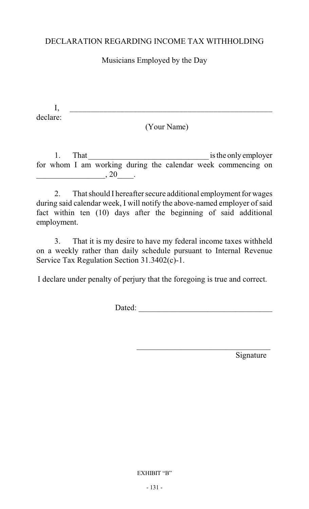#### DECLARATION REGARDING INCOME TAX WITHHOLDING

### Musicians Employed by the Day

 $\mathbf{I}, \quad \blacksquare$ declare:

(Your Name)

1. That \_\_\_\_\_\_\_\_\_\_\_\_\_\_\_\_\_\_\_\_\_\_\_\_\_\_\_\_\_\_ isthe only employer for whom I am working during the calendar week commencing on  $\overline{\phantom{a}}$ , 20 $\overline{\phantom{a}}$ .

2. That should I hereafter secure additional employment for wages during said calendar week, I will notify the above-named employer of said fact within ten (10) days after the beginning of said additional employment.

3. That it is my desire to have my federal income taxes withheld on a weekly rather than daily schedule pursuant to Internal Revenue Service Tax Regulation Section 31.3402(c)-1.

I declare under penalty of perjury that the foregoing is true and correct.

Dated: \_\_\_\_\_\_\_\_\_\_\_\_\_\_\_\_\_\_\_\_\_\_\_\_\_\_\_\_\_\_\_\_\_

 $\mathcal{L}_\text{max}$  , and the set of the set of the set of the set of the set of the set of the set of the set of the set of the set of the set of the set of the set of the set of the set of the set of the set of the set of the

Signature

EXHIBIT "B"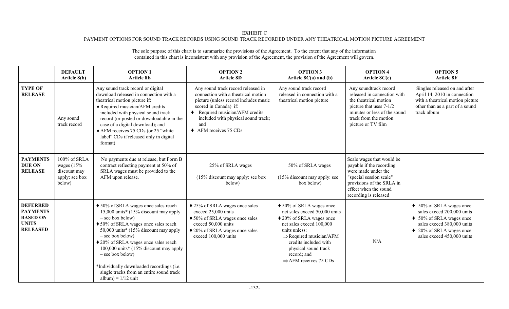#### EXHIBIT C PAYMENT OPTIONS FOR SOUND TRACK RECORDS USING SOUND TRACK RECORDED UNDER ANY THEATRICAL MOTION PICTURE AGREEMENT

|                                                                                          | <b>DEFAULT</b><br>Article $8(b)$                                         | <b>OPTION 1</b><br><b>Article 8E</b>                                                                                                                                                                                                                                                                                                                                                                                                 | <b>OPTION 2</b><br><b>Article 8D</b>                                                                                                                                                                                                                            | <b>OPTION 3</b><br>Article $8C(a)$ and (b)                                                                                                                                                                                                                                               | <b>OPTION 4</b><br>Article $8C(c)$                                                                                                                                                      | <b>OPTION 5</b><br><b>Article 8F</b>                                                                                                                                                           |
|------------------------------------------------------------------------------------------|--------------------------------------------------------------------------|--------------------------------------------------------------------------------------------------------------------------------------------------------------------------------------------------------------------------------------------------------------------------------------------------------------------------------------------------------------------------------------------------------------------------------------|-----------------------------------------------------------------------------------------------------------------------------------------------------------------------------------------------------------------------------------------------------------------|------------------------------------------------------------------------------------------------------------------------------------------------------------------------------------------------------------------------------------------------------------------------------------------|-----------------------------------------------------------------------------------------------------------------------------------------------------------------------------------------|------------------------------------------------------------------------------------------------------------------------------------------------------------------------------------------------|
| <b>TYPE OF</b><br><b>RELEASE</b>                                                         | Any sound<br>track record                                                | Any sound track record or digital<br>download released in connection with a<br>theatrical motion picture if:<br>◆ Required musician/AFM credits<br>included with physical sound track<br>record (or posted or downloadable in the<br>case of a digital download); and<br>AFM receives 75 CDs (or 25 "white<br>label" CDs if released only in digital<br>format)                                                                      | Any sound track record released in<br>connection with a theatrical motion<br>picture (unless record includes music<br>scored in Canada) if:<br>♦ Required musician/AFM credits<br>included with physical sound track;<br>and<br>$\triangle$ AFM receives 75 CDs | Any sound track record<br>released in connection with a<br>theatrical motion picture                                                                                                                                                                                                     | Any soundtrack record<br>released in connection with<br>the theatrical motion<br>picture that uses 7-1/2<br>minutes or less of the sound<br>track from the motion<br>picture or TV film | Singles released on and after<br>April 14, 2010 in connection<br>with a theatrical motion picture<br>other than as a part of a sound<br>track album                                            |
| <b>PAYMENTS</b><br><b>DUE ON</b><br><b>RELEASE</b>                                       | 100% of SRLA<br>wages $(15%$<br>discount may<br>apply: see box<br>below) | No payments due at release, but Form B<br>contract reflecting payment at 50% of<br>SRLA wages must be provided to the<br>AFM upon release.                                                                                                                                                                                                                                                                                           | 25% of SRLA wages<br>$(15\%$ discount may apply: see box<br>below)                                                                                                                                                                                              | 50% of SRLA wages<br>$(15\%$ discount may apply: see<br>box below)                                                                                                                                                                                                                       | Scale wages that would be<br>payable if the recording<br>were made under the<br>"special session scale"<br>provisions of the SRLA in<br>effect when the sound<br>recording is released  |                                                                                                                                                                                                |
| <b>DEFERRED</b><br><b>PAYMENTS</b><br><b>BASED ON</b><br><b>UNITS</b><br><b>RELEASED</b> |                                                                          | ♦ 50% of SRLA wages once sales reach<br>15,000 units* (15% discount may apply<br>- see box below)<br>♦ 50% of SRLA wages once sales reach<br>50,000 units* (15% discount may apply<br>$-$ see box below)<br>◆ 20% of SRLA wages once sales reach<br>100,000 units* $(15\%$ discount may apply<br>$-$ see box below)<br>*Individually downloaded recordings (i.e.<br>single tracks from an entire sound track<br>album) = $1/12$ unit | ◆ 25% of SRLA wages once sales<br>exceed 25,000 units<br>♦ 50% of SRLA wages once sales<br>exceed 50,000 units<br>◆ 20% of SRLA wages once sales<br>exceed 100,000 units                                                                                        | $\triangle$ 50% of SRLA wages once<br>net sales exceed 50,000 units<br>◆ 20% of SRLA wages once<br>net sales exceed 100,000<br>units unless:<br>$\Rightarrow$ Required musician/AFM<br>credits included with<br>physical sound track<br>record; and<br>$\Rightarrow$ AFM receives 75 CDs | N/A                                                                                                                                                                                     | ♦ 50% of SRLA wages once<br>sales exceed 200,000 units<br>$\triangle$ 50% of SRLA wages once<br>sales exceed 380,000 units<br>$\triangle$ 20% of SRLA wages once<br>sales exceed 450,000 units |

The sole purpose of this chart is to summarize the provisions of the Agreement. To the extent that any of the information contained in this chart is inconsistent with any provision of the Agreement, the provision of the Agreement will govern.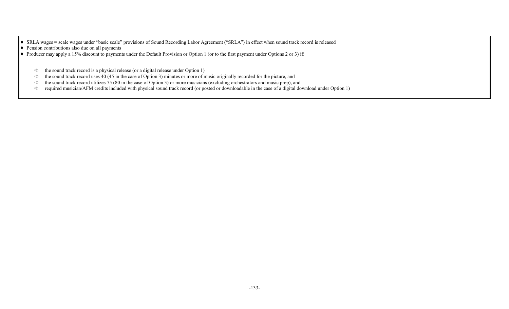- ◆ SRLA wages = scale wages under "basic scale" provisions of Sound Recording Labor Agreement ("SRLA") in effect when sound track record is released
- ◆ Pension contributions also due on all payments
- $\bullet$  Producer may apply a 15% discount to payments under the Default Provision or Option 1 (or to the first payment under Options 2 or 3) if:
	- $\Rightarrow$  the sound track record is a physical release (or a digital release under Option 1)
	- $\Rightarrow$  the sound track record uses 40 (45 in the case of Option 3) minutes or more of music originally recorded for the picture, and
	- $\Rightarrow$  the sound track record utilizes 75 (80 in the case of Option 3) or more musicians (excluding orchestrators and music prep), and
	- $\Rightarrow$  required musician/AFM credits included with physical sound track record (or posted or downloadable in the case of a digital download under Option 1)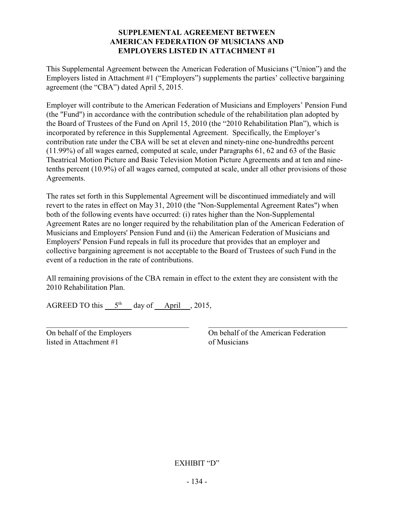#### **SUPPLEMENTAL AGREEMENT BETWEEN AMERICAN FEDERATION OF MUSICIANS AND EMPLOYERS LISTED IN ATTACHMENT #1**

This Supplemental Agreement between the American Federation of Musicians ("Union") and the Employers listed in Attachment #1 ("Employers") supplements the parties' collective bargaining agreement (the "CBA") dated April 5, 2015.

Employer will contribute to the American Federation of Musicians and Employers' Pension Fund (the "Fund") in accordance with the contribution schedule of the rehabilitation plan adopted by the Board of Trustees of the Fund on April 15, 2010 (the "2010 Rehabilitation Plan"), which is incorporated by reference in this Supplemental Agreement. Specifically, the Employer's contribution rate under the CBA will be set at eleven and ninety-nine one-hundredths percent (11.99%) of all wages earned, computed at scale, under Paragraphs 61, 62 and 63 of the Basic Theatrical Motion Picture and Basic Television Motion Picture Agreements and at ten and ninetenths percent (10.9%) of all wages earned, computed at scale, under all other provisions of those Agreements.

The rates set forth in this Supplemental Agreement will be discontinued immediately and will revert to the rates in effect on May 31, 2010 (the "Non-Supplemental Agreement Rates") when both of the following events have occurred: (i) rates higher than the Non-Supplemental Agreement Rates are no longer required by the rehabilitation plan of the American Federation of Musicians and Employers' Pension Fund and (ii) the American Federation of Musicians and Employers' Pension Fund repeals in full its procedure that provides that an employer and collective bargaining agreement is not acceptable to the Board of Trustees of such Fund in the event of a reduction in the rate of contributions.

All remaining provisions of the CBA remain in effect to the extent they are consistent with the 2010 Rehabilitation Plan.

\_\_\_\_\_\_\_\_\_\_\_\_\_\_\_\_\_\_\_\_\_\_\_\_\_\_\_\_\_\_\_\_\_\_\_\_\_ \_\_\_\_\_\_\_\_\_\_\_\_\_\_\_\_\_\_\_\_\_\_\_\_\_\_\_\_\_\_\_\_\_\_\_\_

AGREED TO this  $5<sup>th</sup>$  day of April , 2015,

listed in Attachment #1 of Musicians

On behalf of the Employers On behalf of the American Federation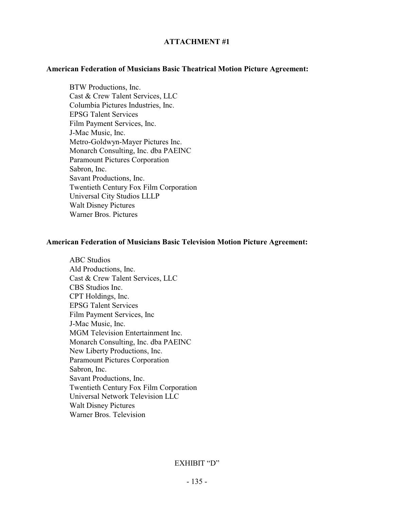#### **ATTACHMENT #1**

#### **American Federation of Musicians Basic Theatrical Motion Picture Agreement:**

BTW Productions, Inc. Cast & Crew Talent Services, LLC Columbia Pictures Industries, Inc. EPSG Talent Services Film Payment Services, Inc. J-Mac Music, Inc. Metro-Goldwyn-Mayer Pictures Inc. Monarch Consulting, Inc. dba PAEINC Paramount Pictures Corporation Sabron, Inc. Savant Productions, Inc. Twentieth Century Fox Film Corporation Universal City Studios LLLP Walt Disney Pictures Warner Bros. Pictures

#### **American Federation of Musicians Basic Television Motion Picture Agreement:**

ABC Studios Ald Productions, Inc. Cast & Crew Talent Services, LLC CBS Studios Inc. CPT Holdings, Inc. EPSG Talent Services Film Payment Services, Inc J-Mac Music, Inc. MGM Television Entertainment Inc. Monarch Consulting, Inc. dba PAEINC New Liberty Productions, Inc. Paramount Pictures Corporation Sabron, Inc. Savant Productions, Inc. Twentieth Century Fox Film Corporation Universal Network Television LLC Walt Disney Pictures Warner Bros. Television

#### EXHIBIT "D"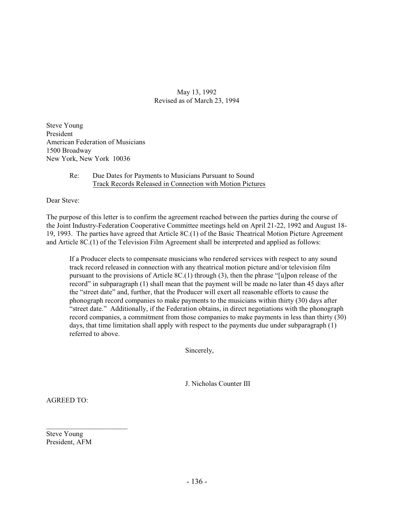May 13, 1992 Revised as of March 23, 1994

Steve Young President American Federation of Musicians 1500 Broadway New York, New York 10036

> Re: Due Dates for Payments to Musicians Pursuant to Sound Track Records Released in Connection with Motion Pictures

Dear Steve:

The purpose of this letter is to confirm the agreement reached between the parties during the course of the Joint Industry-Federation Cooperative Committee meetings held on April 21-22, 1992 and August 18- 19, 1993. The parties have agreed that Article 8C.(1) of the Basic Theatrical Motion Picture Agreement and Article 8C.(1) of the Television Film Agreement shall be interpreted and applied as follows:

If a Producer elects to compensate musicians who rendered services with respect to any sound track record released in connection with any theatrical motion picture and/or television film pursuant to the provisions of Article 8C.(1) through (3), then the phrase "[u]pon release of the record" in subparagraph (1) shall mean that the payment will be made no later than 45 days after the "street date" and, further, that the Producer will exert all reasonable efforts to cause the phonograph record companies to make payments to the musicians within thirty (30) days after "street date." Additionally, if the Federation obtains, in direct negotiations with the phonograph record companies, a commitment from those companies to make payments in less than thirty (30) days, that time limitation shall apply with respect to the payments due under subparagraph (1) referred to above.

Sincerely,

J. Nicholas Counter III

AGREED TO:

Steve Young President, AFM

 $\mathcal{L}_\text{max}$  , where  $\mathcal{L}_\text{max}$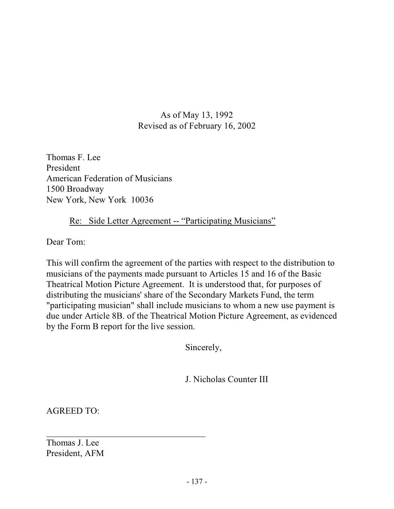As of May 13, 1992 Revised as of February 16, 2002

Thomas F. Lee President American Federation of Musicians 1500 Broadway New York, New York 10036

#### Re: Side Letter Agreement -- "Participating Musicians"

Dear Tom:

This will confirm the agreement of the parties with respect to the distribution to musicians of the payments made pursuant to Articles 15 and 16 of the Basic Theatrical Motion Picture Agreement. It is understood that, for purposes of distributing the musicians' share of the Secondary Markets Fund, the term "participating musician" shall include musicians to whom a new use payment is due under Article 8B. of the Theatrical Motion Picture Agreement, as evidenced by the Form B report for the live session.

Sincerely,

J. Nicholas Counter III

AGREED TO:

Thomas J. Lee President, AFM

 $\mathcal{L}_\text{max}$  , where  $\mathcal{L}_\text{max}$  , we have the set of the set of the set of the set of the set of the set of the set of the set of the set of the set of the set of the set of the set of the set of the set of the set of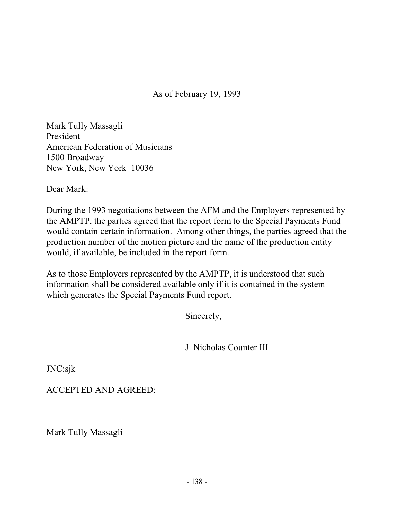As of February 19, 1993

Mark Tully Massagli President American Federation of Musicians 1500 Broadway New York, New York 10036

Dear Mark:

During the 1993 negotiations between the AFM and the Employers represented by the AMPTP, the parties agreed that the report form to the Special Payments Fund would contain certain information. Among other things, the parties agreed that the production number of the motion picture and the name of the production entity would, if available, be included in the report form.

As to those Employers represented by the AMPTP, it is understood that such information shall be considered available only if it is contained in the system which generates the Special Payments Fund report.

Sincerely,

J. Nicholas Counter III

JNC:sjk

ACCEPTED AND AGREED:

 $\overline{\phantom{a}}$  , which is a set of the set of the set of the set of the set of the set of the set of the set of the set of the set of the set of the set of the set of the set of the set of the set of the set of the set of th

Mark Tully Massagli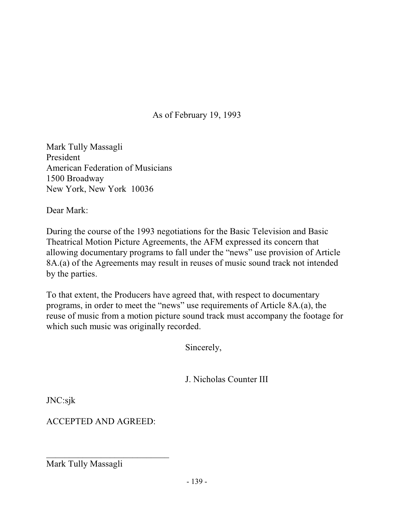As of February 19, 1993

Mark Tully Massagli President American Federation of Musicians 1500 Broadway New York, New York 10036

Dear Mark:

During the course of the 1993 negotiations for the Basic Television and Basic Theatrical Motion Picture Agreements, the AFM expressed its concern that allowing documentary programs to fall under the "news" use provision of Article 8A.(a) of the Agreements may result in reuses of music sound track not intended by the parties.

To that extent, the Producers have agreed that, with respect to documentary programs, in order to meet the "news" use requirements of Article 8A.(a), the reuse of music from a motion picture sound track must accompany the footage for which such music was originally recorded.

Sincerely,

J. Nicholas Counter III

JNC:sjk

ACCEPTED AND AGREED:

 $\mathcal{L}_\text{max}$  , where  $\mathcal{L}_\text{max}$  , we have the set of the set of the set of the set of the set of the set of the set of the set of the set of the set of the set of the set of the set of the set of the set of the set of

Mark Tully Massagli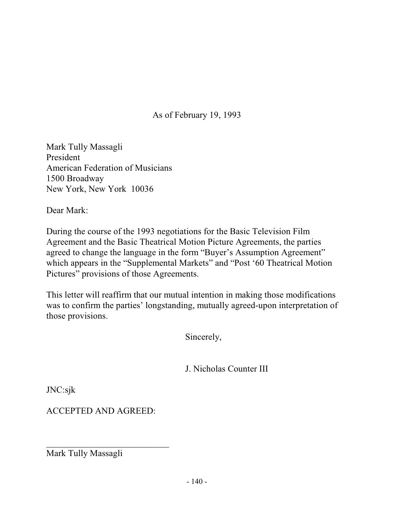As of February 19, 1993

Mark Tully Massagli President American Federation of Musicians 1500 Broadway New York, New York 10036

Dear Mark:

During the course of the 1993 negotiations for the Basic Television Film Agreement and the Basic Theatrical Motion Picture Agreements, the parties agreed to change the language in the form "Buyer's Assumption Agreement" which appears in the "Supplemental Markets" and "Post '60 Theatrical Motion Pictures" provisions of those Agreements.

This letter will reaffirm that our mutual intention in making those modifications was to confirm the parties' longstanding, mutually agreed-upon interpretation of those provisions.

Sincerely,

J. Nicholas Counter III

JNC:sjk

ACCEPTED AND AGREED:

 $\mathcal{L}_\text{max}$  , where  $\mathcal{L}_\text{max}$  , we have the set of the set of the set of the set of the set of the set of the set of the set of the set of the set of the set of the set of the set of the set of the set of the set of

Mark Tully Massagli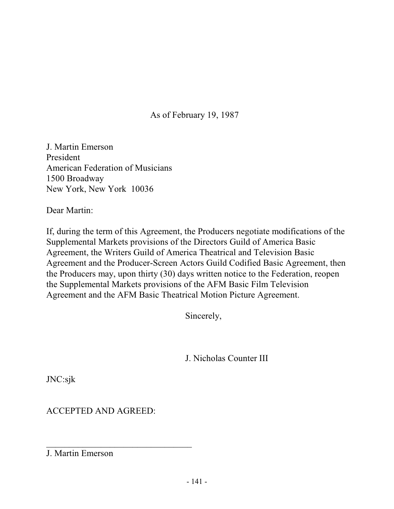As of February 19, 1987

J. Martin Emerson President American Federation of Musicians 1500 Broadway New York, New York 10036

Dear Martin:

If, during the term of this Agreement, the Producers negotiate modifications of the Supplemental Markets provisions of the Directors Guild of America Basic Agreement, the Writers Guild of America Theatrical and Television Basic Agreement and the Producer-Screen Actors Guild Codified Basic Agreement, then the Producers may, upon thirty (30) days written notice to the Federation, reopen the Supplemental Markets provisions of the AFM Basic Film Television Agreement and the AFM Basic Theatrical Motion Picture Agreement.

Sincerely,

J. Nicholas Counter III

JNC:sjk

ACCEPTED AND AGREED:

 $\mathcal{L}_\mathcal{L}$  , where  $\mathcal{L}_\mathcal{L}$  is the set of the set of the set of the set of the set of the set of the set of the set of the set of the set of the set of the set of the set of the set of the set of the set of the

J. Martin Emerson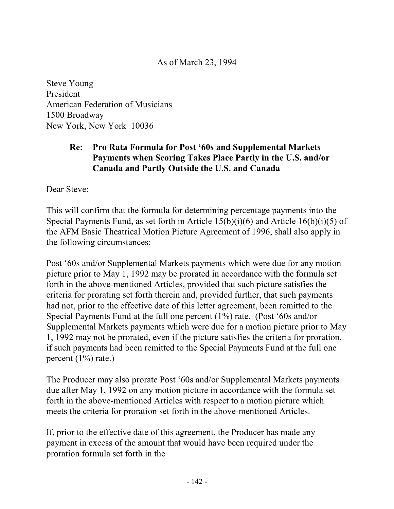### As of March 23, 1994

Steve Young President American Federation of Musicians 1500 Broadway New York, New York 10036

## **Re: Pro Rata Formula for Post '60s and Supplemental Markets Payments when Scoring Takes Place Partly in the U.S. and/or Canada and Partly Outside the U.S. and Canada**

Dear Steve:

This will confirm that the formula for determining percentage payments into the Special Payments Fund, as set forth in Article 15(b)(i)(6) and Article 16(b)(i)(5) of the AFM Basic Theatrical Motion Picture Agreement of 1996, shall also apply in the following circumstances:

Post '60s and/or Supplemental Markets payments which were due for any motion picture prior to May 1, 1992 may be prorated in accordance with the formula set forth in the above-mentioned Articles, provided that such picture satisfies the criteria for prorating set forth therein and, provided further, that such payments had not, prior to the effective date of this letter agreement, been remitted to the Special Payments Fund at the full one percent (1%) rate. (Post '60s and/or Supplemental Markets payments which were due for a motion picture prior to May 1, 1992 may not be prorated, even if the picture satisfies the criteria for proration, if such payments had been remitted to the Special Payments Fund at the full one percent  $(1\%)$  rate.)

The Producer may also prorate Post '60s and/or Supplemental Markets payments due after May 1, 1992 on any motion picture in accordance with the formula set forth in the above-mentioned Articles with respect to a motion picture which meets the criteria for proration set forth in the above-mentioned Articles.

If, prior to the effective date of this agreement, the Producer has made any payment in excess of the amount that would have been required under the proration formula set forth in the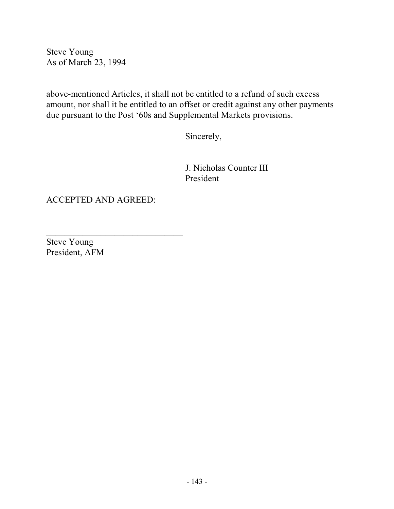Steve Young As of March 23, 1994

above-mentioned Articles, it shall not be entitled to a refund of such excess amount, nor shall it be entitled to an offset or credit against any other payments due pursuant to the Post '60s and Supplemental Markets provisions.

Sincerely,

J. Nicholas Counter III President

ACCEPTED AND AGREED:

 $\overline{\phantom{a}}$  , which is a set of the set of the set of the set of the set of the set of the set of the set of the set of the set of the set of the set of the set of the set of the set of the set of the set of the set of th

Steve Young President, AFM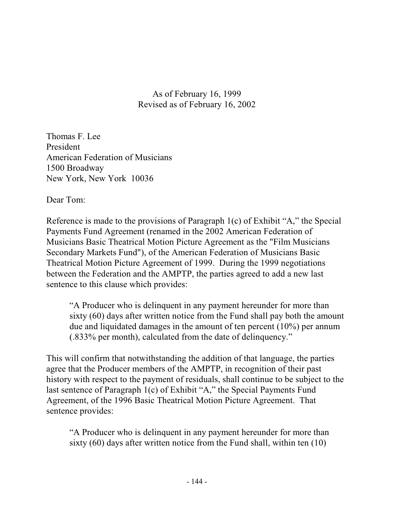As of February 16, 1999 Revised as of February 16, 2002

Thomas F. Lee President American Federation of Musicians 1500 Broadway New York, New York 10036

Dear Tom:

Reference is made to the provisions of Paragraph 1(c) of Exhibit "A," the Special Payments Fund Agreement (renamed in the 2002 American Federation of Musicians Basic Theatrical Motion Picture Agreement as the "Film Musicians Secondary Markets Fund"), of the American Federation of Musicians Basic Theatrical Motion Picture Agreement of 1999. During the 1999 negotiations between the Federation and the AMPTP, the parties agreed to add a new last sentence to this clause which provides:

"A Producer who is delinquent in any payment hereunder for more than sixty (60) days after written notice from the Fund shall pay both the amount due and liquidated damages in the amount of ten percent (10%) per annum (.833% per month), calculated from the date of delinquency."

This will confirm that notwithstanding the addition of that language, the parties agree that the Producer members of the AMPTP, in recognition of their past history with respect to the payment of residuals, shall continue to be subject to the last sentence of Paragraph 1(c) of Exhibit "A," the Special Payments Fund Agreement, of the 1996 Basic Theatrical Motion Picture Agreement. That sentence provides:

"A Producer who is delinquent in any payment hereunder for more than sixty (60) days after written notice from the Fund shall, within ten (10)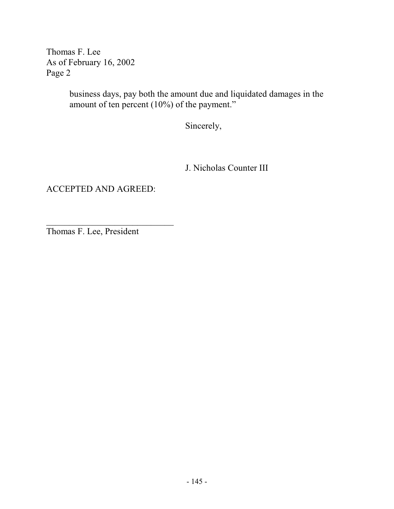Thomas F. Lee As of February 16, 2002 Page 2

> business days, pay both the amount due and liquidated damages in the amount of ten percent (10%) of the payment."

> > Sincerely,

J. Nicholas Counter III

ACCEPTED AND AGREED:

 $\overline{\phantom{a}}$  , which is a set of the set of the set of the set of the set of the set of the set of the set of the set of the set of the set of the set of the set of the set of the set of the set of the set of the set of th

Thomas F. Lee, President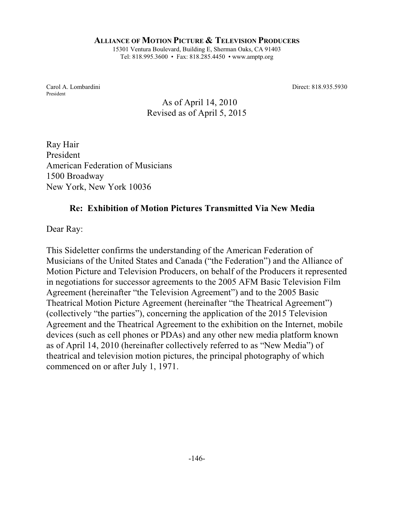#### **ALLIANCE OF MOTION PICTURE & TELEVISION PRODUCERS**

15301 Ventura Boulevard, Building E, Sherman Oaks, CA 91403 Tel: 818.995.3600 • Fax: 818.285.4450 • www.amptp.org

President

Carol A. Lombardini Direct: 818.935.5930

As of April 14, 2010 Revised as of April 5, 2015

Ray Hair President American Federation of Musicians 1500 Broadway New York, New York 10036

### **Re: Exhibition of Motion Pictures Transmitted Via New Media**

Dear Ray:

This Sideletter confirms the understanding of the American Federation of Musicians of the United States and Canada ("the Federation") and the Alliance of Motion Picture and Television Producers, on behalf of the Producers it represented in negotiations for successor agreements to the 2005 AFM Basic Television Film Agreement (hereinafter "the Television Agreement") and to the 2005 Basic Theatrical Motion Picture Agreement (hereinafter "the Theatrical Agreement") (collectively "the parties"), concerning the application of the 2015 Television Agreement and the Theatrical Agreement to the exhibition on the Internet, mobile devices (such as cell phones or PDAs) and any other new media platform known as of April 14, 2010 (hereinafter collectively referred to as "New Media") of theatrical and television motion pictures, the principal photography of which commenced on or after July 1, 1971.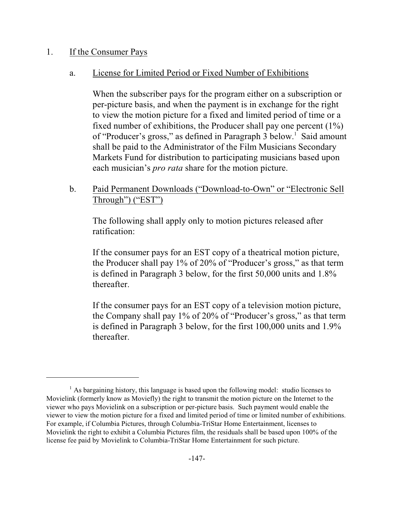#### 1. If the Consumer Pays

a. License for Limited Period or Fixed Number of Exhibitions

When the subscriber pays for the program either on a subscription or per-picture basis, and when the payment is in exchange for the right to view the motion picture for a fixed and limited period of time or a fixed number of exhibitions, the Producer shall pay one percent  $(1\%)$ of "Producer's gross," as defined in Paragraph 3 below.<sup>1</sup> Said amount shall be paid to the Administrator of the Film Musicians Secondary Markets Fund for distribution to participating musicians based upon each musician's *pro rata* share for the motion picture.

b. Paid Permanent Downloads ("Download-to-Own" or "Electronic Sell Through") ("EST")

The following shall apply only to motion pictures released after ratification:

If the consumer pays for an EST copy of a theatrical motion picture, the Producer shall pay 1% of 20% of "Producer's gross," as that term is defined in Paragraph 3 below, for the first 50,000 units and 1.8% thereafter.

If the consumer pays for an EST copy of a television motion picture, the Company shall pay 1% of 20% of "Producer's gross," as that term is defined in Paragraph 3 below, for the first 100,000 units and 1.9% thereafter.

 $<sup>1</sup>$  As bargaining history, this language is based upon the following model: studio licenses to</sup> Movielink (formerly know as Moviefly) the right to transmit the motion picture on the Internet to the viewer who pays Movielink on a subscription or per-picture basis. Such payment would enable the viewer to view the motion picture for a fixed and limited period of time or limited number of exhibitions. For example, if Columbia Pictures, through Columbia-TriStar Home Entertainment, licenses to Movielink the right to exhibit a Columbia Pictures film, the residuals shall be based upon 100% of the license fee paid by Movielink to Columbia-TriStar Home Entertainment for such picture.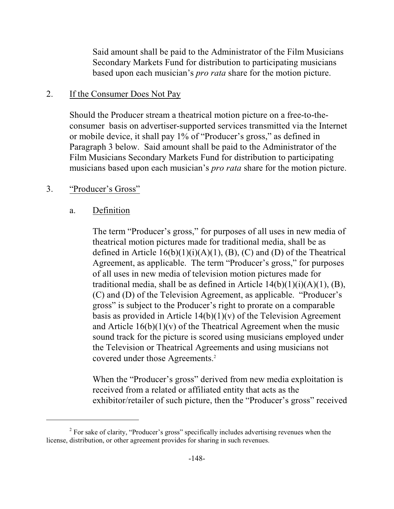Said amount shall be paid to the Administrator of the Film Musicians Secondary Markets Fund for distribution to participating musicians based upon each musician's *pro rata* share for the motion picture.

#### 2. If the Consumer Does Not Pay

Should the Producer stream a theatrical motion picture on a free-to-theconsumer basis on advertiser-supported services transmitted via the Internet or mobile device, it shall pay 1% of "Producer's gross," as defined in Paragraph 3 below. Said amount shall be paid to the Administrator of the Film Musicians Secondary Markets Fund for distribution to participating musicians based upon each musician's *pro rata* share for the motion picture.

#### 3. "Producer's Gross"

#### a. Definition

The term "Producer's gross," for purposes of all uses in new media of theatrical motion pictures made for traditional media, shall be as defined in Article  $16(b)(1)(i)(A)(1)$ , (B), (C) and (D) of the Theatrical Agreement, as applicable. The term "Producer's gross," for purposes of all uses in new media of television motion pictures made for traditional media, shall be as defined in Article  $14(b)(1)(i)(A)(1)$ , (B), (C) and (D) of the Television Agreement, as applicable. "Producer's gross" is subject to the Producer's right to prorate on a comparable basis as provided in Article  $14(b)(1)(v)$  of the Television Agreement and Article  $16(b)(1)(v)$  of the Theatrical Agreement when the music sound track for the picture is scored using musicians employed under the Television or Theatrical Agreements and using musicians not covered under those Agreements. 2

When the "Producer's gross" derived from new media exploitation is received from a related or affiliated entity that acts as the exhibitor/retailer of such picture, then the "Producer's gross" received

 $2^{2}$  For sake of clarity, "Producer's gross" specifically includes advertising revenues when the license, distribution, or other agreement provides for sharing in such revenues.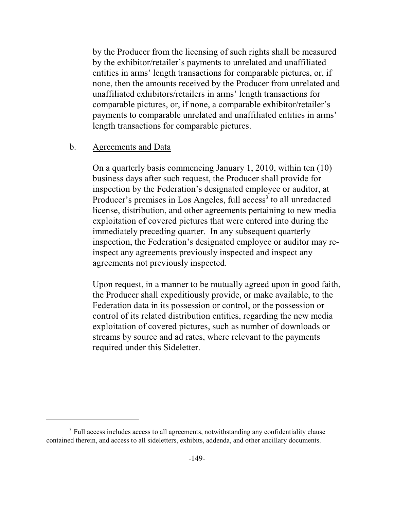by the Producer from the licensing of such rights shall be measured by the exhibitor/retailer's payments to unrelated and unaffiliated entities in arms' length transactions for comparable pictures, or, if none, then the amounts received by the Producer from unrelated and unaffiliated exhibitors/retailers in arms' length transactions for comparable pictures, or, if none, a comparable exhibitor/retailer's payments to comparable unrelated and unaffiliated entities in arms' length transactions for comparable pictures.

#### b. Agreements and Data

On a quarterly basis commencing January 1, 2010, within ten (10) business days after such request, the Producer shall provide for inspection by the Federation's designated employee or auditor, at Producer's premises in Los Angeles, full access<sup>3</sup> to all unredacted license, distribution, and other agreements pertaining to new media exploitation of covered pictures that were entered into during the immediately preceding quarter. In any subsequent quarterly inspection, the Federation's designated employee or auditor may reinspect any agreements previously inspected and inspect any agreements not previously inspected.

Upon request, in a manner to be mutually agreed upon in good faith, the Producer shall expeditiously provide, or make available, to the Federation data in its possession or control, or the possession or control of its related distribution entities, regarding the new media exploitation of covered pictures, such as number of downloads or streams by source and ad rates, where relevant to the payments required under this Sideletter.

<sup>&</sup>lt;sup>3</sup> Full access includes access to all agreements, notwithstanding any confidentiality clause contained therein, and access to all sideletters, exhibits, addenda, and other ancillary documents.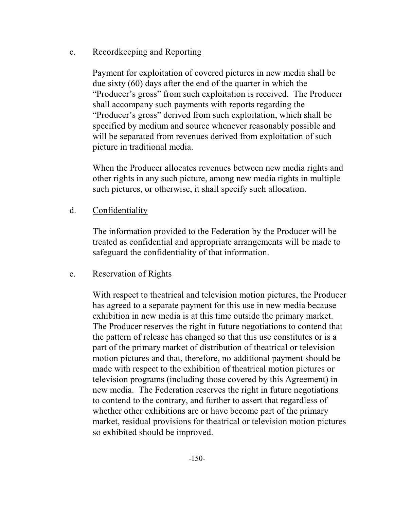### c. Recordkeeping and Reporting

Payment for exploitation of covered pictures in new media shall be due sixty (60) days after the end of the quarter in which the "Producer's gross" from such exploitation is received. The Producer shall accompany such payments with reports regarding the "Producer's gross" derived from such exploitation, which shall be specified by medium and source whenever reasonably possible and will be separated from revenues derived from exploitation of such picture in traditional media.

When the Producer allocates revenues between new media rights and other rights in any such picture, among new media rights in multiple such pictures, or otherwise, it shall specify such allocation.

## d. Confidentiality

The information provided to the Federation by the Producer will be treated as confidential and appropriate arrangements will be made to safeguard the confidentiality of that information.

#### e. Reservation of Rights

With respect to theatrical and television motion pictures, the Producer has agreed to a separate payment for this use in new media because exhibition in new media is at this time outside the primary market. The Producer reserves the right in future negotiations to contend that the pattern of release has changed so that this use constitutes or is a part of the primary market of distribution of theatrical or television motion pictures and that, therefore, no additional payment should be made with respect to the exhibition of theatrical motion pictures or television programs (including those covered by this Agreement) in new media. The Federation reserves the right in future negotiations to contend to the contrary, and further to assert that regardless of whether other exhibitions are or have become part of the primary market, residual provisions for theatrical or television motion pictures so exhibited should be improved.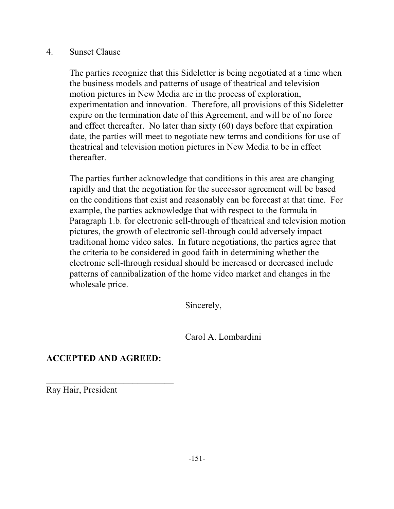#### 4. Sunset Clause

The parties recognize that this Sideletter is being negotiated at a time when the business models and patterns of usage of theatrical and television motion pictures in New Media are in the process of exploration, experimentation and innovation. Therefore, all provisions of this Sideletter expire on the termination date of this Agreement, and will be of no force and effect thereafter. No later than sixty (60) days before that expiration date, the parties will meet to negotiate new terms and conditions for use of theatrical and television motion pictures in New Media to be in effect thereafter.

The parties further acknowledge that conditions in this area are changing rapidly and that the negotiation for the successor agreement will be based on the conditions that exist and reasonably can be forecast at that time. For example, the parties acknowledge that with respect to the formula in Paragraph 1.b. for electronic sell-through of theatrical and television motion pictures, the growth of electronic sell-through could adversely impact traditional home video sales. In future negotiations, the parties agree that the criteria to be considered in good faith in determining whether the electronic sell-through residual should be increased or decreased include patterns of cannibalization of the home video market and changes in the wholesale price.

Sincerely,

Carol A. Lombardini

## **ACCEPTED AND AGREED:**

 $\overline{\phantom{a}}$  , which is a set of the set of the set of the set of the set of the set of the set of the set of the set of the set of the set of the set of the set of the set of the set of the set of the set of the set of th

Ray Hair, President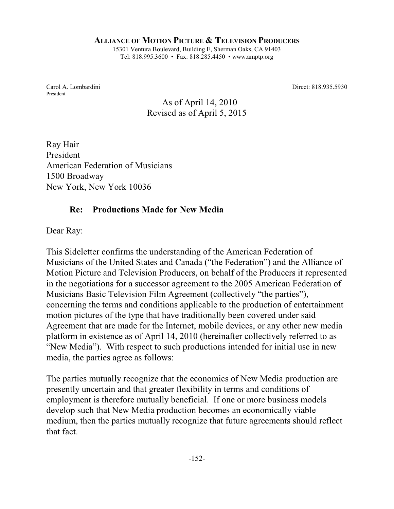#### **ALLIANCE OF MOTION PICTURE & TELEVISION PRODUCERS**

15301 Ventura Boulevard, Building E, Sherman Oaks, CA 91403 Tel: 818.995.3600 • Fax: 818.285.4450 • www.amptp.org

President

Carol A. Lombardini Direct: 818.935.5930

As of April 14, 2010 Revised as of April 5, 2015

Ray Hair President American Federation of Musicians 1500 Broadway New York, New York 10036

## **Re: Productions Made for New Media**

Dear Ray:

This Sideletter confirms the understanding of the American Federation of Musicians of the United States and Canada ("the Federation") and the Alliance of Motion Picture and Television Producers, on behalf of the Producers it represented in the negotiations for a successor agreement to the 2005 American Federation of Musicians Basic Television Film Agreement (collectively "the parties"), concerning the terms and conditions applicable to the production of entertainment motion pictures of the type that have traditionally been covered under said Agreement that are made for the Internet, mobile devices, or any other new media platform in existence as of April 14, 2010 (hereinafter collectively referred to as "New Media"). With respect to such productions intended for initial use in new media, the parties agree as follows:

The parties mutually recognize that the economics of New Media production are presently uncertain and that greater flexibility in terms and conditions of employment is therefore mutually beneficial. If one or more business models develop such that New Media production becomes an economically viable medium, then the parties mutually recognize that future agreements should reflect that fact.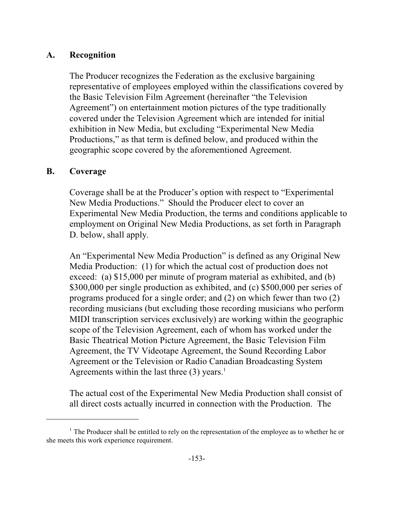#### **A. Recognition**

The Producer recognizes the Federation as the exclusive bargaining representative of employees employed within the classifications covered by the Basic Television Film Agreement (hereinafter "the Television Agreement") on entertainment motion pictures of the type traditionally covered under the Television Agreement which are intended for initial exhibition in New Media, but excluding "Experimental New Media Productions," as that term is defined below, and produced within the geographic scope covered by the aforementioned Agreement.

### **B. Coverage**

Coverage shall be at the Producer's option with respect to "Experimental New Media Productions." Should the Producer elect to cover an Experimental New Media Production, the terms and conditions applicable to employment on Original New Media Productions, as set forth in Paragraph D. below, shall apply.

An "Experimental New Media Production" is defined as any Original New Media Production: (1) for which the actual cost of production does not exceed: (a) \$15,000 per minute of program material as exhibited, and (b) \$300,000 per single production as exhibited, and (c) \$500,000 per series of programs produced for a single order; and (2) on which fewer than two (2) recording musicians (but excluding those recording musicians who perform MIDI transcription services exclusively) are working within the geographic scope of the Television Agreement, each of whom has worked under the Basic Theatrical Motion Picture Agreement, the Basic Television Film Agreement, the TV Videotape Agreement, the Sound Recording Labor Agreement or the Television or Radio Canadian Broadcasting System Agreements within the last three  $(3)$  years.<sup>1</sup>

The actual cost of the Experimental New Media Production shall consist of all direct costs actually incurred in connection with the Production. The

 $<sup>1</sup>$  The Producer shall be entitled to rely on the representation of the employee as to whether he or</sup> she meets this work experience requirement.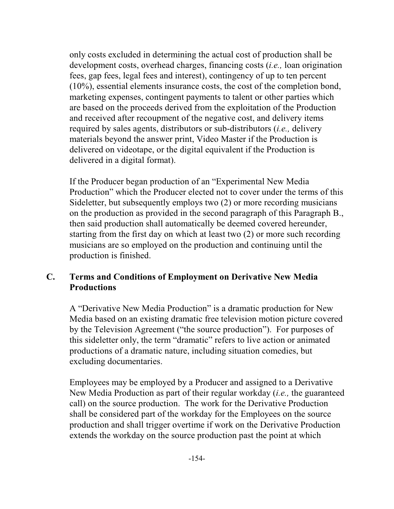only costs excluded in determining the actual cost of production shall be development costs, overhead charges, financing costs (*i.e.,* loan origination fees, gap fees, legal fees and interest), contingency of up to ten percent (10%), essential elements insurance costs, the cost of the completion bond, marketing expenses, contingent payments to talent or other parties which are based on the proceeds derived from the exploitation of the Production and received after recoupment of the negative cost, and delivery items required by sales agents, distributors or sub-distributors (*i.e.,* delivery materials beyond the answer print, Video Master if the Production is delivered on videotape, or the digital equivalent if the Production is delivered in a digital format).

If the Producer began production of an "Experimental New Media Production" which the Producer elected not to cover under the terms of this Sideletter, but subsequently employs two (2) or more recording musicians on the production as provided in the second paragraph of this Paragraph B., then said production shall automatically be deemed covered hereunder, starting from the first day on which at least two (2) or more such recording musicians are so employed on the production and continuing until the production is finished.

## **C. Terms and Conditions of Employment on Derivative New Media Productions**

A "Derivative New Media Production" is a dramatic production for New Media based on an existing dramatic free television motion picture covered by the Television Agreement ("the source production"). For purposes of this sideletter only, the term "dramatic" refers to live action or animated productions of a dramatic nature, including situation comedies, but excluding documentaries.

Employees may be employed by a Producer and assigned to a Derivative New Media Production as part of their regular workday (*i.e.,* the guaranteed call) on the source production. The work for the Derivative Production shall be considered part of the workday for the Employees on the source production and shall trigger overtime if work on the Derivative Production extends the workday on the source production past the point at which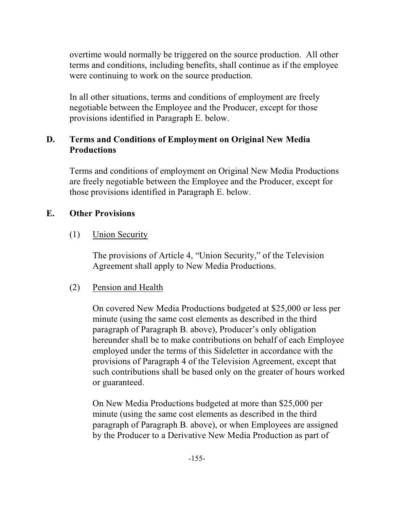overtime would normally be triggered on the source production. All other terms and conditions, including benefits, shall continue as if the employee were continuing to work on the source production.

In all other situations, terms and conditions of employment are freely negotiable between the Employee and the Producer, except for those provisions identified in Paragraph E. below.

## **D. Terms and Conditions of Employment on Original New Media Productions**

Terms and conditions of employment on Original New Media Productions are freely negotiable between the Employee and the Producer, except for those provisions identified in Paragraph E. below.

#### **E. Other Provisions**

### (1) Union Security

The provisions of Article 4, "Union Security," of the Television Agreement shall apply to New Media Productions.

#### (2) Pension and Health

On covered New Media Productions budgeted at \$25,000 or less per minute (using the same cost elements as described in the third paragraph of Paragraph B. above), Producer's only obligation hereunder shall be to make contributions on behalf of each Employee employed under the terms of this Sideletter in accordance with the provisions of Paragraph 4 of the Television Agreement, except that such contributions shall be based only on the greater of hours worked or guaranteed.

On New Media Productions budgeted at more than \$25,000 per minute (using the same cost elements as described in the third paragraph of Paragraph B. above), or when Employees are assigned by the Producer to a Derivative New Media Production as part of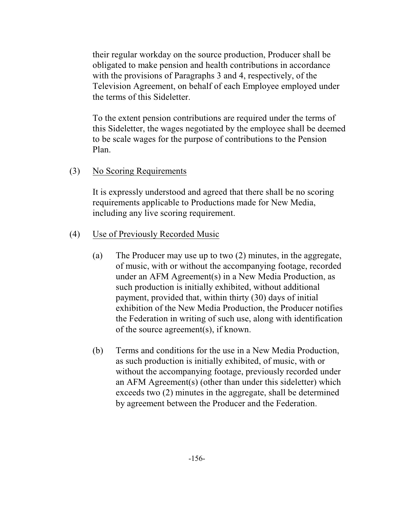their regular workday on the source production, Producer shall be obligated to make pension and health contributions in accordance with the provisions of Paragraphs 3 and 4, respectively, of the Television Agreement, on behalf of each Employee employed under the terms of this Sideletter.

To the extent pension contributions are required under the terms of this Sideletter, the wages negotiated by the employee shall be deemed to be scale wages for the purpose of contributions to the Pension Plan.

(3) No Scoring Requirements

It is expressly understood and agreed that there shall be no scoring requirements applicable to Productions made for New Media, including any live scoring requirement.

- (4) Use of Previously Recorded Music
	- (a) The Producer may use up to two (2) minutes, in the aggregate, of music, with or without the accompanying footage, recorded under an AFM Agreement(s) in a New Media Production, as such production is initially exhibited, without additional payment, provided that, within thirty (30) days of initial exhibition of the New Media Production, the Producer notifies the Federation in writing of such use, along with identification of the source agreement(s), if known.
	- (b) Terms and conditions for the use in a New Media Production, as such production is initially exhibited, of music, with or without the accompanying footage, previously recorded under an AFM Agreement(s) (other than under this sideletter) which exceeds two (2) minutes in the aggregate, shall be determined by agreement between the Producer and the Federation.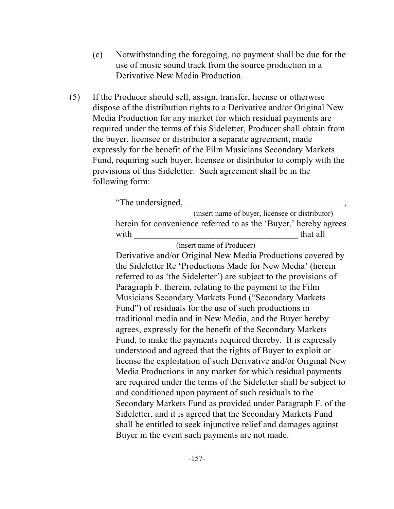- (c) Notwithstanding the foregoing, no payment shall be due for the use of music sound track from the source production in a Derivative New Media Production.
- (5) If the Producer should sell, assign, transfer, license or otherwise dispose of the distribution rights to a Derivative and/or Original New Media Production for any market for which residual payments are required under the terms of this Sideletter, Producer shall obtain from the buyer, licensee or distributor a separate agreement, made expressly for the benefit of the Film Musicians Secondary Markets Fund, requiring such buyer, licensee or distributor to comply with the provisions of this Sideletter. Such agreement shall be in the following form:

"The undersigned, \_\_\_\_\_\_\_\_\_\_\_\_\_\_\_\_\_\_\_\_\_\_\_\_\_\_\_\_\_\_\_\_\_\_\_, (insert name of buyer, licensee or distributor) herein for convenience referred to as the 'Buyer,' hereby agrees with \_\_\_\_\_\_\_\_\_\_\_\_\_\_\_\_\_\_\_\_\_\_\_\_\_\_\_\_\_\_\_\_\_\_\_\_ that all

 (insert name of Producer) Derivative and/or Original New Media Productions covered by the Sideletter Re 'Productions Made for New Media' (herein referred to as 'the Sideletter') are subject to the provisions of Paragraph F. therein, relating to the payment to the Film Musicians Secondary Markets Fund ("Secondary Markets Fund") of residuals for the use of such productions in traditional media and in New Media, and the Buyer hereby agrees, expressly for the benefit of the Secondary Markets Fund, to make the payments required thereby. It is expressly understood and agreed that the rights of Buyer to exploit or license the exploitation of such Derivative and/or Original New Media Productions in any market for which residual payments are required under the terms of the Sideletter shall be subject to and conditioned upon payment of such residuals to the Secondary Markets Fund as provided under Paragraph F. of the Sideletter, and it is agreed that the Secondary Markets Fund shall be entitled to seek injunctive relief and damages against Buyer in the event such payments are not made.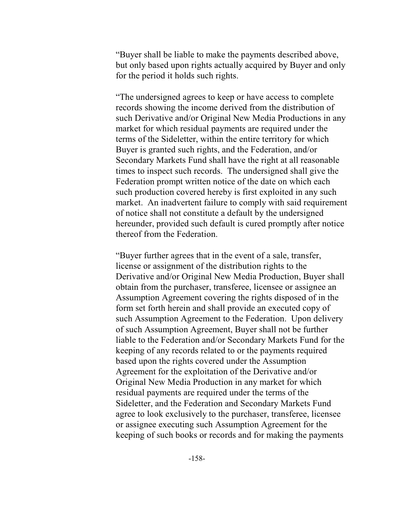"Buyer shall be liable to make the payments described above, but only based upon rights actually acquired by Buyer and only for the period it holds such rights.

"The undersigned agrees to keep or have access to complete records showing the income derived from the distribution of such Derivative and/or Original New Media Productions in any market for which residual payments are required under the terms of the Sideletter, within the entire territory for which Buyer is granted such rights, and the Federation, and/or Secondary Markets Fund shall have the right at all reasonable times to inspect such records. The undersigned shall give the Federation prompt written notice of the date on which each such production covered hereby is first exploited in any such market. An inadvertent failure to comply with said requirement of notice shall not constitute a default by the undersigned hereunder, provided such default is cured promptly after notice thereof from the Federation.

"Buyer further agrees that in the event of a sale, transfer, license or assignment of the distribution rights to the Derivative and/or Original New Media Production, Buyer shall obtain from the purchaser, transferee, licensee or assignee an Assumption Agreement covering the rights disposed of in the form set forth herein and shall provide an executed copy of such Assumption Agreement to the Federation. Upon delivery of such Assumption Agreement, Buyer shall not be further liable to the Federation and/or Secondary Markets Fund for the keeping of any records related to or the payments required based upon the rights covered under the Assumption Agreement for the exploitation of the Derivative and/or Original New Media Production in any market for which residual payments are required under the terms of the Sideletter, and the Federation and Secondary Markets Fund agree to look exclusively to the purchaser, transferee, licensee or assignee executing such Assumption Agreement for the keeping of such books or records and for making the payments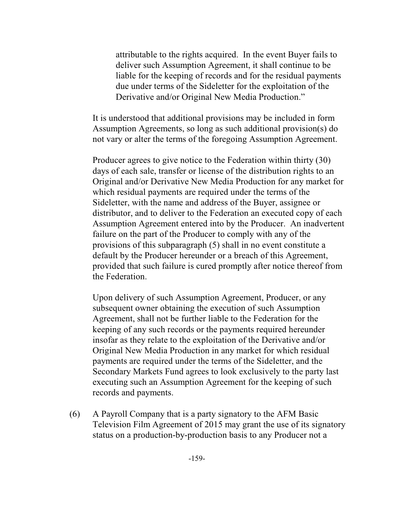attributable to the rights acquired. In the event Buyer fails to deliver such Assumption Agreement, it shall continue to be liable for the keeping of records and for the residual payments due under terms of the Sideletter for the exploitation of the Derivative and/or Original New Media Production."

It is understood that additional provisions may be included in form Assumption Agreements, so long as such additional provision(s) do not vary or alter the terms of the foregoing Assumption Agreement.

Producer agrees to give notice to the Federation within thirty (30) days of each sale, transfer or license of the distribution rights to an Original and/or Derivative New Media Production for any market for which residual payments are required under the terms of the Sideletter, with the name and address of the Buyer, assignee or distributor, and to deliver to the Federation an executed copy of each Assumption Agreement entered into by the Producer. An inadvertent failure on the part of the Producer to comply with any of the provisions of this subparagraph (5) shall in no event constitute a default by the Producer hereunder or a breach of this Agreement, provided that such failure is cured promptly after notice thereof from the Federation.

Upon delivery of such Assumption Agreement, Producer, or any subsequent owner obtaining the execution of such Assumption Agreement, shall not be further liable to the Federation for the keeping of any such records or the payments required hereunder insofar as they relate to the exploitation of the Derivative and/or Original New Media Production in any market for which residual payments are required under the terms of the Sideletter, and the Secondary Markets Fund agrees to look exclusively to the party last executing such an Assumption Agreement for the keeping of such records and payments.

(6) A Payroll Company that is a party signatory to the AFM Basic Television Film Agreement of 2015 may grant the use of its signatory status on a production-by-production basis to any Producer not a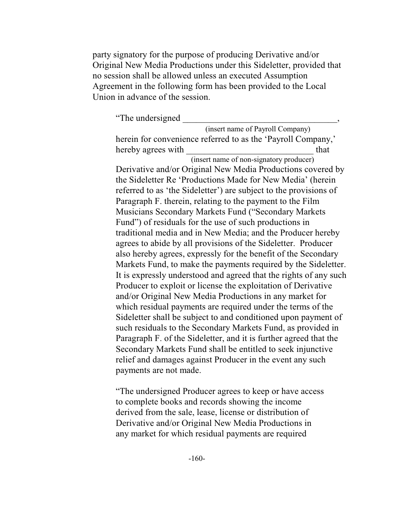party signatory for the purpose of producing Derivative and/or Original New Media Productions under this Sideletter, provided that no session shall be allowed unless an executed Assumption Agreement in the following form has been provided to the Local Union in advance of the session.

"The undersigned \_\_\_\_\_\_\_\_\_\_\_\_\_\_\_\_\_\_\_\_\_\_\_\_\_\_\_\_\_\_\_\_\_\_,

 (insert name of Payroll Company) herein for convenience referred to as the 'Payroll Company,' hereby agrees with that (insert name of non-signatory producer) Derivative and/or Original New Media Productions covered by the Sideletter Re 'Productions Made for New Media' (herein referred to as 'the Sideletter') are subject to the provisions of Paragraph F. therein, relating to the payment to the Film Musicians Secondary Markets Fund ("Secondary Markets Fund") of residuals for the use of such productions in traditional media and in New Media; and the Producer hereby agrees to abide by all provisions of the Sideletter. Producer also hereby agrees, expressly for the benefit of the Secondary Markets Fund, to make the payments required by the Sideletter. It is expressly understood and agreed that the rights of any such Producer to exploit or license the exploitation of Derivative and/or Original New Media Productions in any market for which residual payments are required under the terms of the Sideletter shall be subject to and conditioned upon payment of such residuals to the Secondary Markets Fund, as provided in Paragraph F. of the Sideletter, and it is further agreed that the Secondary Markets Fund shall be entitled to seek injunctive relief and damages against Producer in the event any such payments are not made.

"The undersigned Producer agrees to keep or have access to complete books and records showing the income derived from the sale, lease, license or distribution of Derivative and/or Original New Media Productions in any market for which residual payments are required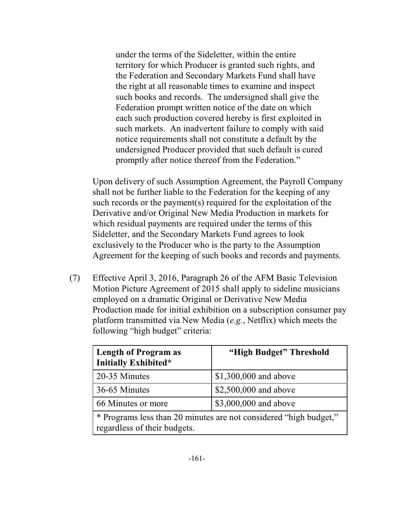under the terms of the Sideletter, within the entire territory for which Producer is granted such rights, and the Federation and Secondary Markets Fund shall have the right at all reasonable times to examine and inspect such books and records. The undersigned shall give the Federation prompt written notice of the date on which each such production covered hereby is first exploited in such markets. An inadvertent failure to comply with said notice requirements shall not constitute a default by the undersigned Producer provided that such default is cured promptly after notice thereof from the Federation."

Upon delivery of such Assumption Agreement, the Payroll Company shall not be further liable to the Federation for the keeping of any such records or the payment(s) required for the exploitation of the Derivative and/or Original New Media Production in markets for which residual payments are required under the terms of this Sideletter, and the Secondary Markets Fund agrees to look exclusively to the Producer who is the party to the Assumption Agreement for the keeping of such books and records and payments.

(7) Effective April 3, 2016, Paragraph 26 of the AFM Basic Television Motion Picture Agreement of 2015 shall apply to sideline musicians employed on a dramatic Original or Derivative New Media Production made for initial exhibition on a subscription consumer pay platform transmitted via New Media (*e.g.*, Netflix) which meets the following "high budget" criteria:

| <b>Length of Program as</b><br><b>Initially Exhibited*</b>                                        | "High Budget" Threshold |
|---------------------------------------------------------------------------------------------------|-------------------------|
| 20-35 Minutes                                                                                     | \$1,300,000 and above   |
| 36-65 Minutes                                                                                     | \$2,500,000 and above   |
| 66 Minutes or more                                                                                | \$3,000,000 and above   |
| * Programs less than 20 minutes are not considered "high budget,"<br>regardless of their budgets. |                         |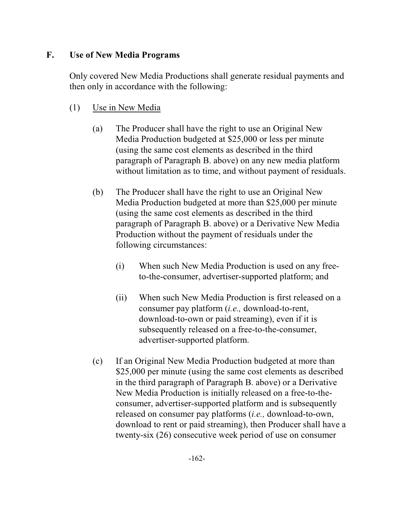### **F. Use of New Media Programs**

Only covered New Media Productions shall generate residual payments and then only in accordance with the following:

- (1) Use in New Media
	- (a) The Producer shall have the right to use an Original New Media Production budgeted at \$25,000 or less per minute (using the same cost elements as described in the third paragraph of Paragraph B. above) on any new media platform without limitation as to time, and without payment of residuals.
	- (b) The Producer shall have the right to use an Original New Media Production budgeted at more than \$25,000 per minute (using the same cost elements as described in the third paragraph of Paragraph B. above) or a Derivative New Media Production without the payment of residuals under the following circumstances:
		- (i) When such New Media Production is used on any freeto-the-consumer, advertiser-supported platform; and
		- (ii) When such New Media Production is first released on a consumer pay platform (*i.e.,* download-to-rent, download-to-own or paid streaming), even if it is subsequently released on a free-to-the-consumer, advertiser-supported platform.
	- (c) If an Original New Media Production budgeted at more than \$25,000 per minute (using the same cost elements as described in the third paragraph of Paragraph B. above) or a Derivative New Media Production is initially released on a free-to-theconsumer, advertiser-supported platform and is subsequently released on consumer pay platforms (*i.e.,* download-to-own, download to rent or paid streaming), then Producer shall have a twenty-six (26) consecutive week period of use on consumer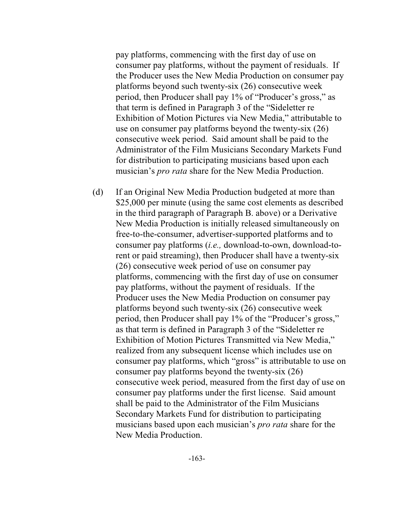pay platforms, commencing with the first day of use on consumer pay platforms, without the payment of residuals. If the Producer uses the New Media Production on consumer pay platforms beyond such twenty-six (26) consecutive week period, then Producer shall pay 1% of "Producer's gross," as that term is defined in Paragraph 3 of the "Sideletter re Exhibition of Motion Pictures via New Media," attributable to use on consumer pay platforms beyond the twenty-six (26) consecutive week period. Said amount shall be paid to the Administrator of the Film Musicians Secondary Markets Fund for distribution to participating musicians based upon each musician's *pro rata* share for the New Media Production.

(d) If an Original New Media Production budgeted at more than \$25,000 per minute (using the same cost elements as described in the third paragraph of Paragraph B. above) or a Derivative New Media Production is initially released simultaneously on free-to-the-consumer, advertiser-supported platforms and to consumer pay platforms (*i.e.,* download-to-own, download-torent or paid streaming), then Producer shall have a twenty-six (26) consecutive week period of use on consumer pay platforms, commencing with the first day of use on consumer pay platforms, without the payment of residuals. If the Producer uses the New Media Production on consumer pay platforms beyond such twenty-six (26) consecutive week period, then Producer shall pay 1% of the "Producer's gross," as that term is defined in Paragraph 3 of the "Sideletter re Exhibition of Motion Pictures Transmitted via New Media," realized from any subsequent license which includes use on consumer pay platforms, which "gross" is attributable to use on consumer pay platforms beyond the twenty-six (26) consecutive week period, measured from the first day of use on consumer pay platforms under the first license. Said amount shall be paid to the Administrator of the Film Musicians Secondary Markets Fund for distribution to participating musicians based upon each musician's *pro rata* share for the New Media Production.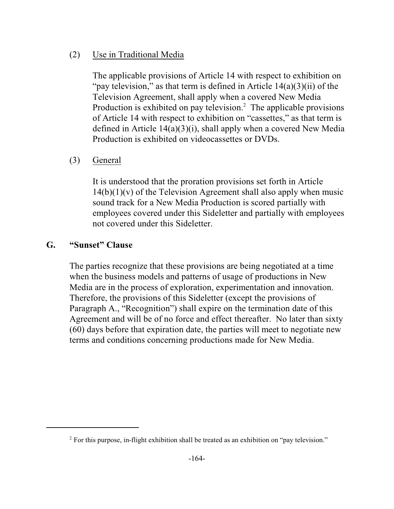# (2) Use in Traditional Media

The applicable provisions of Article 14 with respect to exhibition on "pay television," as that term is defined in Article  $14(a)(3)(ii)$  of the Television Agreement, shall apply when a covered New Media Production is exhibited on pay television.<sup>2</sup> The applicable provisions of Article 14 with respect to exhibition on "cassettes," as that term is defined in Article 14(a)(3)(i), shall apply when a covered New Media Production is exhibited on videocassettes or DVDs.

# (3) General

It is understood that the proration provisions set forth in Article  $14(b)(1)(v)$  of the Television Agreement shall also apply when music sound track for a New Media Production is scored partially with employees covered under this Sideletter and partially with employees not covered under this Sideletter.

## **G. "Sunset" Clause**

The parties recognize that these provisions are being negotiated at a time when the business models and patterns of usage of productions in New Media are in the process of exploration, experimentation and innovation. Therefore, the provisions of this Sideletter (except the provisions of Paragraph A., "Recognition") shall expire on the termination date of this Agreement and will be of no force and effect thereafter. No later than sixty (60) days before that expiration date, the parties will meet to negotiate new terms and conditions concerning productions made for New Media.

 $2^2$  For this purpose, in-flight exhibition shall be treated as an exhibition on "pay television."